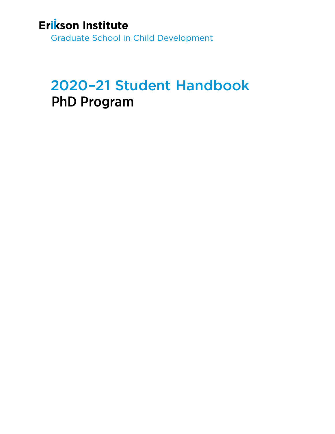## Erikson Institute

Graduate School in Child Development

# 2020–21 Student Handbook PhD Program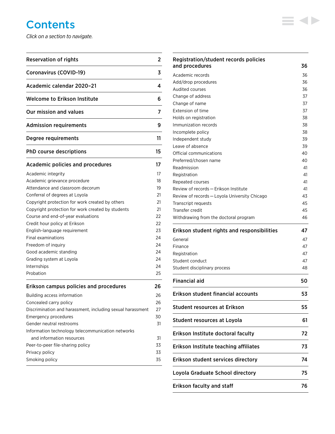## **Contents**

*Click on a section to navigate.*

| <b>Reservation of rights</b>                               | 2  |
|------------------------------------------------------------|----|
| <b>Coronavirus (COVID-19)</b>                              | 3  |
| Academic calendar 2020-21                                  | 4  |
| <b>Welcome to Erikson Institute</b>                        | 6  |
| Our mission and values                                     | 7  |
| <b>Admission requirements</b>                              | 9  |
| Degree requirements                                        | 11 |
| PhD course descriptions                                    | 15 |
| <b>Academic policies and procedures</b>                    | 17 |
| Academic integrity                                         | 17 |
| Academic grievance procedure                               | 18 |
| Attendance and classroom decorum                           | 19 |
| Conferral of degrees at Loyola                             | 21 |
| Copyright protection for work created by others            | 21 |
| Copyright protection for work created by students          | 21 |
| Course and end-of-year evaluations                         | 22 |
| Credit hour policy at Erikson                              | 22 |
| English-language requirement                               | 23 |
| Final examinations                                         | 24 |
| Freedom of inquiry                                         | 24 |
| Good academic standing                                     | 24 |
| Grading system at Loyola                                   | 24 |
| Internships                                                | 24 |
| Probation                                                  | 25 |
| Erikson campus policies and procedures                     | 26 |
| Building access information                                | 26 |
| Concealed carry policy                                     | 26 |
| Discrimination and harassment, including sexual harassment | 27 |
| Emergency procedures                                       | 30 |
| Gender neutral restrooms                                   | 31 |
| Information technology telecommunication networks          |    |
| and information resources                                  | 31 |
| Peer-to-peer file-sharing policy                           | 33 |
| Privacy policy                                             | 33 |
| Smoking policy                                             | 35 |

## [Registration/student records policies](#page-36-0)  [and procedures](#page-36-0) 36 [Academic records](#page-36-0) 36 [Add/drop procedures](#page-36-0) 36 [Audited courses](#page-36-0) 36 [Change of address](#page-37-0) 37 [Change of name](#page-37-0) 37 [Extension of time](#page-37-0) 37 [Holds on registration](#page-38-0) and the state of the state of the state of the state of the state of the state of the state of the state of the state of the state of the state of the state of the state of the state of the state of t [Immunization records](#page-38-0) 38 [Incomplete policy](#page-38-0) 38 [Independent study](#page-39-0) 39 [Leave of absence](#page-39-0) 39 [Official communications](#page-40-0) and the state of the 40 [Preferred/chosen name](#page-40-0) 40 [Readmission](#page-41-0) 41 [Registration](#page-41-0) 41 [Repeated courses](#page-41-0) 41 Review of records - Erikson Institute 41 [Review of records — Loyola University Chicago](#page-43-0) 43 [Transcript requests](#page-45-0) 45 [Transfer credit](#page-45-0) 45 [Withdrawing from the doctoral program](#page-46-0)  $46$ [Erikson student rights and responsibilities](#page-47-0) 47 [General](#page-47-0) 47 [Finance](#page-47-0) 47 [Registration](#page-47-0) **47** [Student conduct](#page-47-0) 47 [Student disciplinary process](#page-48-0) 48 [Financial aid](#page-50-0) 50 [Erikson student financial accounts](#page-53-0) 53 [Student resources at Erikson](#page-55-0) 55 [Student resources at Loyola](#page-61-0) 61 [Erikson Institute doctoral faculty](#page-72-0) 72 [Erikson Institute teaching affiliates](#page-73-0) 73 [Erikson student services directory](#page-74-0) 74 [Loyola Graduate School directory](#page-75-0) 75

**KID** 

[Erikson faculty and staff](#page-76-0) Theorem 2008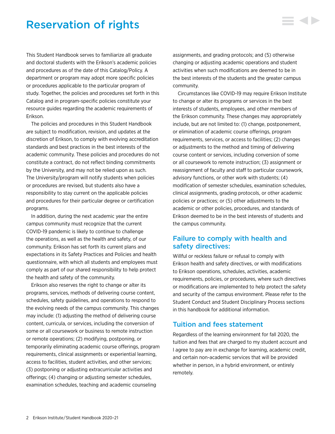## <span id="page-2-0"></span>Reservation of rights

This Student Handbook serves to familiarize all graduate and doctoral students with the Erikson's academic policies and procedures as of the date of this Catalog/Policy. A department or program may adopt more specific policies or procedures applicable to the particular program of study. Together, the policies and procedures set forth in this Catalog and in program-specific policies constitute your resource guides regarding the academic requirements of Erikson.

The policies and procedures in this Student Handbook are subject to modification, revision, and updates at the discretion of Erikson, to comply with evolving accreditation standards and best practices in the best interests of the academic community. These policies and procedures do not constitute a contract, do not reflect binding commitments by the University, and may not be relied upon as such. The University/program will notify students when policies or procedures are revised, but students also have a responsibility to stay current on the applicable policies and procedures for their particular degree or certification programs.

In addition, during the next academic year the entire campus community must recognize that the current COVID-19 pandemic is likely to continue to challenge the operations, as well as the health and safety, of our community. Erikson has set forth its current plans and expectations in its Safety Practices and Policies and health questionnaire, with which all students and employees must comply as part of our shared responsibility to help protect the health and safety of the community.

Erikson also reserves the right to change or alter its programs, services, methods of delivering course content, schedules, safety guidelines, and operations to respond to the evolving needs of the campus community. This changes may include: (1) adjusting the method of delivering course content, curricula, or services, including the conversion of some or all coursework or business to remote instruction or remote operations; (2) modifying, postponing, or temporarily eliminating academic course offerings, program requirements, clinical assignments or experiential learning, access to facilities, student activities, and other services; (3) postponing or adjusting extracurricular activities and offerings; (4) changing or adjusting semester schedules, examination schedules, teaching and academic counseling

assignments, and grading protocols; and (5) otherwise changing or adjusting academic operations and student activities when such modifications are deemed to be in the best interests of the students and the greater campus community.

Circumstances like COVID-19 may require Erikson Institute to change or alter its programs or services in the best interests of students, employees, and other members of the Erikson community. These changes may appropriately include, but are not limited to: (1) change, postponement, or elimination of academic course offerings, program requirements, services, or access to facilities; (2) changes or adjustments to the method and timing of delivering course content or services, including conversion of some or all coursework to remote instruction; (3) assignment or reassignment of faculty and staff to particular coursework, advisory functions, or other work with students; (4) modification of semester schedules, examination schedules, clinical assignments, grading protocols, or other academic policies or practices; or (5) other adjustments to the academic or other policies, procedures, and standards of Erikson deemed to be in the best interests of students and the campus community.

## Failure to comply with health and safety directives:

Willful or reckless failure or refusal to comply with Erikson health and safety directives, or with modifications to Erikson operations, schedules, activities, academic requirements, policies, or procedures, where such directives or modifications are implemented to help protect the safety and security of the campus environment. Please refer to the Student Conduct and Student Disciplinary Process sections in this handbook for additional information.

### Tuition and fees statement

Regardless of the learning environment for fall 2020, the tuition and fees that are charged to my student account and I agree to pay are in exchange for learning, academic credit, and certain non-academic services that will be provided whether in person, in a hybrid environment, or entirely remotely.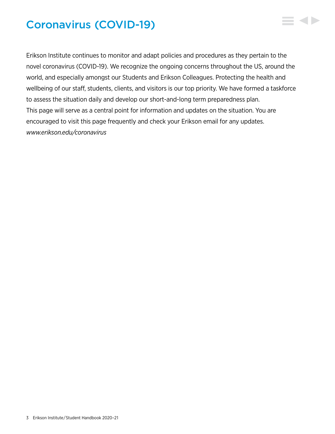## <span id="page-3-0"></span>Coronavirus (COVID-19)

Erikson Institute continues to monitor and adapt policies and procedures as they pertain to the novel coronavirus (COVID-19). We recognize the ongoing concerns throughout the US, around the world, and especially amongst our Students and Erikson Colleagues. Protecting the health and wellbeing of our staff, students, clients, and visitors is our top priority. We have formed a taskforce to assess the situation daily and develop our short-and-long term preparedness plan. This page will serve as a central point for information and updates on the situation. You are encouraged to visit this page frequently and check your Erikson email for any updates. *[www.erikson.edu/coronavirus](https://www.erikson.edu/coronavirus/)*

 $\blacktriangleleft$  b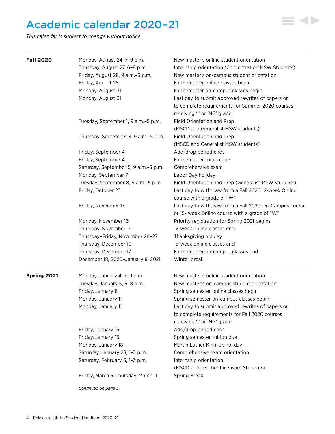## <span id="page-4-0"></span>Academic calendar 2020–21

*This calendar is subject to change without notice.*

| <b>Fall 2020</b> | Monday, August 24, 7-9 p.m.                                | New master's online student orientation                                            |
|------------------|------------------------------------------------------------|------------------------------------------------------------------------------------|
|                  | Thursday, August 27, 6-8 p.m.                              | Internship orientation (Concentration MSW Students)                                |
|                  | Friday, August 28, 9 a.m.-3 p.m.                           | New master's on-campus student orientation                                         |
|                  | Friday, August 28                                          | Fall semester online classes begin                                                 |
|                  | Monday, August 31                                          | Fall semester on-campus classes begin                                              |
|                  | Monday, August 31                                          | Last day to submit approved rewrites of papers or                                  |
|                  |                                                            | to complete requirements for Summer 2020 courses                                   |
|                  |                                                            | receiving 'l' or 'NG' grade                                                        |
|                  | Tuesday, September 1, 9 a.m. - 5 p.m.                      | Field Orientation and Prep                                                         |
|                  |                                                            | (MSCD and Generalist MSW students)                                                 |
|                  | Thursday, September 3, 9 a.m.-5 p.m.                       | Field Orientation and Prep                                                         |
|                  |                                                            | (MSCD and Generalist MSW students)                                                 |
|                  | Friday, September 4                                        | Add/drop period ends                                                               |
|                  | Friday, September 4                                        | Fall semester tuition due                                                          |
|                  | Saturday, September 5, 9 a.m.-3 p.m.                       | Comprehensive exam                                                                 |
|                  | Monday, September 7                                        | Labor Day holiday                                                                  |
|                  | Tuesday, September 8, 9 a.m.-5 p.m.                        | Field Orientation and Prep (Generalist MSW students)                               |
|                  | Friday, October 23                                         | Last day to withdraw from a Fall 2020 12-week Online<br>course with a grade of "W" |
|                  | Friday, November 13                                        | Last day to withdraw from a Fall 2020 On-Campus course                             |
|                  |                                                            | or 15- week Online course with a grade of "W"                                      |
|                  | Monday, November 16                                        | Priority registration for Spring 2021 begins                                       |
|                  | Thursday, November 19                                      | 12-week online classes end                                                         |
|                  | Thursday-Friday, November 26-27                            | Thanksgiving holiday                                                               |
|                  | Thursday, December 10                                      | 15-week online classes end                                                         |
|                  |                                                            |                                                                                    |
|                  | Thursday, December 17<br>December 18, 2020-January 8, 2021 | Fall semester on-campus classes end<br>Winter break                                |
| Spring 2021      | Monday, January 4, 7-9 p.m.                                | New master's online student orientation                                            |
|                  | Tuesday, January 5, 6-8 p.m.                               | New master's on-campus student orientation                                         |
|                  | Friday, January 8                                          | Spring semester online classes begin                                               |
|                  | Monday, January 11                                         | Spring semester on-campus classes begin                                            |
|                  | Monday, January 11                                         | Last day to submit approved rewrites of papers or                                  |
|                  |                                                            | to complete requirements for Fall 2020 courses                                     |
|                  |                                                            | receiving 'l' or 'NG' grade                                                        |
|                  | Friday, January 15                                         | Add/drop period ends                                                               |
|                  | Friday, January 15                                         | Spring semester tuition due                                                        |
|                  | Monday, January 18                                         | Martin Luther King, Jr. holiday                                                    |
|                  | Saturday, January 23, 1-3 p.m.                             | Comprehensive exam orientation                                                     |
|                  | Saturday, February 6, 1-3 p.m.                             | Internship orientation                                                             |
|                  |                                                            | (MSCD and Teacher Licensure Students)                                              |
|                  |                                                            |                                                                                    |
|                  | Friday, March 5-Thursday, March 11                         | Spring Break                                                                       |
|                  | Continued on page 3                                        |                                                                                    |

▘◀▶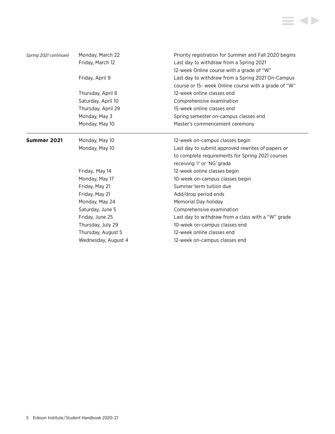

| Spring 2021 continued | Monday, March 22<br>Friday, March 12 | Priority registration for Summer and Fall 2020 begins<br>Last day to withdraw from a Spring 2021<br>12-week Online course with a grade of "W" |
|-----------------------|--------------------------------------|-----------------------------------------------------------------------------------------------------------------------------------------------|
|                       | Friday, April 9                      | Last day to withdraw from a Spring 2021 On-Campus<br>course or 15- week Online course with a grade of "W"                                     |
|                       | Thursday, April 8                    | 12-week online classes end                                                                                                                    |
|                       | Saturday, April 10                   | Comprehensive examination                                                                                                                     |
|                       | Thursday, April 29                   | 15-week online classes end                                                                                                                    |
|                       | Monday, May 3                        | Spring semester on-campus classes end                                                                                                         |
|                       | Monday, May 10                       | Master's commencement ceremony                                                                                                                |
| Summer 2021           | Monday, May 10                       | 12-week on-campus classes begin                                                                                                               |
|                       | Monday, May 10                       | Last day to submit approved rewrites of papers or                                                                                             |
|                       |                                      | to complete requirements for Spring 2021 courses                                                                                              |
|                       |                                      | receiving 'l' or 'NG' grade                                                                                                                   |
|                       | Friday, May 14                       | 12-week online classes begin                                                                                                                  |
|                       | Monday, May 17                       | 10-week on-campus classes begin                                                                                                               |
|                       | Friday, May 21                       | Summer term tuition due                                                                                                                       |
|                       | Friday, May 21                       | Add/drop period ends                                                                                                                          |
|                       | Monday, May 24                       | Memorial Day holiday                                                                                                                          |
|                       | Saturday, June 5                     | Comprehensive examination                                                                                                                     |
|                       | Friday, June 25                      | Last day to withdraw from a class with a "W" grade                                                                                            |
|                       | Thursday, July 29                    | 10-week on-campus classes end                                                                                                                 |
|                       | Thursday, August 5                   | 12-week online classes end                                                                                                                    |
|                       | Wednesday, August 4                  | 12-week on-campus classes end                                                                                                                 |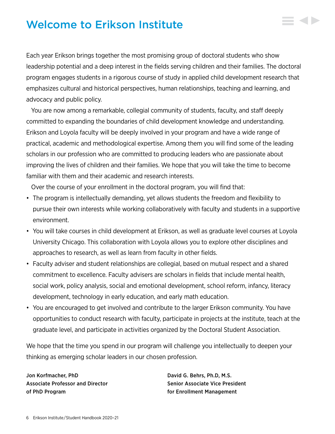## <span id="page-6-0"></span>Welcome to Erikson Institute

Each year Erikson brings together the most promising group of doctoral students who show leadership potential and a deep interest in the fields serving children and their families. The doctoral program engages students in a rigorous course of study in applied child development research that emphasizes cultural and historical perspectives, human relationships, teaching and learning, and advocacy and public policy.

You are now among a remarkable, collegial community of students, faculty, and staff deeply committed to expanding the boundaries of child development knowledge and understanding. Erikson and Loyola faculty will be deeply involved in your program and have a wide range of practical, academic and methodological expertise. Among them you will find some of the leading scholars in our profession who are committed to producing leaders who are passionate about improving the lives of children and their families. We hope that you will take the time to become familiar with them and their academic and research interests.

Over the course of your enrollment in the doctoral program, you will find that:

- The program is intellectually demanding, yet allows students the freedom and flexibility to pursue their own interests while working collaboratively with faculty and students in a supportive environment.
- You will take courses in child development at Erikson, as well as graduate level courses at Loyola University Chicago. This collaboration with Loyola allows you to explore other disciplines and approaches to research, as well as learn from faculty in other fields.
- Faculty adviser and student relationships are collegial, based on mutual respect and a shared commitment to excellence. Faculty advisers are scholars in fields that include mental health, social work, policy analysis, social and emotional development, school reform, infancy, literacy development, technology in early education, and early math education.
- You are encouraged to get involved and contribute to the larger Erikson community. You have opportunities to conduct research with faculty, participate in projects at the institute, teach at the graduate level, and participate in activities organized by the Doctoral Student Association.

We hope that the time you spend in our program will challenge you intellectually to deepen your thinking as emerging scholar leaders in our chosen profession.

Jon Korfmacher, PhD David G. Behrs, Ph.D, M.S. Associate Professor and Director Senior Senior Associate Vice President of PhD Program for Enrollment Management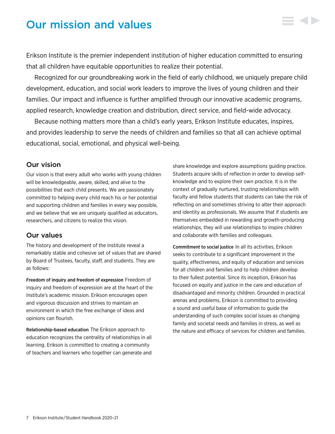## <span id="page-7-0"></span>Our mission and values

Erikson Institute is the premier independent institution of higher education committed to ensuring that all children have equitable opportunities to realize their potential.

Recognized for our groundbreaking work in the field of early childhood, we uniquely prepare child development, education, and social work leaders to improve the lives of young children and their families. Our impact and influence is further amplified through our innovative academic programs, applied research, knowledge creation and distribution, direct service, and field-wide advocacy.

Because nothing matters more than a child's early years, Erikson Institute educates, inspires, and provides leadership to serve the needs of children and families so that all can achieve optimal educational, social, emotional, and physical well-being.

### Our vision

Our vision is that every adult who works with young children will be knowledgeable, aware, skilled, and alive to the possibilities that each child presents. We are passionately committed to helping every child reach his or her potential and supporting children and families in every way possible, and we believe that we are uniquely qualified as educators, researchers, and citizens to realize this vision.

### Our values

The history and development of the Institute reveal a remarkably stable and cohesive set of values that are shared by Board of Trustees, faculty, staff, and students. They are as follows:

Freedom of inquiry and freedom of expression Freedom of inquiry and freedom of expression are at the heart of the Institute's academic mission. Erikson encourages open and vigorous discussion and strives to maintain an environment in which the free exchange of ideas and opinions can flourish.

Relationship-based education The Erikson approach to education recognizes the centrality of relationships in all learning. Erikson is committed to creating a community of teachers and learners who together can generate and

share knowledge and explore assumptions guiding practice. Students acquire skills of reflection in order to develop selfknowledge and to explore their own practice. It is in the context of gradually nurtured, trusting relationships with faculty and fellow students that students can take the risk of reflecting on and sometimes striving to alter their approach and identity as professionals. We assume that if students are themselves embedded in rewarding and growth-producing relationships, they will use relationships to inspire children and collaborate with families and colleagues.

Commitment to social justice In all its activities, Erikson seeks to contribute to a significant improvement in the quality, effectiveness, and equity of education and services for all children and families and to help children develop to their fullest potential. Since its inception, Erikson has focused on equity and justice in the care and education of disadvantaged and minority children. Grounded in practical arenas and problems, Erikson is committed to providing a sound and useful base of information to guide the understanding of such complex social issues as changing family and societal needs and families in stress, as well as the nature and efficacy of services for children and families.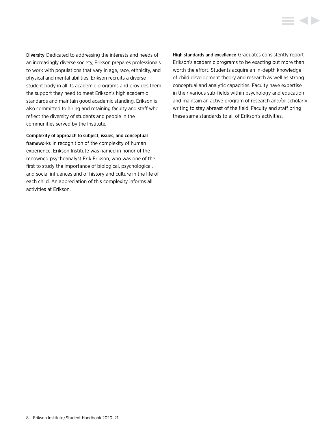Diversity Dedicated to addressing the interests and needs of an increasingly diverse society, Erikson prepares professionals to work with populations that vary in age, race, ethnicity, and physical and mental abilities. Erikson recruits a diverse student body in all its academic programs and provides them the support they need to meet Erikson's high academic standards and maintain good academic standing. Erikson is also committed to hiring and retaining faculty and staff who reflect the diversity of students and people in the communities served by the Institute.

Complexity of approach to subject, issues, and conceptual frameworks In recognition of the complexity of human experience, Erikson Institute was named in honor of the renowned psychoanalyst Erik Erikson, who was one of the first to study the importance of biological, psychological, and social influences and of history and culture in the life of each child. An appreciation of this complexity informs all activities at Erikson.

High standards and excellence Graduates consistently report Erikson's academic programs to be exacting but more than worth the effort. Students acquire an in-depth knowledge of child development theory and research as well as strong conceptual and analytic capacities. Faculty have expertise in their various sub-fields within psychology and education and maintain an active program of research and/or scholarly writing to stay abreast of the field. Faculty and staff bring these same standards to all of Erikson's activities.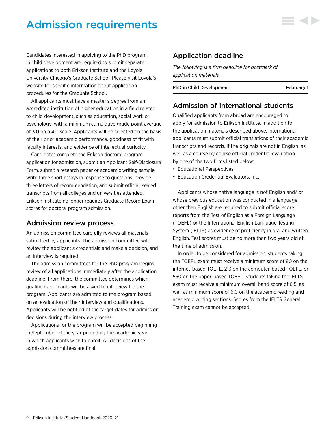## <span id="page-9-0"></span>Admission requirements

Candidates interested in applying to the PhD program in child development are required to submit separate applications to both Erikson Institute and the Loyola University Chicago's Graduate School. Please visit Loyola's website for specific information about application procedures for the Graduate School.

All applicants must have a master's degree from an accredited institution of higher education in a field related to child development, such as education, social work or psychology, with a minimum cumulative grade point average of 3.0 on a 4.0 scale. Applicants will be selected on the basis of their prior academic performance, goodness of fit with faculty interests, and evidence of intellectual curiosity.

Candidates complete the Erikson doctoral program application for admission, submit an Applicant Self-Disclosure Form, submit a research paper or academic writing sample, write three short essays in response to questions, provide three letters of recommendation, and submit official, sealed transcripts from all colleges and universities attended. Erikson Institute no longer requires Graduate Record Exam scores for doctoral program admission.

### Admission review process

An admission committee carefully reviews all materials submitted by applicants. The admission committee will review the applicant's credentials and make a decision, and an interview is required.

The admission committees for the PhD program begins review of all applications immediately after the application deadline. From there, the committee determines which qualified applicants will be asked to interview for the program. Applicants are admitted to the program based on an evaluation of their interview and qualifications. Applicants will be notified of the target dates for admission decisions during the interview process.

Applications for the program will be accepted beginning in September of the year preceding the academic year in which applicants wish to enroll. All decisions of the admission committees are final.

## Application deadline

*The following is a firm deadline for postmark of application materials.*

PhD in Child Development February 1

## Admission of international students

Qualified applicants from abroad are encouraged to apply for admission to Erikson Institute. In addition to the application materials described above, international applicants must submit official translations of their academic transcripts and records, if the originals are not in English, as well as a course by course official credential evaluation by one of the two firms listed below:

- Educational Perspectives
- Education Credential Evaluators, Inc.

Applicants whose native language is not English and/ or whose previous education was conducted in a language other then English are required to submit official score reports from the Test of English as a Foreign Language (TOEFL) or the International English Language Testing System (IELTS) as evidence of proficiency in oral and written English. Test scores must be no more than two years old at the time of admission.

In order to be considered for admission, students taking the TOEFL exam must receive a minimum score of 80 on the internet-based TOEFL, 213 on the computer-based TOEFL, or 550 on the paper-based TOEFL. Students taking the IELTS exam must receive a minimum overall band score of 6.5, as well as minimum score of 6.0 on the academic reading and academic writing sections. Scores from the IELTS General Training exam cannot be accepted.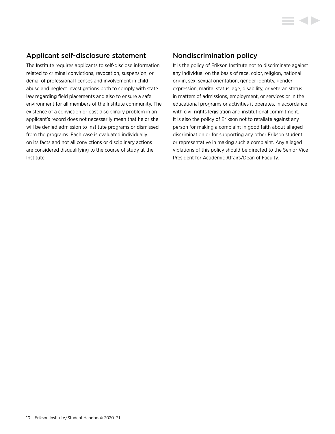## Applicant self-disclosure statement

The Institute requires applicants to self-disclose information related to criminal convictions, revocation, suspension, or denial of professional licenses and involvement in child abuse and neglect investigations both to comply with state law regarding field placements and also to ensure a safe environment for all members of the Institute community. The existence of a conviction or past disciplinary problem in an applicant's record does not necessarily mean that he or she will be denied admission to Institute programs or dismissed from the programs. Each case is evaluated individually on its facts and not all convictions or disciplinary actions are considered disqualifying to the course of study at the Institute.

## Nondiscrimination policy

It is the policy of Erikson Institute not to discriminate against any individual on the basis of race, color, religion, national origin, sex, sexual orientation, gender identity, gender expression, marital status, age, disability, or veteran status in matters of admissions, employment, or services or in the educational programs or activities it operates, in accordance with civil rights legislation and institutional commitment. It is also the policy of Erikson not to retaliate against any person for making a complaint in good faith about alleged discrimination or for supporting any other Erikson student or representative in making such a complaint. Any alleged violations of this policy should be directed to the Senior Vice President for Academic Affairs/Dean of Faculty.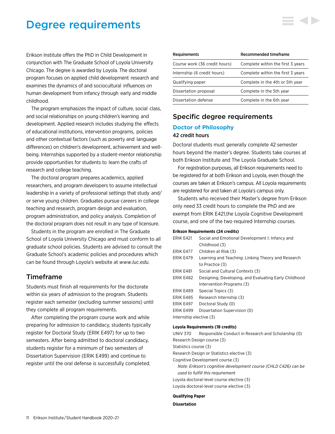## <span id="page-11-0"></span>Degree requirements

Erikson Institute offers the PhD in Child Development in conjunction with The Graduate School of Loyola University Chicago. The degree is awarded by Loyola. The doctoral program focuses on applied child development research and examines the dynamics of and sociocultural influences on human development from infancy through early and middle childhood.

The program emphasizes the impact of culture, social class, and social relationships on young children's learning and development. Applied research includes studying the effects of educational institutions, intervention programs, policies and other contextual factors (such as poverty and language differences) on children's development, achievement and wellbeing. Internships supported by a student-mentor relationship provide opportunities for students to learn the crafts of research and college teaching.

The doctoral program prepares academics, applied researchers, and program developers to assume intellectual leadership in a variety of professional settings that study and/ or serve young children. Graduates pursue careers in college teaching and research, program design and evaluation, program administration, and policy analysis. Completion of the doctoral program does not result in any type of licensure.

Students in the program are enrolled in The Graduate School of Loyola University Chicago and must conform to all graduate school policies. Students are advised to consult the Graduate School's academic policies and procedures which can be found through Loyola's website at *[www.luc.edu](http://www.luc.edu)*.

## Timeframe

Students must finish all requirements for the doctorate within six years of admission to the program. Students register each semester (excluding summer sessions) until they complete all program requirements.

After completing the program course work and while preparing for admission to candidacy, students typically register for Doctoral Study (ERIK E497) for up to two semesters. After being admitted to doctoral candidacy, students register for a minimum of two semesters of Dissertation Supervision (ERIK E499) and continue to register until the oral defense is successfully completed.

| <b>Requirements</b>           | Recommended timeframe             |
|-------------------------------|-----------------------------------|
| Course work (36 credit hours) | Complete within the first 3 years |
| Internship (6 credit hours)   | Complete within the first 3 years |
| Qualifying paper              | Complete in the 4th or 5th year   |
| Dissertation proposal         | Complete in the 5th year          |
| Dissertation defense          | Complete in the 6th year          |

## Specific degree requirements

#### **Doctor of Philosophy**

#### 42 credit hours

Doctoral students must generally complete 42 semester hours beyond the master's degree. Students take courses at both Erikson Institute and The Loyola Graduate School.

For registration purposes, all Erikson requirements need to be registered for at both Erikson and Loyola, even though the courses are taken at Erikson's campus. All Loyola requirements are registered for and taken at Loyola's campus only.

Students who received their Master's degree from Erikson only need 33 credit hours to complete the PhD and are exempt from ERIK E421,the Loyola Cognitive Development course, and one of the two required Internship courses.

#### **Erikson Requirements (24 credits)**

| ERIK E421               | Social and Emotional Development I: Infancy and       |  |
|-------------------------|-------------------------------------------------------|--|
|                         | Childhood (3)                                         |  |
| ERIK E477               | Children at Risk (3)                                  |  |
| ERIK E479               | Learning and Teaching: Linking Theory and Research    |  |
|                         | to Practice (3)                                       |  |
| ERIK E481               | Social and Cultural Contexts (3)                      |  |
| ERIK E482               | Designing, Developing, and Evaluating Early Childhood |  |
|                         | Intervention Programs (3)                             |  |
| ERIK E489               | Special Topics (3)                                    |  |
| ERIK E485               | Research Internship (3)                               |  |
| <b>ERIK E497</b>        | Doctoral Study (0)                                    |  |
| ERIK E499               | Dissertation Supervision (0)                          |  |
| Internship elective (3) |                                                       |  |

#### **Loyola Requirements (18 credits)**

UNIV 370 Responsible Conduct in Research and Scholarship (0) Research Design course (3) Statistics course (3) Research Design or Statistics elective (3) Cognitive Development course (3) *Note: Erikson's cognitive development course (CHLD C426) can be used to fulfill this requirement* Loyola doctoral-level course elective (3) Loyola doctoral-level course elective (3)

#### **Qualifying Paper**

#### **Dissertation**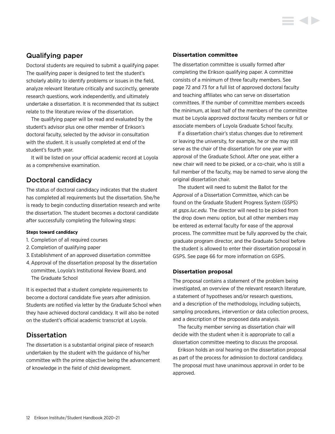## Qualifying paper

Doctoral students are required to submit a qualifying paper. The qualifying paper is designed to test the student's scholarly ability to identify problems or issues in the field, analyze relevant literature critically and succinctly, generate research questions, work independently, and ultimately undertake a dissertation. It is recommended that its subject relate to the literature review of the dissertation.

The qualifying paper will be read and evaluated by the student's advisor plus one other member of Erikson's doctoral faculty, selected by the advisor in consultation with the student. It is usually completed at end of the student's fourth year.

It will be listed on your official academic record at Loyola as a comprehensive examination.

## Doctoral candidacy

The status of doctoral candidacy indicates that the student has completed all requirements but the dissertation. She/he is ready to begin conducting dissertation research and write the dissertation. The student becomes a doctoral candidate after successfully completing the following steps:

#### **Steps toward candidacy**

- 1. Completion of all required courses
- 2. Completion of qualifying paper
- 3. Establishment of an approved dissertation committee
- 4.Approval of the dissertation proposal by the dissertation committee, Loyola's Institutional Review Board, and The Graduate School

It is expected that a student complete requirements to become a doctoral candidate five years after admission. Students are notified via letter by the Graduate School when they have achieved doctoral candidacy. It will also be noted on the student's official academic transcript at Loyola.

## **Dissertation**

The dissertation is a substantial original piece of research undertaken by the student with the guidance of his/her committee with the prime objective being the advancement of knowledge in the field of child development.

#### **Dissertation committee**

The dissertation committee is usually formed after completing the Erikson qualifying paper. A committee consists of a minimum of three faculty members. [See](#page-72-0)  [page 72 and 73](#page-72-0) for a full list of approved doctoral faculty and teaching affiliates who can serve on dissertation committees. If the number of committee members exceeds the minimum, at least half of the members of the committee must be Loyola approved doctoral faculty members or full or associate members of Loyola Graduate School faculty.

If a dissertation chair's status changes due to retirement or leaving the university, for example, he or she may still serve as the chair of the dissertation for one year with approval of the Graduate School. After one year, either a new chair will need to be picked, or a co-chair, who is still a full member of the faculty, may be named to serve along the original dissertation chair.

The student will need to submit the Ballot for the Approval of a Dissertation Committee, which can be found on the Graduate Student Progress System (GSPS) at *[gsps.luc.edu.](http://gsps.luc.edu)* The director will need to be picked from the drop down menu option, but all other members may be entered as external faculty for ease of the approval process. The committee must be fully approved by the chair, graduate program director, and the Graduate School before the student is allowed to enter their dissertation proposal in GSPS. [See page 66 for more information on GSPS.](#page-66-0)

#### **Dissertation proposal**

The proposal contains a statement of the problem being investigated, an overview of the relevant research literature, a statement of hypotheses and/or research questions, and a description of the methodology, including subjects, sampling procedures, intervention or data collection process, and a description of the proposed data analysis.

The faculty member serving as dissertation chair will decide with the student when it is appropriate to call a dissertation committee meeting to discuss the proposal.

Erikson holds an oral hearing on the dissertation proposal as part of the process for admission to doctoral candidacy. The proposal must have unanimous approval in order to be approved.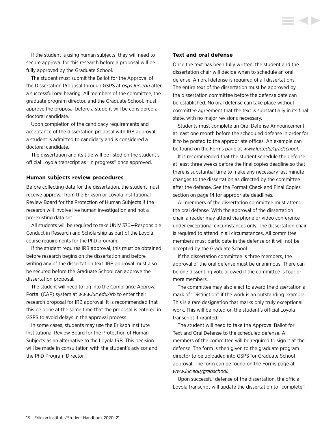If the student is using human subjects, they will need to secure approval for this research before a proposal will be fully approved by the Graduate School.

The student must submit the Ballot for the Approval of the Dissertation Proposal through GSPS at *[gsps.luc.edu](http://gsps.luc.edu)* after a successful oral hearing. All members of the committee, the graduate program director, and the Graduate School, must approve the proposal before a student will be considered a doctoral candidate.

Upon completion of the candidacy requirements and acceptance of the dissertation proposal with IRB approval, a student is admitted to candidacy and is considered a doctoral candidate.

The dissertation and its title will be listed on the student's official Loyola transcript as "in progress" once approved.

#### **Human subjects review procedures**

Before collecting data for the dissertation, the student must receive approval from the Erikson or Loyola Institutional Review Board for the Protection of Human Subjects if the research will involve live human investigation and not a pre-existing data set.

All students will be required to take UNIV 370—Responsible Conduct in Research and Scholarship as part of the Loyola course requirements for the PhD program.

If the student requires IRB approval, this must be obtained before research begins on the dissertation and before writing any of the dissertation text. IRB approval must also be secured before the Graduate School can approve the dissertation proposal.

The student will need to log into the Compliance Approval Portal (CAP) system at *[www.luc.edu/irb](http://www.luc.edu/irb)* to enter their research proposal for IRB approval. It is recommended that this be done at the same time that the proposal is entered in GSPS to avoid delays in the approval process.

In some cases, students may use the Erikson Institute Institutional Review Board for the Protection of Human Subjects as an alternative to the Loyola IRB. This decision will be made in consultation with the student's advisor and the PhD Program Director.

#### **Text and oral defense**

Once the text has been fully written, the student and the dissertation chair will decide when to schedule an oral defense. An oral defense is required of all dissertations. The entire text of the dissertation must be approved by the dissertation committee before the defense date can be established. No oral defense can take place without committee agreement that the text is substantially in its final state, with no major revisions necessary.

Students must complete an Oral Defense Announcement at least one month before the scheduled defense in order for it to be posted to the appropriate offices. An example can be found on the Forms page at *[www.luc.edu/gradschool](http://www.luc.edu/gradschool)*.

It is recommended that the student schedule the defense at least three weeks before the final copies deadline so that there is substantial time to make any necessary last minute changes to the dissertation as directed by the committee after the defense. [See the Format Check and Final Copies](#page-14-0)  [section on page 14](#page-14-0) for appropriate deadlines.

All members of the dissertation committee must attend the oral defense. With the approval of the dissertation chair, a reader may attend via phone or video conference under exceptional circumstances only. The dissertation chair is required to attend in all circumstances. All committee members must participate in the defense or it will not be accepted by the Graduate School.

If the dissertation committee is three members, the approval of the oral defense must be unanimous. There can be one dissenting vote allowed if the committee is four or more members.

The committee may also elect to award the dissertation a mark of "Distinction" if the work is an outstanding example. This is a rare designation that marks only truly exceptional work. This will be noted on the student's official Loyola transcript if granted.

The student will need to take the Approval Ballot for Text and Oral Defense to the scheduled defense. All members of the committee will be required to sign it at the defense. The form is then given to the graduate program director to be uploaded into GSPS for Graduate School approval. The form can be found on the Forms page at *[www.luc.edu/gradschool.](http://www.luc.edu/gradschool)*

Upon successful defense of the dissertation, the official Loyola transcript will update the dissertation to "complete."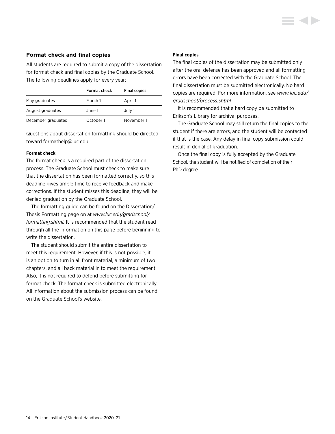#### <span id="page-14-0"></span>**Format check and final copies**

All students are required to submit a copy of the dissertation for format check and final copies by the Graduate School. The following deadlines apply for every year:

|                    | Format check | <b>Final copies</b> |  |
|--------------------|--------------|---------------------|--|
| May graduates      | March 1      | April 1             |  |
| August graduates   | June 1       | July 1              |  |
| December graduates | October 1    | November 1          |  |

Questions about dissertation formatting should be directed toward [formathelp@luc.edu.](mailto:formathelp%40luc.edu?subject=)

#### **Format check**

The format check is a required part of the dissertation process. The Graduate School must check to make sure that the dissertation has been formatted correctly, so this deadline gives ample time to receive feedback and make corrections. If the student misses this deadline, they will be denied graduation by the Graduate School.

The formatting guide can be found on the Dissertation/ Thesis Formatting page on at *[www.luc.edu/gradschool/](http://www.luc.edu/gradschool/formatting.shtml) [formatting.shtml.](http://www.luc.edu/gradschool/formatting.shtml)* It is recommended that the student read through all the information on this page before beginning to write the dissertation.

The student should submit the entire dissertation to meet this requirement. However, if this is not possible, it is an option to turn in all front material, a minimum of two chapters, and all back material in to meet the requirement. Also, it is not required to defend before submitting for format check. The format check is submitted electronically. All information about the submission process can be found on the Graduate School's website.

#### **Final copies**

The final copies of the dissertation may be submitted only after the oral defense has been approved and all formatting errors have been corrected with the Graduate School. The final dissertation must be submitted electronically. No hard copies are required. For more information, see *[www.luc.edu/](http://www.luc.edu/gradschool/process.shtml) [gradschool/process.shtml](http://www.luc.edu/gradschool/process.shtml)*

It is recommended that a hard copy be submitted to Erikson's Library for archival purposes.

The Graduate School may still return the final copies to the student if there are errors, and the student will be contacted if that is the case. Any delay in final copy submission could result in denial of graduation.

Once the final copy is fully accepted by the Graduate School, the student will be notified of completion of their PhD degree.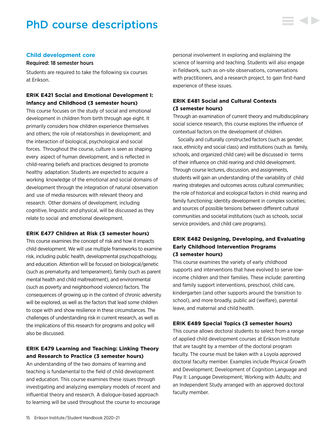## <span id="page-15-0"></span>PhD course descriptions



#### **Child development core**

#### Required: 18 semester hours

Students are required to take the following six courses at Erikson.

### **ERIK E421 Social and Emotional Development I: Infancy and Childhood (3 semester hours)**

This course focuses on the study of social and emotional development in children from birth through age eight. It primarily considers how children experience themselves and others; the role of relationships in development; and the interaction of biological, psychological and social forces. Throughout the course, culture is seen as shaping every aspect of human development, and is reflected in child-rearing beliefs and practices designed to promote healthy adaptation. Students are expected to acquire a working knowledge of the emotional and social domains of development through the integration of natural observation and use of media resources with relevant theory and research. Other domains of development, including cognitive, linguistic and physical, will be discussed as they relate to social and emotional development.

#### **ERIK E477 Children at Risk (3 semester hours)**

This course examines the concept of risk and how it impacts child development. We will use multiple frameworks to examine risk, including public health, developmental psychopathology, and education. Attention will be focused on biological/genetic (such as prematurity and temperament), family (such as parent mental health and child maltreatment), and environmental (such as poverty and neighborhood violence) factors. The consequences of growing up in the context of chronic adversity will be explored, as well as the factors that lead some children to cope with and show resilience in these circumstances. The challenges of understanding risk in current research, as well as the implications of this research for programs and policy will also be discussed.

### **ERIK E479 Learning and Teaching: Linking Theory and Research to Practice (3 semester hours)**

An understanding of the two domains of learning and teaching is fundamental to the field of child development and education. This course examines these issues through investigating and analyzing exemplary models of recent and influential theory and research. A dialogue-based approach to learning will be used throughout the course to encourage personal involvement in exploring and explaining the science of learning and teaching. Students will also engage in fieldwork, such as on-site observations, conversations with practitioners, and a research project, to gain first-hand experience of these issues.

### **ERIK E481 Social and Cultural Contexts (3 semester hours)**

Through an examination of current theory and multidisciplinary social science research, this course explores the influence of contextual factors on the development of children.

Socially and culturally constructed factors (such as gender, race, ethnicity and social class) and institutions (such as family, schools, and organized child care) will be discussed in terms of their influence on child rearing and child development. Through course lectures, discussion, and assignments, students will gain an understanding of the variability of child rearing strategies and outcomes across cultural communities; the role of historical and ecological factors in child rearing and family functioning; identity development in complex societies; and sources of possible tensions between different cultural communities and societal institutions (such as schools, social service providers, and child care programs).

### **ERIK E482 Designing, Developing, and Evaluating Early Childhood Intervention Programs (3 semester hours)**

This course examines the variety of early childhood supports and interventions that have evolved to serve lowincome children and their families. These include: parenting and family support interventions, preschool, child care, kindergarten (and other supports around the transition to school), and more broadly, public aid (welfare), parental leave, and maternal and child health.

#### **ERIK E489 Special Topics (3 semester hours)**

This course allows doctoral students to select from a range of applied child development courses at Erikson Institute that are taught by a member of the doctoral program faculty. The course must be taken with a Loyola approved doctoral faculty member. Examples include Physical Growth and Development; Development of Cognition Language and Play II: Language Development; Working with Adults; and an Independent Study arranged with an approved doctoral faculty member.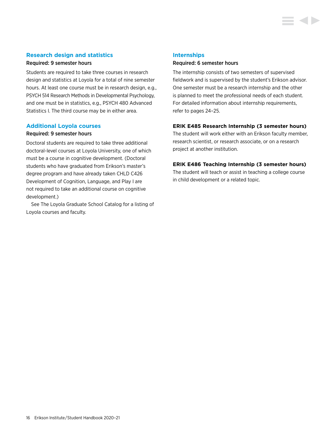#### **Research design and statistics**

#### Required: 9 semester hours

Students are required to take three courses in research design and statistics at Loyola for a total of nine semester hours. At least one course must be in research design, e.g., PSYCH 514 Research Methods in Developmental Psychology, and one must be in statistics, e.g., PSYCH 480 Advanced Statistics I. The third course may be in either area.

#### **Additional Loyola courses**

#### Required: 9 semester hours

Doctoral students are required to take three additional doctoral-level courses at Loyola University, one of which must be a course in cognitive development. (Doctoral students who have graduated from Erikson's master's degree program and have already taken CHLD C426 Development of Cognition, Language, and Play I are not required to take an additional course on cognitive development.)

See The Loyola Graduate School Catalog for a listing of Loyola courses and faculty.

#### **Internships**

#### Required: 6 semester hours

The internship consists of two semesters of supervised fieldwork and is supervised by the student's Erikson advisor. One semester must be a research internship and the other is planned to meet the professional needs of each student. For detailed information about [internship requirements,](#page-24-0)  [refer to pages 24–25.](#page-24-0)

#### **ERIK E485 Research Internship (3 semester hours)**

The student will work either with an Erikson faculty member, research scientist, or research associate, or on a research project at another institution.

#### **ERIK E486 Teaching Internship (3 semester hours)**

The student will teach or assist in teaching a college course in child development or a related topic.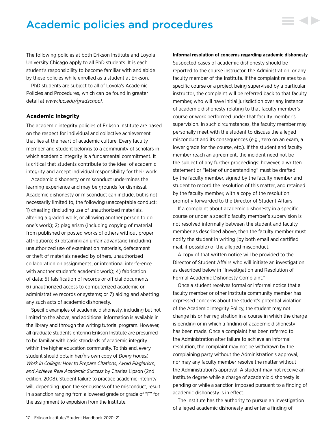## <span id="page-17-0"></span>Academic policies and procedures

The following policies at both Erikson Institute and Loyola University Chicago apply to all PhD students. It is each student's responsibility to become familiar with and abide by these policies while enrolled as a student at Erikson.

PhD students are subject to all of Loyola's Academic Policies and Procedures, which can be found in greater detail at *[www.luc.edu/gradschool](http://www.luc.edu/gradschool).*

#### **Academic integrity**

The academic integrity policies of Erikson Institute are based on the respect for individual and collective achievement that lies at the heart of academic culture. Every faculty member and student belongs to a community of scholars in which academic integrity is a fundamental commitment. It is critical that students contribute to the ideal of academic integrity and accept individual responsibility for their work.

Academic dishonesty or misconduct undermines the learning experience and may be grounds for dismissal. Academic dishonesty or misconduct can include, but is not necessarily limited to, the following unacceptable conduct: 1) cheating (including use of unauthorized materials, altering a graded work, or allowing another person to do one's work); 2) plagiarism (including copying of material from published or posted works of others without proper attribution); 3) obtaining an unfair advantage (including unauthorized use of examination materials, defacement or theft of materials needed by others, unauthorized collaboration on assignments, or intentional interference with another student's academic work); 4) fabrication of data; 5) falsification of records or official documents; 6) unauthorized access to computerized academic or administrative records or systems; or 7) aiding and abetting any such acts of academic dishonesty.

Specific examples of academic dishonesty, including but not limited to the above, and additional information is available in the library and through the writing tutorial program. However, all graduate students entering Erikson Institute are presumed to be familiar with basic standards of academic integrity within the higher education community. To this end, every student should obtain her/his own copy of *Doing Honest Work in College: How to Prepare Citations, Avoid Plagiarism, and Achieve Real Academic Success* by Charles Lipson (2nd edition, 2008). Student failure to practice academic integrity will, depending upon the seriousness of the misconduct, result in a sanction ranging from a lowered grade or grade of "F" for the assignment to expulsion from the Institute.

#### **Informal resolution of concerns regarding academic dishonesty**

▄▗▎▙

Suspected cases of academic dishonesty should be reported to the course instructor, the Administration, or any faculty member of the Institute. If the complaint relates to a specific course or a project being supervised by a particular instructor, the complaint will be referred back to that faculty member, who will have initial jurisdiction over any instance of academic dishonesty relating to that faculty member's course or work performed under that faculty member's supervision. In such circumstances, the faculty member may personally meet with the student to discuss the alleged misconduct and its consequences (e.g., zero on an exam, a lower grade for the course, etc.). If the student and faculty member reach an agreement, the incident need not be the subject of any further proceedings; however, a written statement or "letter of understanding" must be drafted by the faculty member, signed by the faculty member and student to record the resolution of this matter, and retained by the faculty member, with a copy of the resolution promptly forwarded to the Director of Student Affairs

If a complaint about academic dishonesty in a specific course or under a specific faculty member's supervision is not resolved informally between the student and faculty member as described above, then the faculty member must notify the student in writing (by both email and certified mail, if possible) of the alleged misconduct.

A copy of that written notice will be provided to the Director of Student Affairs who will initiate an investigation as described below in "Investigation and Resolution of Formal Academic Dishonesty Complaint."

Once a student receives formal or informal notice that a faculty member or other Institute community member has expressed concerns about the student's potential violation of the Academic Integrity Policy, the student may not change his or her registration in a course in which the charge is pending or in which a finding of academic dishonesty has been made. Once a complaint has been referred to the Administration after failure to achieve an informal resolution, the complaint may not be withdrawn by the complaining party without the Administration's approval, nor may any faculty member resolve the matter without the Administration's approval. A student may not receive an Institute degree while a charge of academic dishonesty is pending or while a sanction imposed pursuant to a finding of academic dishonesty is in effect.

The Institute has the authority to pursue an investigation of alleged academic dishonesty and enter a finding of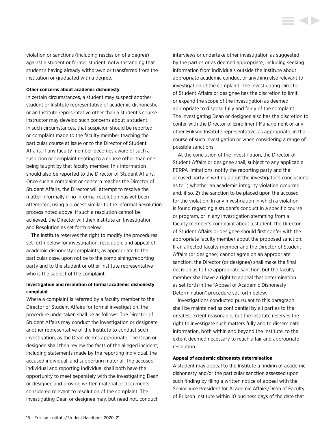violation or sanctions (including rescission of a degree) against a student or former student, notwithstanding that student's having already withdrawn or transferred from the institution or graduated with a degree.

#### **Other concerns about academic dishonesty**

In certain circumstances, a student may suspect another student or Institute representative of academic dishonesty, or an Institute representative other than a student's course instructor may develop such concerns about a student. In such circumstances, that suspicion should be reported or complaint made to the faculty member teaching the particular course at issue or to the Director of Student Affairs. If any faculty member becomes aware of such a suspicion or complaint relating to a course other than one being taught by that faculty member, this information should also be reported to the Director of Student Affairs. Once such a complaint or concern reaches the Director of Student Affairs, the Director will attempt to resolve the matter informally if no informal resolution has yet been attempted, using a process similar to the Informal Resolution process noted above; if such a resolution cannot be achieved, the Director will then institute an Investigation and Resolution as set forth below.

The Institute reserves the right to modify the procedures set forth below for investigation, resolution, and appeal of academic dishonesty complaints, as appropriate to the particular case, upon notice to the complaining/reporting party and to the student or other Institute representative who is the subject of the complaint.

#### **Investigation and resolution of formal academic dishonesty complaint**

Where a complaint is referred by a faculty member to the Director of Student Affairs for formal investigation, the procedure undertaken shall be as follows. The Director of Student Affairs may conduct the investigation or designate another representative of the Institute to conduct such investigation, as the Dean deems appropriate. The Dean or designee shall then review the facts of the alleged incident, including statements made by the reporting individual, the accused individual, and supporting material. The accused individual and reporting individual shall both have the opportunity to meet separately with the investigating Dean or designee and provide written material or documents considered relevant to resolution of the complaint. The investigating Dean or designee may, but need not, conduct

interviews or undertake other investigation as suggested by the parties or as deemed appropriate, including seeking information from individuals outside the Institute about appropriate academic conduct or anything else relevant to investigation of the complaint. The investigating Director of Student Affairs or designee has the discretion to limit or expand the scope of the investigation as deemed appropriate to dispose fully and fairly of the complaint. The investigating Dean or designee also has the discretion to confer with the Director of Enrollment Management or any other Erikson Institute representative, as appropriate, in the course of such investigation or when considering a range of possible sanctions.

E GID

At the conclusion of the investigation, the Director of Student Affairs or designee shall, subject to any applicable FERPA limitations, notify the reporting party and the accused party in writing about the investigator's conclusions as to 1) whether an academic integrity violation occurred and, if so, 2) the sanction to be placed upon the accused for the violation. In any investigation in which a violation is found regarding a student's conduct in a specific course or program, or in any investigation stemming from a faculty member's complaint about a student, the Director of Student Affairs or designee should first confer with the appropriate faculty member about the proposed sanction. If an affected faculty member and the Director of Student Affairs (or designee) cannot agree on an appropriate sanction, the Director (or designee) shall make the final decision as to the appropriate sanction, but the faculty member shall have a right to appeal that determination as set forth in the "Appeal of Academic Dishonesty Determination" procedure set forth below.

Investigations conducted pursuant to this paragraph shall be maintained as confidential by all parties to the greatest extent reasonable, but the Institute reserves the right to investigate such matters fully and to disseminate information, both within and beyond the Institute, to the extent deemed necessary to reach a fair and appropriate resolution.

#### **Appeal of academic dishonesty determination**

A student may appeal to the Institute a finding of academic dishonesty and/or the particular sanction assessed upon such finding by filing a written notice of appeal with the Senior Vice President for Academic Affairs/Dean of Faculty of Erikson Institute within 10 business days of the date that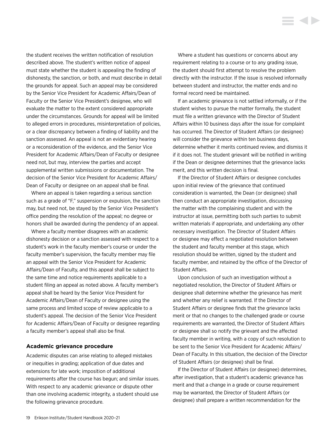<span id="page-19-0"></span>the student receives the written notification of resolution described above. The student's written notice of appeal must state whether the student is appealing the finding of dishonesty, the sanction, or both, and must describe in detail the grounds for appeal. Such an appeal may be considered by the Senior Vice President for Academic Affairs/Dean of Faculty or the Senior Vice President's designee, who will evaluate the matter to the extent considered appropriate under the circumstances. Grounds for appeal will be limited to alleged errors in procedures, misinterpretation of policies, or a clear discrepancy between a finding of liability and the sanction assessed. An appeal is not an evidentiary hearing or a reconsideration of the evidence, and the Senior Vice President for Academic Affairs/Dean of Faculty or designee need not, but may, interview the parties and accept supplemental written submissions or documentation. The decision of the Senior Vice President for Academic Affairs/ Dean of Faculty or designee on an appeal shall be final.

Where an appeal is taken regarding a serious sanction such as a grade of "F," suspension or expulsion, the sanction may, but need not, be stayed by the Senior Vice President's office pending the resolution of the appeal; no degree or honors shall be awarded during the pendency of an appeal.

Where a faculty member disagrees with an academic dishonesty decision or a sanction assessed with respect to a student's work in the faculty member's course or under the faculty member's supervision, the faculty member may file an appeal with the Senior Vice President for Academic Affairs/Dean of Faculty, and this appeal shall be subject to the same time and notice requirements applicable to a student filing an appeal as noted above. A faculty member's appeal shall be heard by the Senior Vice President for Academic Affairs/Dean of Faculty or designee using the same process and limited scope of review applicable to a student's appeal. The decision of the Senior Vice President for Academic Affairs/Dean of Faculty or designee regarding a faculty member's appeal shall also be final.

#### **Academic grievance procedure**

Academic disputes can arise relating to alleged mistakes or inequities in grading; application of due dates and extensions for late work; imposition of additional requirements after the course has begun; and similar issues. With respect to any academic grievance or dispute other than one involving academic integrity, a student should use the following grievance procedure.

Where a student has questions or concerns about any requirement relating to a course or to any grading issue, the student should first attempt to resolve the problem directly with the instructor. If the issue is resolved informally between student and instructor, the matter ends and no formal record need be maintained.

If an academic grievance is not settled informally, or if the student wishes to pursue the matter formally, the student must file a written grievance with the Director of Student Affairs within 10 business days after the issue for complaint has occurred. The Director of Student Affairs (or designee) will consider the grievance within ten business days, determine whether it merits continued review, and dismiss it if it does not. The student grievant will be notified in writing if the Dean or designee determines that the grievance lacks merit, and this written decision is final.

If the Director of Student Affairs or designee concludes upon initial review of the grievance that continued consideration is warranted, the Dean (or designee) shall then conduct an appropriate investigation, discussing the matter with the complaining student and with the instructor at issue, permitting both such parties to submit written materials if appropriate, and undertaking any other necessary investigation. The Director of Student Affairs or designee may effect a negotiated resolution between the student and faculty member at this stage, which resolution should be written, signed by the student and faculty member, and retained by the office of the Director of Student Affairs.

Upon conclusion of such an investigation without a negotiated resolution, the Director of Student Affairs or designee shall determine whether the grievance has merit and whether any relief is warranted. If the Director of Student Affairs or designee finds that the grievance lacks merit or that no changes to the challenged grade or course requirements are warranted, the Director of Student Affairs or designee shall so notify the grievant and the affected faculty member in writing, with a copy of such resolution to be sent to the Senior Vice President for Academic Affairs/ Dean of Faculty. In this situation, the decision of the Director of Student Affairs (or designee) shall be final.

If the Director of Student Affairs (or designee) determines, after investigation, that a student's academic grievance has merit and that a change in a grade or course requirement may be warranted, the Director of Student Affairs (or designee) shall prepare a written recommendation for the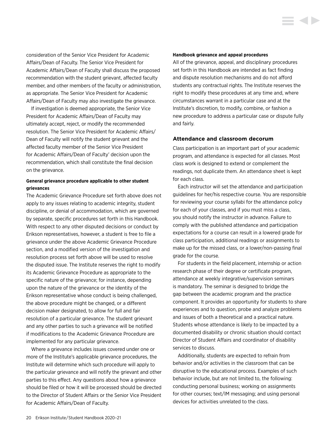<span id="page-20-0"></span>consideration of the Senior Vice President for Academic Affairs/Dean of Faculty. The Senior Vice President for Academic Affairs/Dean of Faculty shall discuss the proposed recommendation with the student grievant, affected faculty member, and other members of the faculty or administration, as appropriate. The Senior Vice President for Academic Affairs/Dean of Faculty may also investigate the grievance.

If investigation is deemed appropriate, the Senior Vice President for Academic Affairs/Dean of Faculty may ultimately accept, reject, or modify the recommended resolution. The Senior Vice President for Academic Affairs/ Dean of Faculty will notify the student grievant and the affected faculty member of the Senior Vice President for Academic Affairs/Dean of Faculty' decision upon the recommendation, which shall constitute the final decision on the grievance.

#### **General grievance procedure applicable to other student grievances**

The Academic Grievance Procedure set forth above does not apply to any issues relating to academic integrity, student discipline, or denial of accommodation, which are governed by separate, specific procedures set forth in this Handbook. With respect to any other disputed decisions or conduct by Erikson representatives, however, a student is free to file a grievance under the above Academic Grievance Procedure section, and a modified version of the investigation and resolution process set forth above will be used to resolve the disputed issue. The Institute reserves the right to modify its Academic Grievance Procedure as appropriate to the specific nature of the grievance; for instance, depending upon the nature of the grievance or the identity of the Erikson representative whose conduct is being challenged, the above procedure might be changed, or a different decision maker designated, to allow for full and fair resolution of a particular grievance. The student grievant and any other parties to such a grievance will be notified if modifications to the Academic Grievance Procedure are implemented for any particular grievance.

Where a grievance includes issues covered under one or more of the Institute's applicable grievance procedures, the Institute will determine which such procedure will apply to the particular grievance and will notify the grievant and other parties to this effect. Any questions about how a grievance should be filed or how it will be processed should be directed to the Director of Student Affairs or the Senior Vice President for Academic Affairs/Dean of Faculty.

#### **Handbook grievance and appeal procedures**

All of the grievance, appeal, and disciplinary procedures set forth in this Handbook are intended as fact finding and dispute resolution mechanisms and do not afford students any contractual rights. The Institute reserves the right to modify these procedures at any time and, where circumstances warrant in a particular case and at the Institute's discretion, to modify, combine, or fashion a new procedure to address a particular case or dispute fully and fairly.

**SOFT** 

#### **Attendance and classroom decorum**

Class participation is an important part of your academic program, and attendance is expected for all classes. Most class work is designed to extend or complement the readings, not duplicate them. An attendance sheet is kept for each class.

Each instructor will set the attendance and participation guidelines for her/his respective course. You are responsible for reviewing your course syllabi for the attendance policy for each of your classes, and if you must miss a class, you should notify the instructor in advance. Failure to comply with the published attendance and participation expectations for a course can result in a lowered grade for class participation, additional readings or assignments to make up for the missed class, or a lower/non-passing final grade for the course.

For students in the field placement, internship or action research phase of their degree or certificate program, attendance at weekly integrative/supervision seminars is mandatory. The seminar is designed to bridge the gap between the academic program and the practice component. It provides an opportunity for students to share experiences and to question, probe and analyze problems and issues of both a theoretical and a practical nature. Students whose attendance is likely to be impacted by a documented disability or chronic situation should contact Director of Student Affairs and coordinator of disability services to discuss.

Additionally, students are expected to refrain from behavior and/or activities in the classroom that can be disruptive to the educational process. Examples of such behavior include, but are not limited to, the following: conducting personal business; working on assignments for other courses; text/IM messaging; and using personal devices for activities unrelated to the class.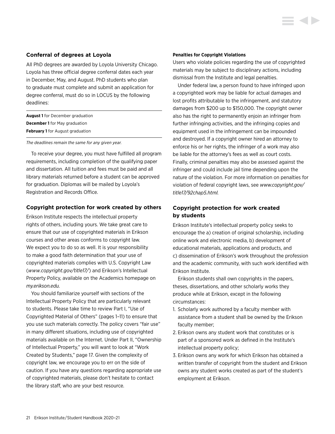#### <span id="page-21-0"></span>**Conferral of degrees at Loyola**

All PhD degrees are awarded by Loyola University Chicago. Loyola has three official degree conferral dates each year in December, May, and August. PhD students who plan to graduate must complete and submit an application for degree conferral, must do so in LOCUS by the following deadlines:

| <b>August 1</b> for December graduation |
|-----------------------------------------|
| <b>December 1</b> for May graduation    |
| <b>February 1</b> for August graduation |

*The deadlines remain the same for any given year.* 

To receive your degree, you must have fulfilled all program requirements, including completion of the qualifying paper and dissertation. All tuition and fees must be paid and all library materials returned before a student can be approved for graduation. Diplomas will be mailed by Loyola's Registration and Records Office.

#### **Copyright protection for work created by others**

Erikson Institute respects the intellectual property rights of others, including yours. We take great care to ensure that our use of copyrighted materials in Erikson courses and other areas conforms to copyright law. We expect you to do so as well. It is your responsibility to make a good faith determination that your use of copyrighted materials complies with U.S. Copyright Law (*[www.copyright.gov/title17/](http://www.copyright.gov/title17/)*) and Erikson's Intellectual Property Policy, available on the Academics homepage on *[my.erikson.edu.](http://my.erikson.edu)*

You should familiarize yourself with sections of the Intellectual Property Policy that are particularly relevant to students. Please take time to review Part I, "Use of Copyrighted Material of Others" (pages 1–11) to ensure that you use such materials correctly. The policy covers "fair use" in many different situations, including use of copyrighted materials available on the Internet. Under Part II, "Ownership of Intellectual Property," you will want to look at "Work Created by Students," page 17. Given the complexity of copyright law, we encourage you to err on the side of caution. If you have any questions regarding appropriate use of copyrighted materials, please don't hesitate to contact the library staff, who are your best resource.

#### **Penalties for Copyright Violations**

Users who violate policies regarding the use of copyrighted materials may be subject to disciplinary actions, including dismissal from the Institute and legal penalties.

Under federal law, a person found to have infringed upon a copyrighted work may be liable for actual damages and lost profits attributable to the infringement, and statutory damages from \$200 up to \$150,000. The copyright owner also has the right to permanently enjoin an infringer from further infringing activities, and the infringing copies and equipment used in the infringement can be impounded and destroyed. If a copyright owner hired an attorney to enforce his or her rights, the infringer of a work may also be liable for the attorney's fees as well as court costs. Finally, criminal penalties may also be assessed against the infringer and could include jail time depending upon the nature of the violation. For more information on penalties for violation of federal copyright laws, see *[www.copyright.gov/](http://www.copyright.gov/title17/92chap5.html) [title17/92chap5.html.](http://www.copyright.gov/title17/92chap5.html)*

### **Copyright protection for work created by students**

Erikson Institute's intellectual property policy seeks to encourage the a) creation of original scholarship, including online work and electronic media, b) development of educational materials, applications and products, and c) dissemination of Erikson's work throughout the profession and the academic community, with such work identified with Erikson Institute.

Erikson students shall own copyrights in the papers, theses, dissertations, and other scholarly works they produce while at Erikson, except in the following circumstances:

- 1. Scholarly work authored by a faculty member with assistance from a student shall be owned by the Erikson faculty member;
- 2. Erikson owns any student work that constitutes or is part of a sponsored work as defined in the Institute's intellectual property policy;
- 3. Erikson owns any work for which Erikson has obtained a written transfer of copyright from the student and Erikson owns any student works created as part of the student's employment at Erikson.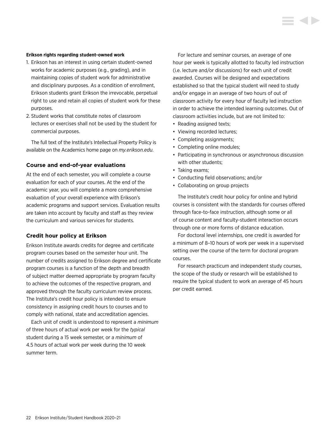#### <span id="page-22-0"></span>**Erikson rights regarding student-owned work**

- 1. Erikson has an interest in using certain student-owned works for academic purposes (e.g., grading), and in maintaining copies of student work for administrative and disciplinary purposes. As a condition of enrollment, Erikson students grant Erikson the irrevocable, perpetual right to use and retain all copies of student work for these purposes.
- 2. Student works that constitute notes of classroom lectures or exercises shall not be used by the student for commercial purposes.

The full text of the Institute's Intellectual Property Policy is available on the Academics home page on *[my.erikson.edu](http://my.erikson.edu).*

#### **Course and end-of-year evaluations**

At the end of each semester, you will complete a course evaluation for each of your courses. At the end of the academic year, you will complete a more comprehensive evaluation of your overall experience with Erikson's academic programs and support services. Evaluation results are taken into account by faculty and staff as they review the curriculum and various services for students.

#### **Credit hour policy at Erikson**

Erikson Institute awards credits for degree and certificate program courses based on the semester hour unit. The number of credits assigned to Erikson degree and certificate program courses is a function of the depth and breadth of subject matter deemed appropriate by program faculty to achieve the outcomes of the respective program, and approved through the faculty curriculum review process. The Institute's credit hour policy is intended to ensure consistency in assigning credit hours to courses and to comply with national, state and accreditation agencies.

Each unit of credit is understood to represent a *minimum* of three hours of actual work per week for the *typical* student during a 15 week semester, or a *minimum* of 4.5 hours of actual work per week during the 10 week summer term.

For lecture and seminar courses, an average of one hour per week is typically allotted to faculty led instruction (i.e. lecture and/or discussions) for each unit of credit awarded. Courses will be designed and expectations established so that the typical student will need to study and/or engage in an average of two hours of out of classroom activity for every hour of faculty led instruction in order to achieve the intended learning outcomes. Out of classroom activities include, but are not limited to:

- Reading assigned texts;
- Viewing recorded lectures;
- Completing assignments;
- Completing online modules;
- Participating in synchronous or asynchronous discussion with other students;
- Taking exams;
- Conducting field observations; and/or
- Collaborating on group projects

The Institute's credit hour policy for online and hybrid courses is consistent with the standards for courses offered through face-to-face instruction, although some or all of course content and faculty-student interaction occurs through one or more forms of distance education.

For doctoral level internships, one credit is awarded for a minimum of 8–10 hours of work per week in a supervised setting over the course of the term for doctoral program courses.

For research practicum and independent study courses, the scope of the study or research will be established to require the typical student to work an average of 45 hours per credit earned.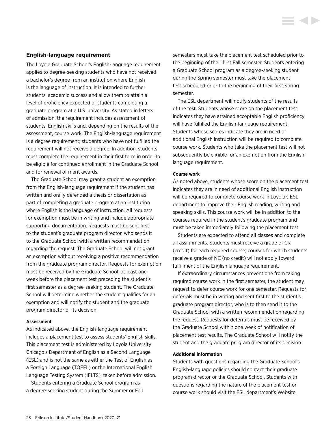#### <span id="page-23-0"></span>**English-language requirement**

The Loyola Graduate School's English-language requirement applies to degree-seeking students who have not received a bachelor's degree from an institution where English is the language of instruction. It is intended to further students' academic success and allow them to attain a level of proficiency expected of students completing a graduate program at a U.S. university. As stated in letters of admission, the requirement includes assessment of students' English skills and, depending on the results of the assessment, course work. The English-language requirement is a degree requirement; students who have not fulfilled the requirement will not receive a degree. In addition, students must complete the requirement in their first term in order to be eligible for continued enrollment in the Graduate School and for renewal of merit awards.

The Graduate School may grant a student an exemption from the English-language requirement if the student has written and orally defended a thesis or dissertation as part of completing a graduate program at an institution where English is the language of instruction. All requests for exemption must be in writing and include appropriate supporting documentation. Requests must be sent first to the student's graduate program director, who sends it to the Graduate School with a written recommendation regarding the request. The Graduate School will not grant an exemption without receiving a positive recommendation from the graduate program director. Requests for exemption must be received by the Graduate School: at least one week before the placement test preceding the student's first semester as a degree-seeking student. The Graduate School will determine whether the student qualifies for an exemption and will notify the student and the graduate program director of its decision.

#### **Assessment**

As indicated above, the English-language requirement includes a placement test to assess students' English skills. This placement test is administered by Loyola University Chicago's Department of English as a Second Language (ESL) and is not the same as either the Test of English as a Foreign Language (TOEFL) or the International English Language Testing System (IELTS), taken before admission.

Students entering a Graduate School program as a degree-seeking student during the Summer or Fall semesters must take the placement test scheduled prior to the beginning of their first Fall semester. Students entering a Graduate School program as a degree-seeking student during the Spring semester must take the placement test scheduled prior to the beginning of their first Spring semester.

The ESL department will notify students of the results of the test. Students whose score on the placement test indicates they have attained acceptable English proficiency will have fulfilled the English-language requirement. Students whose scores indicate they are in need of additional English instruction will be required to complete course work. Students who take the placement test will not subsequently be eligible for an exemption from the Englishlanguage requirement.

#### **Course work**

As noted above, students whose score on the placement test indicates they are in need of additional English instruction will be required to complete course work in Loyola's ESL department to improve their English reading, writing and speaking skills. This course work will be in addition to the courses required in the student's graduate program and must be taken immediately following the placement test.

Students are expected to attend all classes and complete all assignments. Students must receive a grade of CR (credit) for each required course; courses for which students receive a grade of NC (no credit) will not apply toward fulfillment of the English language requirement.

If extraordinary circumstances prevent one from taking required course work in the first semester, the student may request to defer course work for one semester. Requests for deferrals must be in writing and sent first to the student's graduate program director, who is to then send it to the Graduate School with a written recommendation regarding the request. Requests for deferrals must be received by the Graduate School within one week of notification of placement test results. The Graduate School will notify the student and the graduate program director of its decision.

#### **Additional information**

Students with questions regarding the Graduate School's English-language policies should contact their graduate program director or the Graduate School. Students with questions regarding the nature of the placement test or course work should visit the ESL department's Website.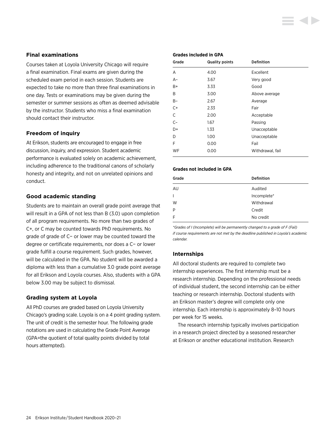#### <span id="page-24-0"></span>**Final examinations**

Courses taken at Loyola University Chicago will require a final examination. Final exams are given during the scheduled exam period in each session. Students are expected to take no more than three final examinations in one day. Tests or examinations may be given during the semester or summer sessions as often as deemed advisable by the instructor. Students who miss a final examination should contact their instructor.

#### **Freedom of inquiry**

At Erikson, students are encouraged to engage in free discussion, inquiry, and expression. Student academic performance is evaluated solely on academic achievement, including adherence to the traditional canons of scholarly honesty and integrity, and not on unrelated opinions and conduct.

#### **Good academic standing**

Students are to maintain an overall grade point average that will result in a GPA of not less than B (3.0) upon completion of all program requirements. No more than two grades of C+, or C may be counted towards PhD requirements. No grade of grade of C− or lower may be counted toward the degree or certificate requirements, nor does a C− or lower grade fulfill a course requirement. Such grades, however, will be calculated in the GPA. No student will be awarded a diploma with less than a cumulative 3.0 grade point average for all Erikson and Loyola courses. Also, students with a GPA below 3.00 may be subject to dismissal.

#### **Grading system at Loyola**

All PhD courses are graded based on Loyola University Chicago's grading scale. Loyola is on a 4 point grading system. The unit of credit is the semester hour. The following grade notations are used in calculating the Grade Point Average (GPA=the quotient of total quality points divided by total hours attempted).

#### **Grades included in GPA**

| Grade | <b>Quality points</b> | <b>Definition</b> |
|-------|-----------------------|-------------------|
| A     | 4.00                  | Excellent         |
| $A-$  | 3.67                  | Very good         |
| B+    | 3.33                  | Good              |
| B     | 3.00                  | Above average     |
| $B -$ | 2.67                  | Average           |
| $C+$  | 2.33                  | Fair              |
| C     | 2.00                  | Acceptable        |
| $C-$  | 1.67                  | Passing           |
| D+    | 1.33                  | Unacceptable      |
| D     | 1.00                  | Unacceptable      |
| F     | 0.00                  | Fail              |
| WF    | 0.00                  | Withdrawal, fail  |

#### **Grades not included in GPA**

| Grade        | <b>Definition</b> |
|--------------|-------------------|
| AU           | Audited           |
| $\mathsf{L}$ | Incomplete*       |
| W            | Withdrawal        |
| P            | Credit            |
| F            | No credit         |

*\*Grades of I (Incomplete) will be permanently changed to a grade of F (Fail) if course requirements are not met by the deadline published in Loyola's academic calendar.*

#### **Internships**

All doctoral students are required to complete two internship experiences. The first internship must be a research internship. Depending on the professional needs of individual student, the second internship can be either teaching or research internship. Doctoral students with an Erikson master's degree will complete only one internship. Each internship is approximately 8–10 hours per week for 15 weeks.

The research internship typically involves participation in a research project directed by a seasoned researcher at Erikson or another educational institution. Research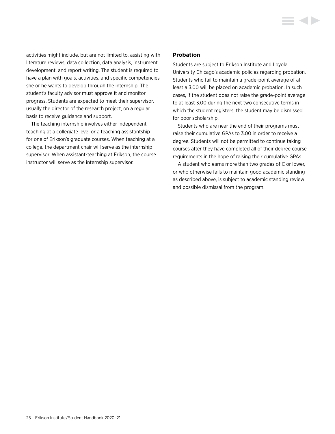<span id="page-25-0"></span>activities might include, but are not limited to, assisting with literature reviews, data collection, data analysis, instrument development, and report writing. The student is required to have a plan with goals, activities, and specific competencies she or he wants to develop through the internship. The student's faculty advisor must approve it and monitor progress. Students are expected to meet their supervisor, usually the director of the research project, on a regular basis to receive guidance and support.

The teaching internship involves either independent teaching at a collegiate level or a teaching assistantship for one of Erikson's graduate courses. When teaching at a college, the department chair will serve as the internship supervisor. When assistant-teaching at Erikson, the course instructor will serve as the internship supervisor.

#### **Probation**

Students are subject to Erikson Institute and Loyola University Chicago's academic policies regarding probation. Students who fail to maintain a grade-point average of at least a 3.00 will be placed on academic probation. In such cases, if the student does not raise the grade-point average to at least 3.00 during the next two consecutive terms in which the student registers, the student may be dismissed for poor scholarship.

Students who are near the end of their programs must raise their cumulative GPAs to 3.00 in order to receive a degree. Students will not be permitted to continue taking courses after they have completed all of their degree course requirements in the hope of raising their cumulative GPAs.

A student who earns more than two grades of C or lower, or who otherwise fails to maintain good academic standing as described above, is subject to academic standing review and possible dismissal from the program.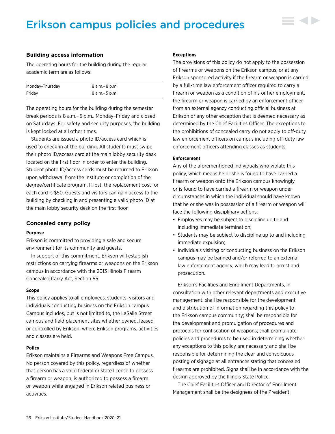## <span id="page-26-0"></span>Erikson campus policies and procedures



The operating hours for the building during the regular academic term are as follows:

| Monday-Thursday | 8 a.m. – 8 p.m. |
|-----------------|-----------------|
| Fridav          | 8 a.m. – 5 p.m. |

The operating hours for the building during the semester break periods is 8 a.m.– 5 p.m., Monday–Friday and closed on Saturdays. For safety and security purposes, the building is kept locked at all other times.

Students are issued a photo ID/access card which is used to check-in at the building. All students must swipe their photo ID/access card at the main lobby security desk located on the first floor in order to enter the building. Student photo ID/access cards must be returned to Erikson upon withdrawal from the Institute or completion of the degree/certificate program. If lost, the replacement cost for each card is \$50. Guests and visitors can gain access to the building by checking in and presenting a valid photo ID at the main lobby security desk on the first floor.

#### **Concealed carry policy**

#### **Purpose**

Erikson is committed to providing a safe and secure environment for its community and guests.

In support of this commitment, Erikson will establish restrictions on carrying firearms or weapons on the Erikson campus in accordance with the 2013 Illinois Firearm Concealed Carry Act, Section 65.

#### **Scope**

This policy applies to all employees, students, visitors and individuals conducting business on the Erikson campus. Campus includes, but is not limited to, the LaSalle Street campus and field placement sites whether owned, leased or controlled by Erikson, where Erikson programs, activities and classes are held.

#### **Policy**

Erikson maintains a Firearms and Weapons Free Campus. No person covered by this policy, regardless of whether that person has a valid federal or state license to possess a firearm or weapon, is authorized to possess a firearm or weapon while engaged in Erikson related business or activities.

#### **Exceptions**

The provisions of this policy do not apply to the possession of firearms or weapons on the Erikson campus, or at any Erikson sponsored activity if the firearm or weapon is carried by a full-time law enforcement officer required to carry a firearm or weapon as a condition of his or her employment, the firearm or weapon is carried by an enforcement officer from an external agency conducting official business at Erikson or any other exception that is deemed necessary as determined by the Chief Facilities Officer. The exceptions to the prohibitions of concealed carry do not apply to off-duty law enforcement officers on campus including off-duty law enforcement officers attending classes as students.

#### **Enforcement**

Any of the aforementioned individuals who violate this policy, which means he or she is found to have carried a firearm or weapon onto the Erikson campus knowingly or is found to have carried a firearm or weapon under circumstances in which the individual should have known that he or she was in possession of a firearm or weapon will face the following disciplinary actions:

- Employees may be subject to discipline up to and including immediate termination;
- Students may be subject to discipline up to and including immediate expulsion;
- Individuals visiting or conducting business on the Erikson campus may be banned and/or referred to an external law enforcement agency, which may lead to arrest and prosecution.

Erikson's Facilities and Enrollment Departments, in consultation with other relevant departments and executive management, shall be responsible for the development and distribution of information regarding this policy to the Erikson campus community; shall be responsible for the development and promulgation of procedures and protocols for confiscation of weapons; shall promulgate policies and procedures to be used in determining whether any exceptions to this policy are necessary and shall be responsible for determining the clear and conspicuous posting of signage at all entrances stating that concealed firearms are prohibited. Signs shall be in accordance with the design approved by the Illinois State Police.

The Chief Facilities Officer and Director of Enrollment Management shall be the designees of the President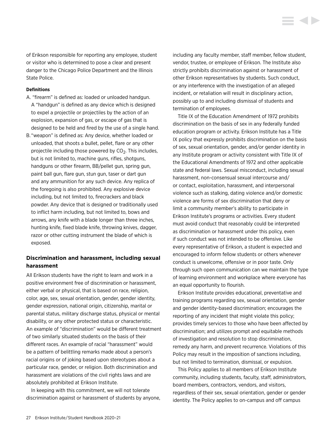<span id="page-27-0"></span>of Erikson responsible for reporting any employee, student or visitor who is determined to pose a clear and present danger to the Chicago Police Department and the Illinois State Police.

#### **Definitions**

- A. "firearm" is defined as: loaded or unloaded handgun. A "handgun" is defined as any device which is designed to expel a projectile or projectiles by the action of an explosion, expansion of gas, or escape of gas that is designed to be held and fired by the use of a single hand.
- B. "weapon" is defined as: Any device, whether loaded or unloaded, that shoots a bullet, pellet, flare or any other projectile including those powered by  $CO<sub>2</sub>$ . This includes, but is not limited to, machine guns, rifles, shotguns, handguns or other firearm, BB/pellet gun, spring gun, paint ball gun, flare gun, stun gun, taser or dart gun and any ammunition for any such device. Any replica of the foregoing is also prohibited. Any explosive device including, but not limited to, firecrackers and black powder. Any device that is designed or traditionally used to inflict harm including, but not limited to, bows and arrows, any knife with a blade longer than three inches, hunting knife, fixed blade knife, throwing knives, dagger, razor or other cutting instrument the blade of which is exposed.

#### **Discrimination and harassment, including sexual harassment**

All Erikson students have the right to learn and work in a positive environment free of discrimination or harassment, either verbal or physical, that is based on race, religion, color, age, sex, sexual orientation, gender, gender identity, gender expression, national origin, citizenship, marital or parental status, military discharge status, physical or mental disability, or any other protected status or characteristic. An example of "discrimination" would be different treatment of two similarly situated students on the basis of their different races. An example of racial "harassment" would be a pattern of belittling remarks made about a person's racial origins or of joking based upon stereotypes about a particular race, gender, or religion. Both discrimination and harassment are violations of the civil rights laws and are absolutely prohibited at Erikson Institute.

In keeping with this commitment, we will not tolerate discrimination against or harassment of students by anyone, including any faculty member, staff member, fellow student, vendor, trustee, or employee of Erikson. The Institute also strictly prohibits discrimination against or harassment of other Erikson representatives by students. Such conduct, or any interference with the investigation of an alleged incident, or retaliation will result in disciplinary action, possibly up to and including dismissal of students and termination of employees.

**KID** 

Title IX of the Education Amendment of 1972 prohibits discrimination on the basis of sex in any federally funded education program or activity. Erikson Institute has a Title IX policy that expressly prohibits discrimination on the basis of sex, sexual orientation, gender, and/or gender identity in any Institute program or activity consistent with Title IX of the Educational Amendments of 1972 and other applicable state and federal laws. Sexual misconduct, including sexual harassment, non-consensual sexual intercourse and/ or contact, exploitation, harassment, and interpersonal violence such as stalking, dating violence and/or domestic violence are forms of sex discrimination that deny or limit a community member's ability to participate in Erikson Institute's programs or activities. Every student must avoid conduct that reasonably could be interpreted as discrimination or harassment under this policy, even if such conduct was not intended to be offensive. Like every representative of Erikson, a student is expected and encouraged to inform fellow students or others whenever conduct is unwelcome, offensive or in poor taste. Only through such open communication can we maintain the type of learning environment and workplace where everyone has an equal opportunity to flourish.

Erikson Institute provides educational, preventative and training programs regarding sex, sexual orientation, gender and gender identity-based discrimination; encourages the reporting of any incident that might violate this policy; provides timely services to those who have been affected by discrimination; and utilizes prompt and equitable methods of investigation and resolution to stop discrimination, remedy any harm, and prevent recurrence. Violations of this Policy may result in the imposition of sanctions including, but not limited to termination, dismissal, or expulsion.

This Policy applies to all members of Erikson Institute community, including students, faculty, staff, administrators, board members, contractors, vendors, and visitors, regardless of their sex, sexual orientation, gender or gender identity. The Policy applies to on-campus and off campus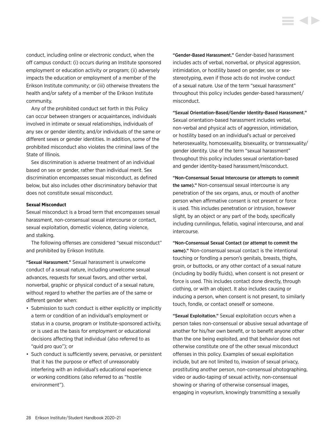conduct, including online or electronic conduct, when the off campus conduct: (i) occurs during an Institute sponsored employment or education activity or program; (ii) adversely impacts the education or employment of a member of the Erikson Institute community; or (iii) otherwise threatens the health and/or safety of a member of the Erikson Institute community.

Any of the prohibited conduct set forth in this Policy can occur between strangers or acquaintances, individuals involved in intimate or sexual relationships, individuals of any sex or gender identity, and/or individuals of the same or different sexes or gender identities. In addition, some of the prohibited misconduct also violates the criminal laws of the State of Illinois.

Sex discrimination is adverse treatment of an individual based on sex or gender, rather than individual merit. Sex discrimination encompasses sexual misconduct, as defined below, but also includes other discriminatory behavior that does not constitute sexual misconduct.

#### **Sexual Misconduct**

Sexual misconduct is a broad term that encompasses sexual harassment, non-consensual sexual intercourse or contact, sexual exploitation, domestic violence, dating violence, and stalking.

The following offenses are considered "sexual misconduct" and prohibited by Erikson Institute.

"Sexual Harassment." Sexual harassment is unwelcome conduct of a sexual nature, including unwelcome sexual advances, requests for sexual favors, and other verbal, nonverbal, graphic or physical conduct of a sexual nature, without regard to whether the parties are of the same or different gender when:

- Submission to such conduct is either explicitly or implicitly a term or condition of an individual's employment or status in a course, program or Institute-sponsored activity, or is used as the basis for employment or educational decisions affecting that individual (also referred to as "quid pro quo"); or
- Such conduct is sufficiently severe, pervasive, or persistent that it has the purpose or effect of unreasonably interfering with an individual's educational experience or working conditions (also referred to as "hostile environment").

"Gender-Based Harassment." Gender-based harassment includes acts of verbal, nonverbal, or physical aggression, intimidation, or hostility based on gender, sex or sexstereotyping, even if those acts do not involve conduct of a sexual nature. Use of the term "sexual harassment" throughout this policy includes gender-based harassment/ misconduct.

"Sexual Orientation-Based/Gender Identity-Based Harassment." Sexual orientation-based harassment includes verbal, non-verbal and physical acts of aggression, intimidation, or hostility based on an individual's actual or perceived heterosexuality, homosexuality, bisexuality, or transsexuality/ gender identity. Use of the term "sexual harassment" throughout this policy includes sexual orientation-based and gender identity-based harassment/misconduct.

"Non-Consensual Sexual Intercourse (or attempts to commit the same)." Non-consensual sexual intercourse is any penetration of the sex organs, anus, or mouth of another person when affirmative consent is not present or force is used. This includes penetration or intrusion, however slight, by an object or any part of the body, specifically including cunnilingus, fellatio, vaginal intercourse, and anal intercourse.

"Non-Consensual Sexual Contact (or attempt to commit the same)." Non-consensual sexual contact is the intentional touching or fondling a person's genitals, breasts, thighs, groin, or buttocks, or any other contact of a sexual nature (including by bodily fluids), when consent is not present or force is used. This includes contact done directly, through clothing, or with an object. It also includes causing or inducing a person, when consent is not present, to similarly touch, fondle, or contact oneself or someone.

"Sexual Exploitation." Sexual exploitation occurs when a person takes non-consensual or abusive sexual advantage of another for his/her own benefit, or to benefit anyone other than the one being exploited, and that behavior does not otherwise constitute one of the other sexual misconduct offenses in this policy. Examples of sexual exploitation include, but are not limited to, invasion of sexual privacy, prostituting another person, non-consensual photographing, video or audio-taping of sexual activity, non-consensual showing or sharing of otherwise consensual images, engaging in voyeurism, knowingly transmitting a sexually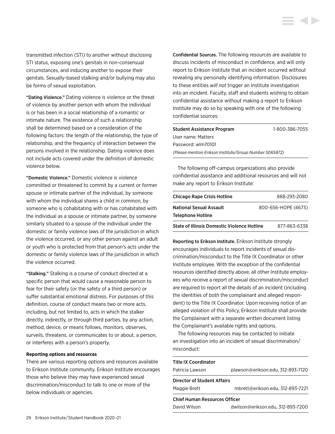transmitted infection (STI) to another without disclosing STI status, exposing one's genitals in non-consensual circumstances, and inducing another to expose their genitals. Sexually-based stalking and/or bullying may also be forms of sexual exploitation.

"Dating Violence." Dating violence is violence or the threat of violence by another person with whom the individual is or has been in a social relationship of a romantic or intimate nature. The existence of such a relationship shall be determined based on a consideration of the following factors: the length of the relationship, the type of relationship, and the frequency of interaction between the persons involved in the relationship. Dating violence does not include acts covered under the definition of domestic violence below.

"Domestic Violence." Domestic violence is violence committed or threatened to commit by a current or former spouse or intimate partner of the individual, by someone with whom the individual shares a child in common, by someone who is cohabitating with or has cohabitated with the individual as a spouse or intimate partner, by someone similarly situated to a spouse of the individual under the domestic or family violence laws of the jurisdiction in which the violence occurred, or any other person against an adult or youth who is protected from that person's acts under the domestic or family violence laws of the jurisdiction in which the violence occurred.

"Stalking." Stalking is a course of conduct directed at a specific person that would cause a reasonable person to fear for their safety (or the safety of a third person) or suffer substantial emotional distress. For purposes of this definition, course of conduct means two or more acts, including, but not limited to, acts in which the stalker directly, indirectly, or through third parties, by any action, method, device, or means follows, monitors, observes, surveils, threatens, or communicates to or about, a person, or interferes with a person's property.

#### **Reporting options and resources**

There are various reporting options and resources available to Erikson Institute community. Erikson Institute encourages those who believe they may have experienced sexual discrimination/misconduct to talk to one or more of the below individuals or agencies.

Confidential Sources. The following resources are available to discuss incidents of misconduct in confidence, and will only report to Erikson Institute that an incident occurred without revealing any personally identifying information. Disclosures to these entities *will not* trigger an Institute investigation into an incident. Faculty, staff and students wishing to obtain confidential assistance without making a report to Erikson Institute may do so by speaking with one of the following confidential sources:

| Student Assistance Program                              | 1-800-386-7055 |
|---------------------------------------------------------|----------------|
| User name: Matters                                      |                |
| Password: wlm70101                                      |                |
| (Please mention Erikson Institute/Group Number 5065872) |                |
|                                                         |                |

The following off-campus organizations also provide confidential assistance and additional resources and will not make any report to Erikson Institute:

| <b>Chicago Rape Crisis Hotline</b>                 | 888-293-2080        |
|----------------------------------------------------|---------------------|
| <b>National Sexual Assault</b>                     | 800-656-HOPE (4673) |
| <b>Telephone Hotline</b>                           |                     |
| <b>State of Illinois Domestic Violence Hotline</b> | 877-863-6338        |

Reporting to Erikson Institute. Erikson Institute strongly encourages individuals to report incidents of sexual discrimination/misconduct to the Title IX Coordinator or other Institute employee. With the exception of the confidential resources identified directly above, all other Institute employees who receive a report of sexual discrimination/misconduct are required to report all the details of an incident (including the identities of both the complainant and alleged respondent) to the Title IX Coordinator. Upon receiving notice of an alleged violation of this Policy, Erikson Institute shall provide the Complainant with a separate written document listing the Complainant's available rights and options.

The following resources may be contacted to initiate an investigation into an incident of sexual discrimination/ misconduct:

| <b>Title IX Coordinator</b>          |                                   |  |
|--------------------------------------|-----------------------------------|--|
| Patricia Lawson                      | plawson@erikson.edu, 312-893-7120 |  |
| Director of Student Affairs          |                                   |  |
| Maggie Brett                         | mbrett@erikson.edu, 312-893-7221  |  |
| <b>Chief Human Resources Officer</b> |                                   |  |
| David Wilson                         | dwilson@erikson.edu, 312-893-7200 |  |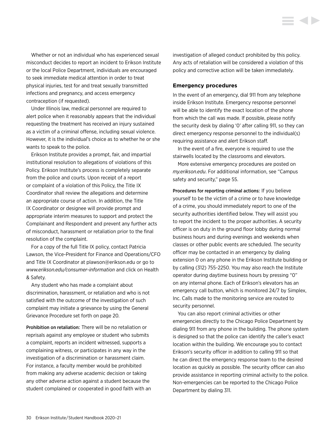<span id="page-30-0"></span>Whether or not an individual who has experienced sexual misconduct decides to report an incident to Erikson Institute or the local Police Department, individuals are encouraged to seek immediate medical attention in order to treat physical injuries, test for and treat sexually transmitted infections and pregnancy, and access emergency contraception (if requested).

Under Illinois law, medical personnel are required to alert police when it reasonably appears that the individual requesting the treatment has received an injury sustained as a victim of a criminal offense, including sexual violence. However, it is the individual's choice as to whether he or she wants to speak to the police.

Erikson Institute provides a prompt, fair, and impartial institutional resolution to allegations of violations of this Policy. Erikson Institute's process is completely separate from the police and courts. Upon receipt of a report or complaint of a violation of this Policy, the Title IX Coordinator shall review the allegations and determine an appropriate course of action. In addition, the Title IX Coordinator or designee will provide prompt and appropriate interim measures to support and protect the Complainant and Respondent and prevent any further acts of misconduct, harassment or retaliation prior to the final resolution of the complaint.

For a copy of the full Title IX policy, contact Patricia Lawson, the Vice-President for Finance and Operations/CFO and Title IX Coordinator at [plawson@erikson.edu](mailto:plawson%40erikson.edu?subject=) or go to *[www.erikson.edu/consumer-information](http://www.erikson.edu/consumer-information)* and click on Health & Safety.

Any student who has made a complaint about discrimination, harassment, or retaliation and who is not satisfied with the outcome of the investigation of such complaint may initiate a grievance by using the [General](#page-20-0)  [Grievance Procedure set forth on page 20.](#page-20-0)

Prohibition on retaliation: There will be no retaliation or reprisals against any employee or student who submits a complaint, reports an incident witnessed, supports a complaining witness, or participates in any way in the investigation of a discrimination or harassment claim. For instance, a faculty member would be prohibited from making any adverse academic decision or taking any other adverse action against a student because the student complained or cooperated in good faith with an investigation of alleged conduct prohibited by this policy. Any acts of retaliation will be considered a violation of this policy and corrective action will be taken immediately.

#### **Emergency procedures**

In the event of an emergency, dial 911 from any telephone inside Erikson Institute. Emergency response personnel will be able to identify the exact location of the phone from which the call was made. If possible, please notify the security desk by dialing '0' after calling 911, so they can direct emergency response personnel to the individual(s) requiring assistance and alert Erikson staff.

In the event of a fire, everyone is required to use the stairwells located by the classrooms and elevators.

More extensive emergency procedures are posted on *my.erikson.edu*. For additional information, [see "Campus](#page-55-0)  [safety and security," page 55.](#page-55-0)

Procedures for reporting criminal actions: If you believe yourself to be the victim of a crime or to have knowledge of a crime, you should immediately report to one of the security authorities identified below. They will assist you to report the incident to the proper authorities. A security officer is on duty in the ground floor lobby during normal business hours and during evenings and weekends when classes or other public events are scheduled. The security officer may be contacted in an emergency by dialing extension 0 on any phone in the Erikson Institute building or by calling (312) 755-2250. You may also reach the Institute operator during daytime business hours by pressing "0" on any internal phone. Each of Erikson's elevators has an emergency call button, which is monitored 24/7 by Simplex, Inc. Calls made to the monitoring service are routed to security personnel.

You can also report criminal activities or other emergencies directly to the Chicago Police Department by dialing 911 from any phone in the building. The phone system is designed so that the police can identify the caller's exact location within the building. We encourage you to contact Erikson's security officer in addition to calling 911 so that he can direct the emergency response team to the desired location as quickly as possible. The security officer can also provide assistance in reporting criminal activity to the police. Non-emergencies can be reported to the Chicago Police Department by dialing 311.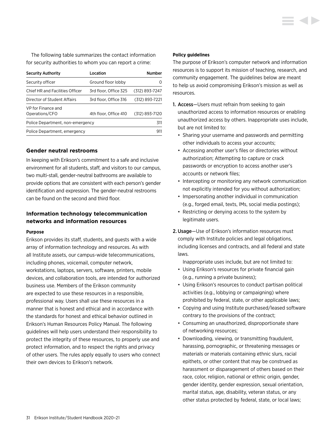<span id="page-31-0"></span>The following table summarizes the contact information for security authorities to whom you can report a crime:

| <b>Security Authority</b>            | Location              | <b>Number</b>    |
|--------------------------------------|-----------------------|------------------|
| Security officer                     | Ground floor lobby    | $\left( \right)$ |
| Chief HR and Facilities Officer      | 3rd floor. Office 325 | (312) 893-7247   |
| Director of Student Affairs          | 3rd floor, Office 316 | (312) 893-7221   |
| VP for Finance and<br>Operations/CFO | 4th floor. Office 410 | (312) 893-7120   |
| Police Department, non-emergency     |                       | 311              |
| Police Department, emergency         |                       | 911              |

#### **Gender neutral restrooms**

In keeping with Erikson's commitment to a safe and inclusive environment for all students, staff, and visitors to our campus, two multi-stall, gender-neutral bathrooms are available to provide options that are consistent with each person's gender identification and expression. The gender-neutral restrooms can be found on the second and third floor.

### **Information technology telecommunication networks and information resources**

#### **Purpose**

Erikson provides its staff, students, and guests with a wide array of information technology and resources. As with all Institute assets, our campus-wide telecommunications, including phones, voicemail, computer network, workstations, laptops, servers, software, printers, mobile devices, and collaboration tools, are intended for authorized business use. Members of the Erikson community are expected to use these resources in a responsible, professional way. Users shall use these resources in a manner that is honest and ethical and in accordance with the standards for honest and ethical behavior outlined in Erikson's Human Resources Policy Manual. The following guidelines will help users understand their responsibility to protect the integrity of these resources, to properly use and protect information, and to respect the rights and privacy of other users. The rules apply equally to users who connect their own devices to Erikson's network.

#### **Policy guidelines**

The purpose of Erikson's computer network and information resources is to support its mission of teaching, research, and community engagement. The guidelines below are meant to help us avoid compromising Erikson's mission as well as resources.

- 1. Access—Users must refrain from seeking to gain unauthorized access to information resources or enabling unauthorized access by others. Inappropriate uses include, but are not limited to:
	- Sharing your username and passwords and permitting other individuals to access your accounts;
	- Accessing another user's files or directories without authorization; Attempting to capture or crack passwords or encryption to access another user's accounts or network files;
	- Intercepting or monitoring any network communication not explicitly intended for you without authorization;
	- Impersonating another individual in communication (e.g., forged email, texts, IMs, social media postings);
	- Restricting or denying access to the system by legitimate users.
- 2.Usage—Use of Erikson's information resources must comply with Institute policies and legal obligations, including licenses and contracts, and all federal and state laws.

Inappropriate uses include, but are not limited to:

- Using Erikson's resources for private financial gain (e.g., running a private business);
- Using Erikson's resources to conduct partisan political activities (e.g., lobbying or campaigning) where prohibited by federal, state, or other applicable laws;
- Copying and using Institute purchased/leased software contrary to the provisions of the contract;
- Consuming an unauthorized, disproportionate share of networking resources;
- Downloading, viewing, or transmitting fraudulent, harassing, pornographic, or threatening messages or materials or materials containing ethnic slurs, racial epithets, or other content that may be construed as harassment or disparagement of others based on their race, color, religion, national or ethnic origin, gender, gender identity, gender expression, sexual orientation, marital status, age, disability, veteran status, or any other status protected by federal, state, or local laws;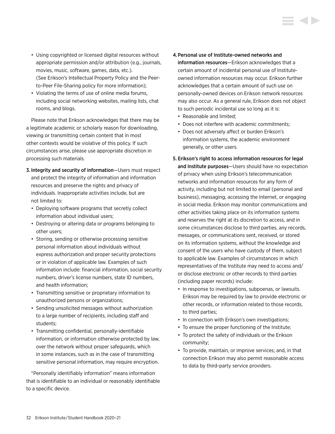- Using copyrighted or licensed digital resources without appropriate permission and/or attribution (e.g., journals, movies, music, software, games, data, etc.). (See Erikson's Intellectual Property Policy and the Peerto-Peer File-Sharing policy for more information);
- Violating the terms of use of online media forums, including social networking websites, mailing lists, chat rooms, and blogs.

Please note that Erikson acknowledges that there may be a legitimate academic or scholarly reason for downloading, viewing or transmitting certain content that in most other contexts would be violative of this policy. If such circumstances arise, please use appropriate discretion in processing such materials.

- 3. Integrity and security of information—Users must respect and protect the integrity of information and information resources and preserve the rights and privacy of individuals. Inappropriate activities include, but are not limited to:
	- Deploying software programs that secretly collect information about individual users;
	- Destroying or altering data or programs belonging to other users;
	- Storing, sending or otherwise processing sensitive personal information about individuals without express authorization and proper security protections or in violation of applicable law. Examples of such information include: financial information, social security numbers, driver's license numbers, state ID numbers, and health information;
	- Transmitting sensitive or proprietary information to unauthorized persons or organizations;
	- Sending unsolicited messages without authorization to a large number of recipients, including staff and students;
	- Transmitting confidential, personally-identifiable information, or information otherwise protected by law, over the network without proper safeguards, which in some instances, such as in the case of transmitting sensitive personal information, may require encryption.

"Personally identifiably information" means information that is identifiable to an individual or reasonably identifiable to a specific device.

- 4.Personal use of Institute-owned networks and information resources—Erikson acknowledges that a certain amount of incidental personal use of Instituteowned information resources may occur. Erikson further acknowledges that a certain amount of such use on personally-owned devices on Erikson network resources may also occur. As a general rule, Erikson does not object to such periodic incidental use so long as it is:
	- Reasonable and limited;
	- Does not interfere with academic commitments;
	- Does not adversely affect or burden Erikson's information systems, the academic environment generally, or other users.

## 5. Erikson's right to access information resources for legal and Institute purposes—Users should have no expectation of privacy when using Erikson's telecommunication networks and information resources for any form of activity, including but not limited to email (personal and business), messaging, accessing the Internet, or engaging in social media. Erikson may monitor communications and other activities taking place on its information systems and reserves the right at its discretion to access, and in some circumstances disclose to third parties, any records, messages, or communications sent, received, or stored on its information systems, without the knowledge and consent of the users who have custody of them, subject to applicable law. Examples of circumstances in which representatives of the Institute may need to access and/ or disclose electronic or other records to third parties (including paper records) include:

- In response to investigations, subpoenas, or lawsuits. Erikson may be required by law to provide electronic or other records, or information related to those records, to third parties;
- In connection with Erikson's own investigations;
- To ensure the proper functioning of the Institute;
- To protect the safety of individuals or the Erikson community;
- To provide, maintain, or improve services; and, in that connection Erikson may also permit reasonable access to data by third-party service providers.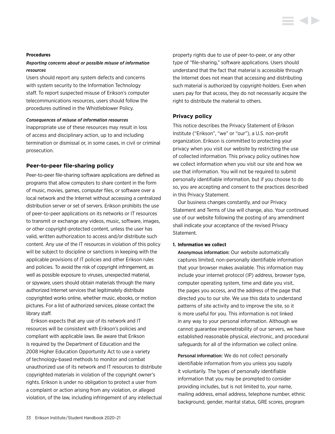#### <span id="page-33-0"></span>**Procedures**

#### *Reporting concerns about or possible misuse of information resources*

Users should report any system defects and concerns with system security to the Information Technology staff. To report suspected misuse of Erikson's computer telecommunications resources, users should follow the procedures outlined in the Whistleblower Policy.

#### *Consequences of misuse of information resources*

Inappropriate use of these resources may result in loss of access and disciplinary action, up to and including termination or dismissal or, in some cases, in civil or criminal prosecution.

#### **Peer-to-peer file-sharing policy**

Peer-to-peer file-sharing software applications are defined as programs that allow computers to share content in the form of music, movies, games, computer files, or software over a local network and the Internet without accessing a centralized distribution server or set of servers. Erikson prohibits the use of peer-to-peer applications on its networks or IT resources to transmit or exchange any videos, music, software, images, or other copyright-protected content, unless the user has valid, written authorization to access and/or distribute such content. Any use of the IT resources in violation of this policy will be subject to discipline or sanctions in keeping with the applicable provisions of IT policies and other Erikson rules and policies. To avoid the risk of copyright infringement, as well as possible exposure to viruses, unexpected material, or spyware, users should obtain materials through the many authorized Internet services that legitimately distribute copyrighted works online, whether music, ebooks, or motion pictures. For a list of authorized services, please contact the library staff.

Erikson expects that any use of its network and IT resources will be consistent with Erikson's policies and compliant with applicable laws. Be aware that Erikson is required by the Department of Education and the 2008 Higher Education Opportunity Act to use a variety of technology-based methods to monitor and combat unauthorized use of its network and IT resources to distribute copyrighted materials in violation of the copyright owner's rights. Erikson is under no obligation to protect a user from a complaint or action arising from any violation, or alleged violation, of the law, including infringement of any intellectual property rights due to use of peer-to-peer, or any other type of "file-sharing," software applications. Users should understand that the fact that material is accessible through the Internet does not mean that accessing and distributing such material is authorized by copyright-holders. Even when users pay for that access, they do not necessarily acquire the right to distribute the material to others.

#### **Privacy policy**

This notice describes the Privacy Statement of Erikson Institute ("Erikson", "we" or "our"), a U.S. non-profit organization. Erikson is committed to protecting your privacy when you visit our website by restricting the use of collected information. This privacy policy outlines how we collect information when you visit our site and how we use that information. You will not be required to submit personally identifiable information, but if you choose to do so, you are accepting and consent to the practices described in this Privacy Statement.

Our business changes constantly, and our Privacy Statement and Terms of Use will change, also. Your continued use of our website following the posting of any amendment shall indicate your acceptance of the revised Privacy Statement.

#### **1. Information we collect**

Anonymous information: Our website automatically captures limited, non-personally identifiable information that your browser makes available. This information may include your internet protocol (IP) address, browser type, computer operating system, time and date you visit, the pages you access, and the address of the page that directed you to our site. We use this data to understand patterns of site activity and to improve the site, so it is more useful for you. This information is not linked in any way to your personal information. Although we cannot guarantee impenetrability of our servers, we have established reasonable physical, electronic, and procedural safeguards for all of the information we collect online.

Personal information: We do not collect personally identifiable information from you unless you supply it voluntarily. The types of personally identifiable information that you may be prompted to consider providing includes, but is not limited to, your name, mailing address, email address, telephone number, ethnic background, gender, marital status, GRE scores, program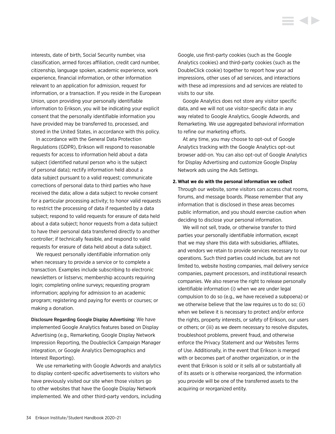interests, date of birth, Social Security number, visa classification, armed forces affiliation, credit card number, citizenship, language spoken, academic experience, work experience, financial information, or other information relevant to an application for admission, request for information, or a transaction. If you reside in the European Union, upon providing your personally identifiable information to Erikson, you will be indicating your explicit consent that the personally identifiable information you have provided may be transferred to, processed, and stored in the United States, in accordance with this policy.

In accordance with the General Data Protection Regulations (GDPR), Erikson will respond to reasonable requests for access to information held about a data subject (identified natural person who is the subject of personal data); rectify information held about a data subject pursuant to a valid request; communicate corrections of personal data to third parties who have received the data; allow a data subject to revoke consent for a particular processing activity; to honor valid requests to restrict the processing of data if requested by a data subject; respond to valid requests for erasure of data held about a data subject; honor requests from a data subject to have their personal data transferred directly to another controller; if technically feasible, and respond to valid requests for erasure of data held about a data subject.

We request personally identifiable information only when necessary to provide a service or to complete a transaction. Examples include subscribing to electronic newsletters or listservs; membership accounts requiring login; completing online surveys; requesting program information; applying for admission to an academic program; registering and paying for events or courses; or making a donation.

Disclosure Regarding Google Display Advertising: We have implemented Google Analytics features based on Display Advertising (e.g., Remarketing, Google Display Network Impression Reporting, the Doubleclick Campaign Manager integration, or Google Analytics Demographics and Interest Reporting).

We use remarketing with Google Adwords and analytics to display content-specific advertisements to visitors who have previously visited our site when those visitors go to other websites that have the Google Display Network implemented. We and other third-party vendors, including

Google, use first-party cookies (such as the Google Analytics cookies) and third-party cookies (such as the DoubleClick cookie) together to report how your ad impressions, other uses of ad services, and interactions with these ad impressions and ad services are related to visits to our site.

Google Analytics does not store any visitor specific data, and we will not use visitor-specific data in any way related to Google Analytics, Google Adwords, and Remarketing. We use aggregated behavioral information to refine our marketing efforts.

At any time, you may choose to opt-out of Google Analytics tracking with the Google Analytics opt-out browser add-on. You can also opt-out of Google Analytics for Display Advertising and customize Google Display Network ads using the Ads Settings.

#### **2. What we do with the personal information we collect**

Through our website, some visitors can access chat rooms, forums, and message boards. Please remember that any information that is disclosed in these areas becomes public information, and you should exercise caution when deciding to disclose your personal information.

We will not sell, trade, or otherwise transfer to third parties your personally identifiable information, except that we may share this data with subsidiaries, affiliates, and vendors we retain to provide services necessary to our operations. Such third parties could include, but are not limited to, website hosting companies, mail delivery service companies, payment processors, and institutional research companies. We also reserve the right to release personally identifiable information (i) when we are under legal compulsion to do so (e.g., we have received a subpoena) or we otherwise believe that the law requires us to do so; (ii) when we believe it is necessary to protect and/or enforce the rights, property interests, or safety of Erikson, our users or others; or (iii) as we deem necessary to resolve disputes, troubleshoot problems, prevent fraud, and otherwise enforce the Privacy Statement and our Websites Terms of Use. Additionally, in the event that Erikson is merged with or becomes part of another organization, or in the event that Erikson is sold or it sells all or substantially all of its assets or is otherwise reorganized, the information you provide will be one of the transferred assets to the acquiring or reorganized entity.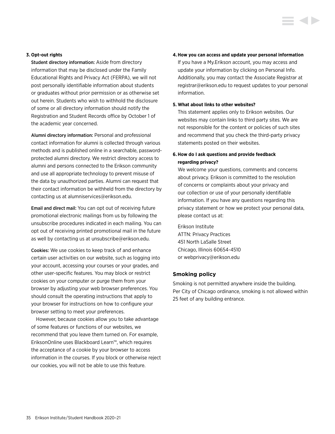#### <span id="page-35-0"></span>**3. Opt-out rights**

Student directory information: Aside from directory information that may be disclosed under the Family Educational Rights and Privacy Act (FERPA), we will not post personally identifiable information about students or graduates without prior permission or as otherwise set out herein. Students who wish to withhold the disclosure of some or all directory information should notify the Registration and Student Records office by October 1 of the academic year concerned.

Alumni directory information: Personal and professional contact information for alumni is collected through various methods and is published online in a searchable, passwordprotected alumni directory. We restrict directory access to alumni and persons connected to the Erikson community and use all appropriate technology to prevent misuse of the data by unauthorized parties. Alumni can request that their contact information be withheld from the directory by contacting us at [alumniservices@erikson.edu](mailto:?subject=).

Email and direct mail: You can opt out of receiving future promotional electronic mailings from us by following the unsubscribe procedures indicated in each mailing. You can opt out of receiving printed promotional mail in the future as well by contacting us at [unsubscribe@erikson.edu.](mailto:?subject=)

Cookies: We use cookies to keep track of and enhance certain user activities on our website, such as logging into your account, accessing your courses or your grades, and other user-specific features. You may block or restrict cookies on your computer or purge them from your browser by adjusting your web browser preferences. You should consult the operating instructions that apply to your browser for instructions on how to configure your browser setting to meet your preferences.

However, because cookies allow you to take advantage of some features or functions of our websites, we recommend that you leave them turned on. For example, EriksonOnline uses Blackboard Learn™, which requires the acceptance of a cookie by your browser to access information in the courses. If you block or otherwise reject our cookies, you will not be able to use this feature.

#### **4.How you can access and update your personal information**

If you have a My.Erikson account, you may access and update your information by clicking on Personal Info. Additionally, you may contact the Associate Registrar at [registrar@erikson.edu](mailto:?subject=) to request updates to your personal information.

#### **5. What about links to other websites?**

This statement applies only to Erikson websites. Our websites may contain links to third party sites. We are not responsible for the content or policies of such sites and recommend that you check the third-party privacy statements posted on their websites.

### **6. How do I ask questions and provide feedback regarding privacy?**

We welcome your questions, comments and concerns about privacy. Erikson is committed to the resolution of concerns or complaints about your privacy and our collection or use of your personally identifiable information. If you have any questions regarding this privacy statement or how we protect your personal data, please contact us at:

Erikson Institute ATTN: Privacy Practices 451 North LaSalle Street Chicago, Illinois 60654-4510 or [webprivacy@erikson.edu](mailto:?subject=)

#### **Smoking policy**

Smoking is not permitted anywhere inside the building. Per City of Chicago ordinance, smoking is not allowed within 25 feet of any building entrance.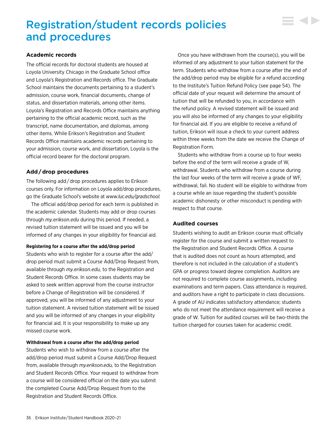# Registration/student records policies and procedures

# **Academic records**

The official records for doctoral students are housed at Loyola University Chicago in the Graduate School office and Loyola's Registration and Records office. The Graduate School maintains the documents pertaining to a student's admission, course work, financial documents, change of status, and dissertation materials, among other items. Loyola's Registration and Records Office maintains anything pertaining to the official academic record, such as the transcript, name documentation, and diplomas, among other items. While Erikson's Registration and Student Records Office maintains academic records pertaining to your admission, course work, and dissertation, Loyola is the official record bearer for the doctoral program.

# **Add / drop procedures**

The following add / drop procedures applies to Erikson courses only. For information on Loyola add/drop procedures, go the Graduate School's website at *[www.luc.edu/gradschool](http://www.luc.edu/gradschool).*

The official add/drop period for each term is published in the academic calendar. Students may add or drop courses through *[my.erikson.edu](http://my.erikson.edu)* during this period. If needed, a revised tuition statement will be issued and you will be informed of any changes in your eligibility for financial aid.

# **Registering for a course after the add/drop period**

Students who wish to register for a course after the add/ drop period must submit a Course Add/Drop Request from, available through *[my.erikson.edu,](http://my.erikson.edu)* to the Registration and Student Records Office. In some cases students may be asked to seek written approval from the course instructor before a Change of Registration will be considered. If approved, you will be informed of any adjustment to your tuition statement. A revised tuition statement will be issued and you will be informed of any changes in your eligibility for financial aid. It is your responsibility to make up any missed course work.

# **Withdrawal from a course after the add/drop period**

Students who wish to withdraw from a course after the add/drop period must submit a Course Add/Drop Request from, available through *[my.erikson.edu,](http://my.erikson.edu)* to the Registration and Student Records Office. Your request to withdraw from a course will be considered official on the date you submit the completed Course Add/Drop Request from to the Registration and Student Records Office.

Once you have withdrawn from the course(s), you will be informed of any adjustment to your tuition statement for the term. Students who withdraw from a course after the end of the add/drop period may be eligible for a refund according to the Institute's [Tuition Refund Policy \(see page 54\)](#page-54-0). The official date of your request will determine the amount of tuition that will be refunded to you, in accordance with the refund policy. A revised statement will be issued and you will also be informed of any changes to your eligibility for financial aid. If you are eligible to receive a refund of tuition, Erikson will issue a check to your current address within three weeks from the date we receive the Change of Registration Form.

▘▟▶

Students who withdraw from a course up to four weeks before the end of the term will receive a grade of W, withdrawal. Students who withdraw from a course during the last four weeks of the term will receive a grade of WF, withdrawal, fail. No student will be eligible to withdraw from a course while an issue regarding the student's possible academic dishonesty or other misconduct is pending with respect to that course.

# **Audited courses**

Students wishing to audit an Erikson course must officially register for the course and submit a written request to the Registration and Student Records Office. A course that is audited does not count as hours attempted, and therefore is not included in the calculation of a student's GPA or progress toward degree completion. Auditors are not required to complete course assignments, including examinations and term papers. Class attendance is required, and auditors have a right to participate in class discussions. A grade of AU indicates satisfactory attendance; students who do not meet the attendance requirement will receive a grade of W. Tuition for audited courses will be two-thirds the tuition charged for courses taken for academic credit.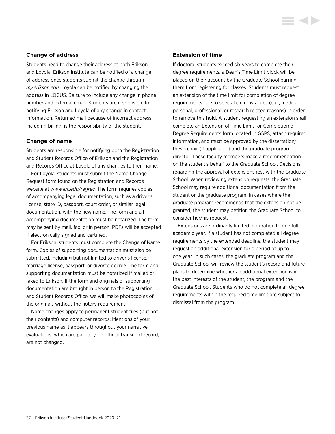# **Change of address**

Students need to change their address at both Erikson and Loyola. Erikson Institute can be notified of a change of address once students submit the change through *[my.erikson.edu.](http://my.erikson.edu)* Loyola can be notified by changing the address in LOCUS. Be sure to include any change in phone number and external email. Students are responsible for notifying Erikson and Loyola of any change in contact information. Returned mail because of incorrect address, including billing, is the responsibility of the student.

# **Change of name**

Students are responsible for notifying both the Registration and Student Records Office of Erikson and the Registration and Records Office at Loyola of any changes to their name.

For Loyola, students must submit the Name Change Request form found on the Registration and Records website at *[www.luc.edu/regrec](http://www.luc.edu/regrec).* The form requires copies of accompanying legal documentation, such as a driver's license, state ID, passport, court order, or similar legal documentation, with the new name. The form and all accompanying documentation must be notarized. The form may be sent by mail, fax, or in person. PDFs will be accepted if electronically signed and certified.

For Erikson, students must complete the Change of Name form. Copies of supporting documentation must also be submitted, including but not limited to driver's license, marriage license, passport, or divorce decree. The form and supporting documentation must be notarized if mailed or faxed to Erikson. If the form and originals of supporting documentation are brought in person to the Registration and Student Records Office, we will make photocopies of the originals without the notary requirement.

Name changes apply to permanent student files (but not their contents) and computer records. Mentions of your previous name as it appears throughout your narrative evaluations, which are part of your official transcript record, are not changed.

# **Extension of time**

If doctoral students exceed six years to complete their degree requirements, a Dean's Time Limit block will be placed on their account by the Graduate School barring them from registering for classes. Students must request an extension of the time limit for completion of degree requirements due to special circumstances (e.g., medical, personal, professional, or research related reasons) in order to remove this hold. A student requesting an extension shall complete an Extension of Time Limit for Completion of Degree Requirements form located in GSPS, attach required information, and must be approved by the dissertation/ thesis chair (if applicable) and the graduate program director. These faculty members make a recommendation on the student's behalf to the Graduate School. Decisions regarding the approval of extensions rest with the Graduate School. When reviewing extension requests, the Graduate School may require additional documentation from the student or the graduate program. In cases where the graduate program recommends that the extension not be granted, the student may petition the Graduate School to consider her/his request.

Extensions are ordinarily limited in duration to one full academic year. If a student has not completed all degree requirements by the extended deadline, the student may request an additional extension for a period of up to one year. In such cases, the graduate program and the Graduate School will review the student's record and future plans to determine whether an additional extension is in the best interests of the student, the program and the Graduate School. Students who do not complete all degree requirements within the required time limit are subject to dismissal from the program.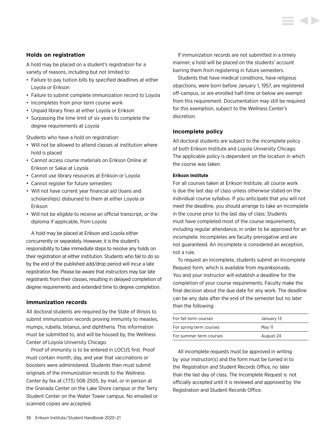# **Holds on registration**

A hold may be placed on a student's registration for a variety of reasons, including but not limited to:

- Failure to pay tuition bills by specified deadlines at either Loyola or Erikson
- Failure to submit complete immunization record to Loyola
- Incompletes from prior term course work
- Unpaid library fines at either Loyola or Erikson
- Surpassing the time limit of six years to complete the degree requirements at Loyola

Students who have a hold on registration:

- Will not be allowed to attend classes at institution where hold is placed
- Cannot access course materials on Erikson Online at Erikson or Sakai at Loyola
- Cannot use library resources at Erikson or Loyola
- Cannot register for future semesters
- Will not have current year financial aid (loans and scholarships) disbursed to them at either Loyola or Erikson
- Will not be eligible to receive an official transcript, or the diploma if applicable, from Loyola

A hold may be placed at Erikson and Loyola either concurrently or separately. However, it is the student's responsibility to take immediate steps to resolve any holds on their registration at either institution. Students who fail to do so by the end of the published add/drop period will incur a late registration fee. Please be aware that instructors may bar late registrants from their classes, resulting in delayed completion of degree requirements and extended time to degree completion.

# **Immunization records**

All doctoral students are required by the State of Illinois to submit immunization records proving immunity to measles, mumps, rubella, tetanus, and diphtheria. This information must be submitted to, and will be housed by, the Wellness Center of Loyola University Chicago.

Proof of immunity is to be entered in LOCUS first. Proof must contain month, day, and year that vaccinations or boosters were administered. Students then must submit originals of the immunization records to the Wellness Center by fax at (773) 508-2505, by mail, or in person at the Granada Center on the Lake Shore campus or the Terry Student Center on the Water Tower campus. No emailed or scanned copies are accepted.

If immunization records are not submitted in a timely manner, a hold will be placed on the students' account barring them from registering in future semesters.

Students that have medical conditions, have religious objections, were born before January 1, 1957, are registered off-campus, or are enrolled half-time or below are exempt from this requirement. Documentation may still be required for this exemption, subject to the Wellness Center's discretion.

# **Incomplete policy**

All doctoral students are subject to the incomplete policy of both Erikson Institute and Loyola University Chicago. The applicable policy is dependent on the location in which the course was taken.

#### **Erikson Institute**

For all courses taken at Erikson Institute, all course work is due the last day of class unless otherwise stated on the individual course syllabus. If you anticipate that you will not meet the deadline, you should arrange to take an incomplete in the course prior to the last day of class. Students must have completed most of the course requirements, including regular attendance, in order to be approved for an incomplete. Incompletes are faculty prerogative and are not guaranteed. An incomplete is considered an exception, not a rule.

To request an incomplete, students submit an Incomplete Request form, which is available from *[my.erikson.edu](http://my.erikson.edu).* You and your instructor will establish a deadline for the completion of your course requirements. Faculty make the final decision about the due date for any work. The deadline can be any date after the end of the semester but no later than the following:

| For fall term courses   | January 13 |
|-------------------------|------------|
| For spring term courses | May 11     |
| For summer term courses | August 24  |

All incomplete requests must be approved in writing by your instructor(s) and the form must be turned in to the Registration and Student Records Office, no later than the last day of class. The Incomplete Request is not officially accepted until it is reviewed and approved by the Registration and Student Records Office.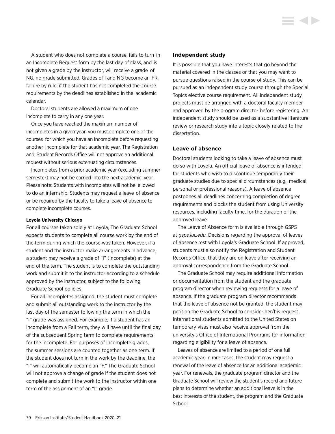A student who does not complete a course, fails to turn in an Incomplete Request form by the last day of class, and is not given a grade by the instructor, will receive a grade of NG, no grade submitted. Grades of I and NG become an FR, failure by rule, if the student has not completed the course requirements by the deadlines established in the academic calendar.

Doctoral students are allowed a maximum of one incomplete to carry in any one year.

Once you have reached the maximum number of incompletes in a given year, you must complete one of the courses for which you have an incomplete before requesting another incomplete for that academic year. The Registration and Student Records Office will not approve an additional request without serious extenuating circumstances.

Incompletes from a prior academic year (excluding summer semester) may not be carried into the next academic year. Please note: Students with incompletes will not be allowed to do an internship. Students may request a leave of absence or be required by the faculty to take a leave of absence to complete incomplete courses.

#### **Loyola University Chicago**

For all courses taken solely at Loyola, The Graduate School expects students to complete all course work by the end of the term during which the course was taken. However, if a student and the instructor make arrangements in advance, a student may receive a grade of "I" (Incomplete) at the end of the term. The student is to complete the outstanding work and submit it to the instructor according to a schedule approved by the instructor, subject to the following Graduate School policies.

For all incompletes assigned, the student must complete and submit all outstanding work to the instructor by the last day of the semester following the term in which the "I" grade was assigned. For example, if a student has an incomplete from a Fall term, they will have until the final day of the subsequent Spring term to complete requirements for the incomplete. For purposes of incomplete grades, the summer sessions are counted together as one term. If the student does not turn in the work by the deadline, the "I" will automatically become an "F." The Graduate School will not approve a change of grade if the student does not complete and submit the work to the instructor within one term of the assignment of an "I" grade.

#### **Independent study**

It is possible that you have interests that go beyond the material covered in the classes or that you may want to pursue questions raised in the course of study. This can be pursued as an independent study course through the Special Topics elective course requirement. All independent study projects must be arranged with a doctoral faculty member and approved by the program director before registering. An independent study should be used as a substantive literature review or research study into a topic closely related to the dissertation.

#### **Leave of absence**

Doctoral students looking to take a leave of absence must do so with Loyola. An official leave of absence is intended for students who wish to discontinue temporarily their graduate studies due to special circumstances (e.g., medical, personal or professional reasons). A leave of absence postpones all deadlines concerning completion of degree requirements and blocks the student from using University resources, including faculty time, for the duration of the approved leave.

The Leave of Absence form is available through GSPS at *[gsps.luc.edu](http://gsps.luc.edu).* Decisions regarding the approval of leaves of absence rest with Loyola's Graduate School. If approved, students must also notify the Registration and Student Records Office, that they are on leave after receiving an approval correspondence from the Graduate School.

The Graduate School may require additional information or documentation from the student and the graduate program director when reviewing requests for a leave of absence. If the graduate program director recommends that the leave of absence not be granted, the student may petition the Graduate School to consider her/his request. International students admitted to the United States on temporary visas must also receive approval from the university's Office of International Programs for information regarding eligibility for a leave of absence.

Leaves of absence are limited to a period of one full academic year. In rare cases, the student may request a renewal of the leave of absence for an additional academic year. For renewals, the graduate program director and the Graduate School will review the student's record and future plans to determine whether an additional leave is in the best interests of the student, the program and the Graduate School.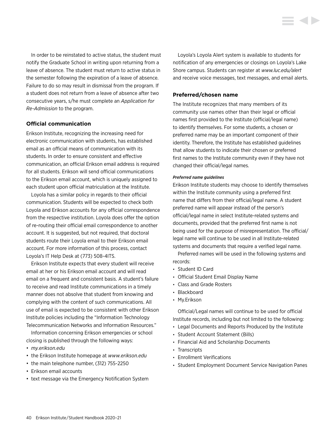In order to be reinstated to active status, the student must notify the Graduate School in writing upon returning from a leave of absence. The student must return to active status in the semester following the expiration of a leave of absence. Failure to do so may result in dismissal from the program. If a student does not return from a leave of absence after two consecutive years, s/he must complete an *Application for Re-Admission* to the program.

# **Official communication**

Erikson Institute, recognizing the increasing need for electronic communication with students, has established email as an official means of communication with its students. In order to ensure consistent and effective communication, an official Erikson email address is required for all students. Erikson will send official communications to the Erikson email account, which is uniquely assigned to each student upon official matriculation at the Institute.

Loyola has a similar policy in regards to their official communication. Students will be expected to check both Loyola and Erikson accounts for any official correspondence from the respective institution. Loyola does offer the option of re-routing their official email correspondence to another account. It is suggested, but not required, that doctoral students route their Loyola email to their Erikson email account. For more information of this process, contact Loyola's IT Help Desk at (773) 508-4ITS.

Erikson Institute expects that every student will receive email at her or his Erikson email account and will read email on a frequent and consistent basis. A student's failure to receive and read Institute communications in a timely manner does not absolve that student from knowing and complying with the content of such communications. All use of email is expected to be consistent with other Erikson Institute policies including the "Information Technology Telecommunication Networks and Information Resources."

Information concerning Erikson emergencies or school closing is published through the following ways:

- *[my.erikson.edu](http://my.erikson.edu)*
- the Erikson Institute homepage at *[www.erikson.edu](http://www.erikson.edu)*
- the main telephone number, (312) 755-2250
- Erikson email accounts
- text message via the Emergency Notification System

Loyola's Loyola Alert system is available to students for notification of any emergencies or closings on Loyola's Lake Shore campus. Students can register at *[www.luc.edu/alert](http://www.luc.edu/alert)* and receive voice messages, text messages, and email alerts.

# **Preferred/chosen name**

The Institute recognizes that many members of its community use names other than their legal or official names first provided to the Institute (official/legal name) to identify themselves. For some students, a chosen or preferred name may be an important component of their identity. Therefore, the Institute has established guidelines that allow students to indicate their chosen or preferred first names to the Institute community even if they have not changed their official/legal names.

#### *Preferred name guidelines*

Erikson Institute students may choose to identify themselves within the Institute community using a preferred first name that differs from their official/legal name. A student preferred name will appear instead of the person's official/legal name in select Institute-related systems and documents, provided that the preferred first name is not being used for the purpose of misrepresentation. The official/ legal name will continue to be used in all Institute-related systems and documents that require a verified legal name.

Preferred names will be used in the following systems and records:

- Student ID Card
- Official Student Email Display Name
- Class and Grade Rosters
- Blackboard
- My.Erikson

Official/Legal names will continue to be used for official Institute records, including but not limited to the following:

- Legal Documents and Reports Produced by the Institute
- Student Account Statement (Bills)
- Financial Aid and Scholarship Documents
- Transcripts
- Enrollment Verifications
- Student Employment Document Service Navigation Panes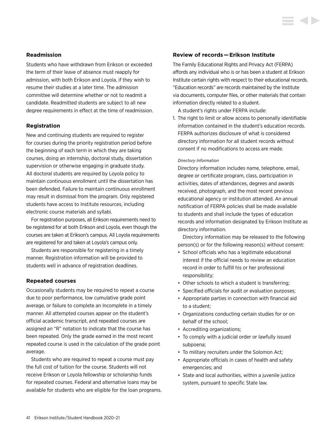# **Readmission**

Students who have withdrawn from Erikson or exceeded the term of their leave of absence must reapply for admission, with both Erikson and Loyola, if they wish to resume their studies at a later time. The admission committee will determine whether or not to readmit a candidate. Readmitted students are subject to all new degree requirements in effect at the time of readmission.

# **Registration**

New and continuing students are required to register for courses during the priority registration period before the beginning of each term in which they are taking courses, doing an internship, doctoral study, dissertation supervision or otherwise engaging in graduate study. All doctoral students are required by Loyola policy to maintain continuous enrollment until the dissertation has been defended. Failure to maintain continuous enrollment may result in dismissal from the program. Only registered students have access to Institute resources, including electronic course materials and syllabi.

For registration purposes, all Erikson requirements need to be registered for at both Erikson and Loyola, even though the courses are taken at Erikson's campus. All Loyola requirements are registered for and taken at Loyola's campus only.

Students are responsible for registering in a timely manner. Registration information will be provided to students well in advance of registration deadlines.

# **Repeated courses**

Occasionally students may be required to repeat a course due to poor performance, low cumulative grade point average, or failure to complete an Incomplete in a timely manner. All attempted courses appear on the student's official academic transcript, and repeated courses are assigned an "R" notation to indicate that the course has been repeated. Only the grade earned in the most recent repeated course is used in the calculation of the grade point average.

Students who are required to repeat a course must pay the full cost of tuition for the course. Students will not receive Erikson or Loyola fellowship or scholarship funds for repeated courses. Federal and alternative loans may be available for students who are eligible for the loan programs.

# **Review of records — Erikson Institute**

The Family Educational Rights and Privacy Act (FERPA) affords any individual who is or has been a student at Erikson Institute certain rights with respect to their educational records. "Education records" are records maintained by the Institute via documents, computer files, or other materials that contain information directly related to a student.

A student's rights under FERPA include:

1. The right to limit or allow access to personally identifiable information contained in the student's education records. FERPA authorizes disclosure of what is considered directory information for all student records without consent if no modifications to access are made.

#### *Directory Information*

Directory information includes name, telephone, email, degree or certificate program, class, participation in activities, dates of attendances, degrees and awards received, photograph, and the most recent previous educational agency or institution attended. An annual notification of FERPA policies shall be made available to students and shall include the types of education records and information designated by Erikson Institute as directory information.

 Directory information may be released to the following person(s) or for the following reason(s) without consent:

- School officials who has a legitimate educational interest if the official needs to review an education record in order to fulfill his or her professional responsibility;
- Other schools to which a student is transferring;
- Specified officials for audit or evaluation purposes;
- Appropriate parties in connection with financial aid to a student;
- Organizations conducting certain studies for or on behalf of the school;
- Accrediting organizations;
- To comply with a judicial order or lawfully issued subpoena;
- To military recruiters under the Solomon Act;
- Appropriate officials in cases of health and safety emergencies; and
- State and local authorities, within a juvenile justice system, pursuant to specific State law.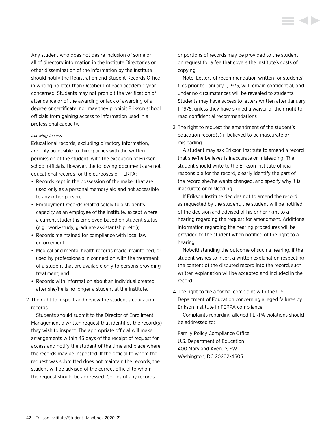Any student who does not desire inclusion of some or all of directory information in the Institute Directories or other dissemination of the information by the Institute should notify the Registration and Student Records Office in writing no later than October 1 of each academic year concerned. Students may not prohibit the verification of attendance or of the awarding or lack of awarding of a degree or certificate, nor may they prohibit Erikson school officials from gaining access to information used in a professional capacity.

# *Allowing Access*

Educational records, excluding directory information, are only accessible to third-parties with the written permission of the student, with the exception of Erikson school officials. However, the following documents are not educational records for the purposes of FERPA:

- Records kept in the possession of the maker that are used only as a personal memory aid and not accessible to any other person;
- Employment records related solely to a student's capacity as an employee of the Institute, except where a current student is employed based on student status (e.g., work-study, graduate assistantship, etc.);
- Records maintained for compliance with local law enforcement;
- Medical and mental health records made, maintained, or used by professionals in connection with the treatment of a student that are available only to persons providing treatment; and
- Records with information about an individual created after she/he is no longer a student at the Institute.
- 2. The right to inspect and review the student's education records.

 Students should submit to the Director of Enrollment Management a written request that identifies the record(s) they wish to inspect. The appropriate official will make arrangements within 45 days of the receipt of request for access and notify the student of the time and place where the records may be inspected. If the official to whom the request was submitted does not maintain the records, the student will be advised of the correct official to whom the request should be addressed. Copies of any records

or portions of records may be provided to the student on request for a fee that covers the Institute's costs of copying.

 Note: Letters of recommendation written for students' files prior to January 1, 1975, will remain confidential, and under no circumstances will be revealed to students. Students may have access to letters written after January 1, 1975, unless they have signed a waiver of their right to read confidential recommendations

3. The right to request the amendment of the student's education record(s) if believed to be inaccurate or misleading.

 A student may ask Erikson Institute to amend a record that she/he believes is inaccurate or misleading. The student should write to the Erikson Institute official responsible for the record, clearly identify the part of the record she/he wants changed, and specify why it is inaccurate or misleading.

 If Erikson Institute decides not to amend the record as requested by the student, the student will be notified of the decision and advised of his or her right to a hearing regarding the request for amendment. Additional information regarding the hearing procedures will be provided to the student when notified of the right to a hearing.

 Notwithstanding the outcome of such a hearing, if the student wishes to insert a written explanation respecting the content of the disputed record into the record, such written explanation will be accepted and included in the record.

4. The right to file a formal complaint with the U.S. Department of Education concerning alleged failures by Erikson Institute in FERPA compliance.

 Complaints regarding alleged FERPA violations should be addressed to:

Family Policy Compliance Office U.S. Department of Education 400 Maryland Avenue, SW Washington, DC 20202-4605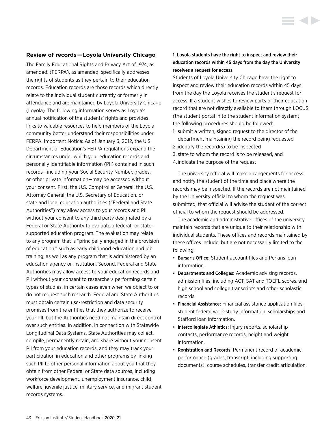#### **Review of records — Loyola University Chicago**

The Family Educational Rights and Privacy Act of 1974, as amended, (FERPA), as amended, specifically addresses the rights of students as they pertain to their education records. Education records are those records which directly relate to the individual student currently or formerly in attendance and are maintained by Loyola University Chicago (Loyola). The following information serves as Loyola's annual notification of the students' rights and provides links to valuable resources to help members of the Loyola community better understand their responsibilities under FERPA. Important Notice: As of January 3, 2012, the U.S. Department of Education's FERPA regulations expand the circumstances under which your education records and personally identifiable information (PII) contained in such records—including your Social Security Number, grades, or other private information—may be accessed without your consent. First, the U.S. Comptroller General, the U.S. Attorney General, the U.S. Secretary of Education, or state and local education authorities ("Federal and State Authorities") may allow access to your records and PII without your consent to any third party designated by a Federal or State Authority to evaluate a federal- or statesupported education program. The evaluation may relate to any program that is "principally engaged in the provision of education," such as early childhood education and job training, as well as any program that is administered by an education agency or institution. Second, Federal and State Authorities may allow access to your education records and PII without your consent to researchers performing certain types of studies, in certain cases even when we object to or do not request such research. Federal and State Authorities must obtain certain use-restriction and data security promises from the entities that they authorize to receive your PII, but the Authorities need not maintain direct control over such entities. In addition, in connection with Statewide Longitudinal Data Systems, State Authorities may collect, compile, permanently retain, and share without your consent PII from your education records, and they may track your participation in education and other programs by linking such PII to other personal information about you that they obtain from other Federal or State data sources, including workforce development, unemployment insurance, child welfare, juvenile justice, military service, and migrant student records systems.

1. Loyola students have the right to inspect and review their education records within 45 days from the day the University receives a request for access.

Students of Loyola University Chicago have the right to inspect and review their education records within 45 days from the day the Loyola receives the student's request for access. If a student wishes to review parts of their education record that are not directly available to them through LOCUS (the student portal in to the student information system), the following procedures should be followed:

- 1. submit a written, signed request to the director of the department maintaining the record being requested
- 2. identify the record(s) to be inspected
- 3. state to whom the record is to be released, and
- 4. indicate the purpose of the request

The university official will make arrangements for access and notify the student of the time and place where the records may be inspected. If the records are not maintained by the University official to whom the request was submitted, that official will advise the student of the correct official to whom the request should be addressed.

The academic and administrative offices of the university maintain records that are unique to their relationship with individual students. These offices and records maintained by these offices include, but are not necessarily limited to the following:

- Bursar's Office: Student account files and Perkins loan information.
- Departments and Colleges: Academic advising records, admission files, including ACT, SAT and TOEFL scores, and high school and college transcripts and other scholastic records.
- Financial Assistance: Financial assistance application files, student federal work-study information, scholarships and Stafford loan information.
- Intercollegiate Athletics: Injury reports, scholarship contacts, performance records, height and weight information.
- Registration and Records: Permanent record of academic performance (grades, transcript, including supporting documents), course schedules, transfer credit articulation.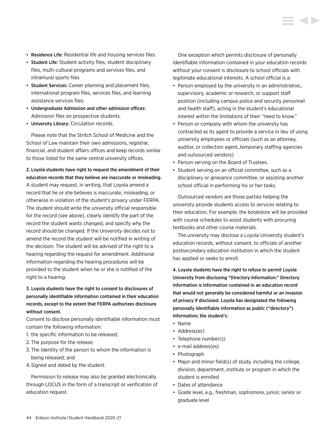- Residence Life: Residential life and housing services files.
- Student Life: Student activity files, student disciplinary files, multi-cultural programs and services files, and intramural sports files
- Student Services: Career planning and placement files, international program files, services files, and learning assistance services files.
- Undergraduate Admission and other admission offices: Admission files on prospective students.
- University Library: Circulation records.

Please note that the Stritch School of Medicine and the School of Law maintain their own admissions, registrar, financial, and student affairs offices and keep records similar to those listed for the same central university offices.

# 2. Loyola students have right to request the amendment of their education records that they believe are inaccurate or misleading.

A student may request, in writing, that Loyola amend a record that he or she believes is inaccurate, misleading, or otherwise in violation of the student's privacy under FERPA. The student should write the university official responsible for the record (see above), clearly identify the part of the record the student wants changed, and specify why the record should be changed. If the University decides not to amend the record the student will be notified in writing of the decision. The student will be advised of the right to a hearing regarding the request for amendment. Additional information regarding the hearing procedures will be provided to the student when he or she is notified of the right to a hearing.

# 3. Loyola students have the right to consent to disclosures of personally identifiable information contained in their education records, except to the extent that FERPA authorizes disclosure without consent.

Consent to disclose personally identifiable information must contain the following information:

- 1. the specific information to be released;
- 2. The purpose for the release;
- 3. The Identity of the person to whom the information is being released; and
- 4. Signed and dated by the student.

Permission to release may also be granted electronically through LOCUS in the form of a transcript or verification of education request.

One exception which permits disclosure of personally identifiable information contained in your education records without your consent is disclosure to school officials with legitimate educational interests. A school official is a:

- Person employed by the university in an administrative,. supervisory, academic or research, or support staff position (including campus police and security personnel and health staff), acting in the student's educational interest within the limitations of their "need to know."
- Person or company with whom the university has contracted as its agent to provide a service in lieu of using university employees or officials (such as an attorney, auditor, or collection agent,.temporary staffing agencies and outsourced vendors)
- Person serving on the Board of Trustees.
- Student serving on an official committee, such as a disciplinary or grievance committee, or assisting another school official in performing his or her tasks.

Outsourced vendors are those parties helping the university provide students access to services relating to their education. For example, the bookstore will be provided with course schedules to assist students with procuring textbooks and other course materials.

The university may disclose a Loyola University student's education records, without consent, to officials of another postsecondary education institution in which the student has applied or seeks to enroll.

4. Loyola students have the right to refuse to permit Loyola University from disclosing "Directory Information." Directory Information is information contained in an education record that would not generally be considered harmful or an invasion of privacy if disclosed. Loyola has designated the following personally identifiable information as public ("directory") information; the student's:

- Name
- Address(es)
- Telephone number(s)
- e-mail address(es)
- Photograph
- Major and minor field(s) of study, including the college, division, department, institute or program in which the student is enrolled
- Dates of attendance
- Grade level, e.g., freshman, sophomore, junior, senior or graduate level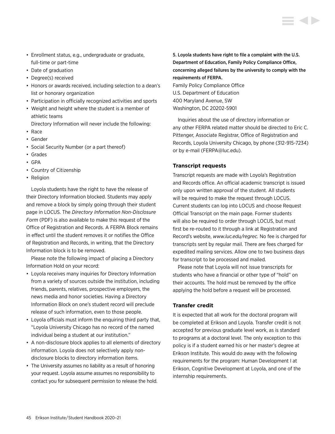- Enrollment status, e.g., undergraduate or graduate, full-time or part-time
- Date of graduation
- Degree(s) received
- Honors or awards received, including selection to a dean's list or honorary organization
- Participation in officially recognized activities and sports
- Weight and height where the student is a member of athletic teams

Directory Information will never include the following:

- Race
- Gender
- Social Security Number (or a part thereof)
- Grades
- GPA
- Country of Citizenship
- Religion

Loyola students have the right to have the release of their Directory Information blocked. Students may apply and remove a block by simply going through their student page in LOCUS. The *Directory Information Non-Disclosure Form* (PDF) is also available to make this request of the Office of Registration and Records. A FERPA Block remains in effect until the student removes it or notifies the Office of Registration and Records, in writing, that the Directory Information block is to be removed.

Please note the following impact of placing a Directory Information Hold on your record:

- Loyola receives many inquiries for Directory Information from a variety of sources outside the institution, including friends, parents, relatives, prospective employers, the news media and honor societies. Having a Directory Information Block on one's student record will preclude release of such information, even to those people.
- Loyola officials must inform the enquiring third party that, "Loyola University Chicago has no record of the named individual being a student at our institution."
- A non-disclosure block applies to all elements of directory information. Loyola does not selectively apply nondisclosure blocks to directory information items.
- The University assumes no liability as a result of honoring your request. Loyola assume assumes no responsibility to contact you for subsequent permission to release the hold.

5. Loyola students have right to file a complaint with the U.S. Department of Education, Family Policy Compliance Office, concerning alleged failures by the university to comply with the requirements of FERPA. Family Policy Compliance Office

U.S. Department of Education 400 Maryland Avenue, SW Washington, DC 20202-5901

Inquiries about the use of directory information or any other FERPA related matter should be directed to Eric C. Pittenger, Associate Registrar, Office of Registration and Records, Loyola University Chicago, by phone (312-915-7234) or by e-mail [\(FERPA@luc.edu](mailto:FERPA%40luc.edu?subject=)).

# **Transcript requests**

Transcript requests are made with Loyola's Registration and Records office. An official academic transcript is issued only upon written approval of the student. All students will be required to make the request through LOCUS. Current students can log into LOCUS and choose Request Official Transcript on the main page. Former students will also be required to order through LOCUS, but must first be re-routed to it through a link at Registration and Record's website, *[www.luc.edu/regrec](http://www.luc.edu/regrec).* No fee is charged for transcripts sent by regular mail. There are fees charged for expedited mailing services. Allow one to two business days for transcript to be processed and mailed.

Please note that Loyola will not issue transcripts for students who have a financial or other type of "hold" on their accounts. The hold must be removed by the office applying the hold before a request will be processed.

# **Transfer credit**

It is expected that all work for the doctoral program will be completed at Erikson and Loyola. Transfer credit is not accepted for previous graduate level work, as is standard to programs at a doctoral level. The only exception to this policy is if a student earned his or her master's degree at Erikson Institute. This would do away with the following requirements for the program: Human Development I at Erikson, Cognitive Development at Loyola, and one of the internship requirements.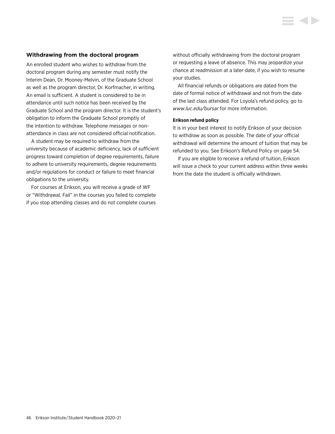# **Withdrawing from the doctoral program**

An enrolled student who wishes to withdraw from the doctoral program during any semester must notify the Interim Dean, Dr. Mooney-Melvin, of the Graduate School as well as the program director, Dr. Korfmacher, in writing. An email is sufficient. A student is considered to be in attendance until such notice has been received by the Graduate School and the program director. It is the student's obligation to inform the Graduate School promptly of the intention to withdraw. Telephone messages or nonattendance in class are not considered official notification.

A student may be required to withdraw from the university because of academic deficiency, lack of sufficient progress toward completion of degree requirements, failure to adhere to university requirements, degree requirements and/or regulations for conduct or failure to meet financial obligations to the university.

For courses at Erikson, you will receive a grade of WF or "Withdrawal, Fail" in the courses you failed to complete if you stop attending classes and do not complete courses without officially withdrawing from the doctoral program or requesting a leave of absence. This may jeopardize your chance at readmission at a later date, if you wish to resume your studies.

All financial refunds or obligations are dated from the date of formal notice of withdrawal and not from the date of the last class attended. For Loyola's refund policy, go to *[www.luc.edu/bursar](http://www.luc.edu/bursar)* for more information.

#### **Erikson refund policy**

It is in your best interest to notify Erikson of your decision to withdraw as soon as possible. The date of your official withdrawal will determine the amount of tuition that may be refunded to you. [See Erikson's Refund Policy on page 54.](#page-54-0)

If you are eligible to receive a refund of tuition, Erikson will issue a check to your current address within three weeks from the date the student is officially withdrawn.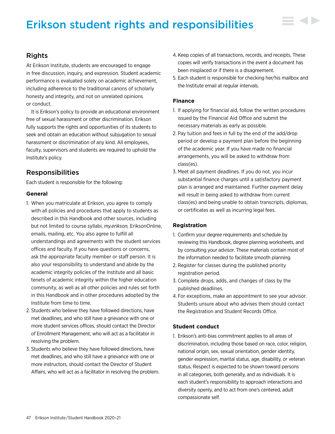# Erikson student rights and responsibilities

# Rights

At Erikson Institute, students are encouraged to engage in free discussion, inquiry, and expression. Student academic performance is evaluated solely on academic achievement, including adherence to the traditional canons of scholarly honesty and integrity, and not on unrelated opinions or conduct.

It is Erikson's policy to provide an educational environment free of sexual harassment or other discrimination. Erikson fully supports the rights and opportunities of its students to seek and obtain an education without subjugation to sexual harassment or discrimination of any kind. All employees, faculty, supervisors and students are required to uphold the Institute's policy.

# Responsibilities

Each student is responsible for the following:

# **General**

- 1. When you matriculate at Erikson, you agree to comply with all policies and procedures that apply to students as described in this Handbook and other sources, including but not limited to course syllabi, *my.erikson,* EriksonOnline, emails, mailing, etc. You also agree to fulfill all understandings and agreements with the student services offices and faculty. If you have questions or concerns, ask the appropriate faculty member or staff person. It is also your responsibility to understand and abide by the academic integrity policies of the Institute and all basic tenets of academic integrity within the higher education community, as well as all other policies and rules set forth in this Handbook and in other procedures adopted by the Institute from time to time.
- 2. Students who believe they have followed directions, have met deadlines, and who still have a grievance with one or more student services offices, should contact the Director of Enrollment Management, who will act as a facilitator in resolving the problem.
- 3. Students who believe they have followed directions, have met deadlines, and who still have a grievance with one or more instructors, should contact the Director of Student Affairs, who will act as a facilitator in resolving the problem.
- 4. Keep copies of all transactions, records, and receipts. These copies will verify transactions in the event a document has been misplaced or if there is a disagreement.
- 5. Each student is responsible for checking her/his mailbox and the Institute email at regular intervals.

# **Finance**

- 1. If applying for financial aid, follow the written procedures issued by the Financial Aid Office and submit the necessary materials as early as possible.
- 2. Pay tuition and fees in full by the end of the add/drop period or develop a payment plan before the beginning of the academic year. If you have made no financial arrangements, you will be asked to withdraw from class(es).
- 3. Meet all payment deadlines. If you do not, you incur substantial finance charges until a satisfactory payment plan is arranged and maintained. Further payment delay will result in being asked to withdraw from current class(es) and being unable to obtain transcripts, diplomas, or certificates as well as incurring legal fees.

# **Registration**

- 1. Confirm your degree requirements and schedule by reviewing this Handbook, degree planning worksheets, and by consulting your advisor. These materials contain most of the information needed to facilitate smooth planning.
- 2. Register for classes during the published priority registration period.
- 3. Complete drops, adds, and changes of class by the published deadlines.
- 4. For exceptions, make an appointment to see your advisor. Students unsure about who advises them should contact the Registration and Student Records Office.

# **Student conduct**

1. Erikson's anti-bias commitment applies to all areas of discrimination, including those based on race, color, religion, national origin, sex, sexual orientation, gender identity, gender expression, marital status, age, disability, or veteran status. Respect is expected to be shown toward persons in all categories, both generally, and as individuals. It is each student's responsibility to approach interactions and diversity openly, and to act from one's centered, adult compassionate self.

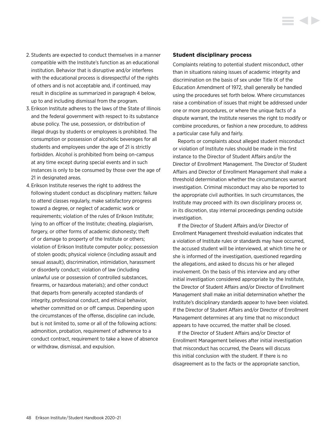- 2. Students are expected to conduct themselves in a manner compatible with the Institute's function as an educational institution. Behavior that is disruptive and/or interferes with the educational process is disrespectful of the rights of others and is not acceptable and, if continued, may result in discipline as summarized in paragraph 4 below, up to and including dismissal from the program.
- 3. Erikson Institute adheres to the laws of the State of Illinois and the federal government with respect to its substance abuse policy. The use, possession, or distribution of illegal drugs by students or employees is prohibited. The consumption or possession of alcoholic beverages for all students and employees under the age of 21 is strictly forbidden. Alcohol is prohibited from being on-campus at any time except during special events and in such instances is only to be consumed by those over the age of 21 in designated areas.
- 4. Erikson Institute reserves the right to address the following student conduct as disciplinary matters: failure to attend classes regularly, make satisfactory progress toward a degree, or neglect of academic work or requirements; violation of the rules of Erikson Institute; lying to an officer of the Institute; cheating, plagiarism, forgery, or other forms of academic dishonesty; theft of or damage to property of the Institute or others; violation of Erikson Institute computer policy; possession of stolen goods; physical violence (including assault and sexual assault), discrimination, intimidation, harassment or disorderly conduct; violation of law (including unlawful use or possession of controlled substances, firearms, or hazardous materials); and other conduct that departs from generally accepted standards of integrity, professional conduct, and ethical behavior, whether committed on or off campus. Depending upon the circumstances of the offense, discipline can include, but is not limited to, some or all of the following actions: admonition, probation, requirement of adherence to a conduct contract, requirement to take a leave of absence or withdraw, dismissal, and expulsion.

### **Student disciplinary process**

Complaints relating to potential student misconduct, other than in situations raising issues of academic integrity and discrimination on the basis of sex under Title IX of the Education Amendment of 1972, shall generally be handled using the procedures set forth below. Where circumstances raise a combination of issues that might be addressed under one or more procedures, or where the unique facts of a dispute warrant, the Institute reserves the right to modify or combine procedures, or fashion a new procedure, to address a particular case fully and fairly.

Reports or complaints about alleged student misconduct or violation of Institute rules should be made in the first instance to the Director of Student Affairs and/or the Director of Enrollment Management. The Director of Student Affairs and Director of Enrollment Management shall make a threshold determination whether the circumstances warrant investigation. Criminal misconduct may also be reported to the appropriate civil authorities. In such circumstances, the Institute may proceed with its own disciplinary process or, in its discretion, stay internal proceedings pending outside investigation.

If the Director of Student Affairs and/or Director of Enrollment Management threshold evaluation indicates that a violation of Institute rules or standards may have occurred, the accused student will be interviewed, at which time he or she is informed of the investigation, questioned regarding the allegations, and asked to discuss his or her alleged involvement. On the basis of this interview and any other initial investigation considered appropriate by the Institute, the Director of Student Affairs and/or Director of Enrollment Management shall make an initial determination whether the Institute's disciplinary standards appear to have been violated. If the Director of Student Affairs and/or Director of Enrollment Management determines at any time that no misconduct appears to have occurred, the matter shall be closed.

If the Director of Student Affairs and/or Director of Enrollment Management believes after initial investigation that misconduct has occurred, the Deans will discuss this initial conclusion with the student. If there is no disagreement as to the facts or the appropriate sanction,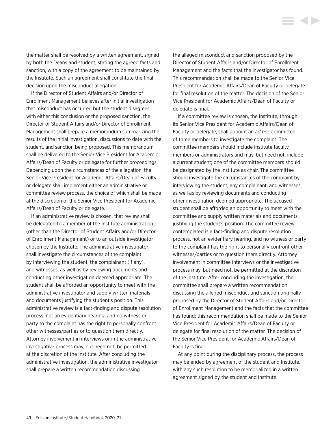the matter shall be resolved by a written agreement, signed by both the Deans and student, stating the agreed facts and sanction, with a copy of the agreement to be maintained by the Institute. Such an agreement shall constitute the final decision upon the misconduct allegation.

If the Director of Student Affairs and/or Director of Enrollment Management believes after initial investigation that misconduct has occurred but the student disagrees with either this conclusion or the proposed sanction, the Director of Student Affairs and/or Director of Enrollment Management shall prepare a memorandum summarizing the results of the initial investigation, discussions to date with the student, and sanction being proposed. This memorandum shall be delivered to the Senior Vice President for Academic Affairs/Dean of Faculty or delegate for further proceedings. Depending upon the circumstances of the allegation, the Senior Vice President for Academic Affairs/Dean of Faculty or delegate shall implement either an administrative or committee review process, the choice of which shall be made at the discretion of the Senior Vice President for Academic Affairs/Dean of Faculty or delegate.

If an administrative review is chosen, that review shall be delegated to a member of the Institute administration (other than the Director of Student Affairs and/or Director of Enrollment Management) or to an outside investigator chosen by the Institute. The administrative investigator shall investigate the circumstances of the complaint by interviewing the student, the complainant (if any), and witnesses, as well as by reviewing documents and conducting other investigation deemed appropriate. The student shall be afforded an opportunity to meet with the administrative investigator and supply written materials and documents justifying the student's position. This administrative review is a fact-finding and dispute resolution process, not an evidentiary hearing, and no witness or party to the complaint has the right to personally confront other witnesses/parties or to question them directly. Attorney involvement in interviews or in the administrative investigative process may, but need not, be permitted at the discretion of the Institute. After concluding the administrative investigation, the administrative investigator shall prepare a written recommendation discussing

the alleged misconduct and sanction proposed by the Director of Student Affairs and/or Director of Enrollment Management and the facts that the investigator has found. This recommendation shall be made to the Senior Vice President for Academic Affairs/Dean of Faculty or delegate for final resolution of the matter. The decision of the Senior Vice President for Academic Affairs/Dean of Faculty or delegate is final.

If a committee review is chosen, the Institute, through its Senior Vice President for Academic Affairs/Dean of Faculty or delegate, shall appoint an *ad hoc* committee of three members to investigate the complaint. The committee members should include Institute faculty members or administrators and may, but need not, include a current student; one of the committee members should be designated by the Institute as chair. The committee should investigate the circumstances of the complaint by interviewing the student, any complainant, and witnesses, as well as by reviewing documents and conducting other investigation deemed appropriate. The accused student shall be afforded an opportunity to meet with the committee and supply written materials and documents justifying the student's position. The committee review contemplated is a fact-finding and dispute resolution process, not an evidentiary hearing, and no witness or party to the complaint has the right to personally confront other witnesses/parties or to question them directly. Attorney involvement in committee interviews or the investigative process may, but need not, be permitted at the discretion of the Institute. After concluding the investigation, the committee shall prepare a written recommendation discussing the alleged misconduct and sanction originally proposed by the Director of Student Affairs and/or Director of Enrollment Management and the facts that the committee has found; this recommendation shall be made to the Senior Vice President for Academic Affairs/Dean of Faculty or delegate for final resolution of the matter. The decision of the Senior Vice President for Academic Affairs/Dean of Faculty is final.

At any point during the disciplinary process, the process may be ended by agreement of the student and Institute, with any such resolution to be memorialized in a written agreement signed by the student and Institute.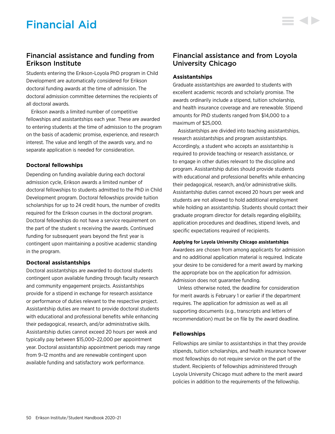Students entering the Erikson-Loyola PhD program in Child Development are automatically considered for Erikson doctoral funding awards at the time of admission. The doctoral admission committee determines the recipients of all doctoral awards.

Erikson awards a limited number of competitive fellowships and assistantships each year. These are awarded to entering students at the time of admission to the program on the basis of academic promise, experience, and research interest. The value and length of the awards vary, and no separate application is needed for consideration.

# **Doctoral fellowships**

Depending on funding available during each doctoral admission cycle, Erikson awards a limited number of doctoral fellowships to students admitted to the PhD in Child Development program. Doctoral fellowships provide tuition scholarships for up to 24 credit hours, the number of credits required for the Erikson courses in the doctoral program. Doctoral fellowships do not have a service requirement on the part of the student s receiving the awards. Continued funding for subsequent years beyond the first year is contingent upon maintaining a positive academic standing in the program.

# **Doctoral assistantships**

Doctoral assistantships are awarded to doctoral students contingent upon available funding through faculty research and community engagement projects. Assistantships provide for a stipend in exchange for research assistance or performance of duties relevant to the respective project. Assistantship duties are meant to provide doctoral students with educational and professional benefits while enhancing their pedagogical, research, and/or administrative skills. Assistantship duties cannot exceed 20 hours per week and typically pay between \$15,000–22,000 per appointment year. Doctoral assistantship appointment periods may range from 9–12 months and are renewable contingent upon available funding and satisfactory work performance.

# Financial assistance and from Loyola University Chicago

E 4 D

# **Assistantships**

Graduate assistantships are awarded to students with excellent academic records and scholarly promise. The awards ordinarily include a stipend, tuition scholarship, and health insurance coverage and are renewable. Stipend amounts for PhD students ranged from \$14,000 to a maximum of \$25,000.

Assistantships are divided into teaching assistantships, research assistantships and program assistantships. Accordingly, a student who accepts an assistantship is required to provide teaching or research assistance, or to engage in other duties relevant to the discipline and program. Assistantship duties should provide students with educational and professional benefits while enhancing their pedagogical, research, and/or administrative skills. Assistantship duties cannot exceed 20 hours per week and students are not allowed to hold additional employment while holding an assistantship. Students should contact their graduate program director for details regarding eligibility, application procedures and deadlines, stipend levels, and specific expectations required of recipients.

# **Applying for Loyola University Chicago assistantships**

Awardees are chosen from among applicants for admission and no additional application material is required. Indicate your desire to be considered for a merit award by marking the appropriate box on the application for admission. Admission does not guarantee funding.

Unless otherwise noted, the deadline for consideration for merit awards is February 1 or earlier if the department requires. The application for admission as well as all supporting documents (e.g., transcripts and letters of recommendation) must be on file by the award deadline.

# **Fellowships**

Fellowships are similar to assistantships in that they provide stipends, tuition scholarships, and health insurance however most fellowships do not require service on the part of the student. Recipients of fellowships administered through Loyola University Chicago must adhere to the merit award policies in addition to the requirements of the fellowship.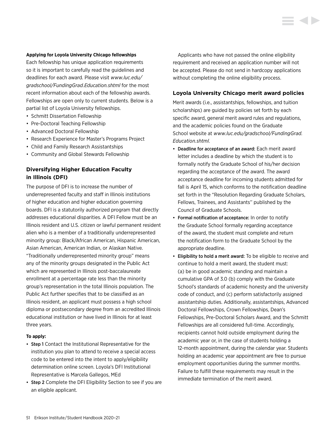### **Applying for Loyola University Chicago fellowships**

Each fellowship has unique application requirements so it is important to carefully read the guidelines and deadlines for each award. Please visit *[www.luc.edu/](http://www.luc.edu/gradschool/FundingGrad.Education.shtml) [gradschool/FundingGrad.Education.shtml](http://www.luc.edu/gradschool/FundingGrad.Education.shtml)* for the most recent information about each of the fellowship awards. Fellowships are open only to current students. Below is a partial list of Loyola University fellowships.

- Schmitt Dissertation Fellowship
- Pre-Doctoral Teaching Fellowship
- Advanced Doctoral Fellowship
- Research Experience for Master's Programs Project
- Child and Family Research Assistantships
- Community and Global Stewards Fellowship

# **Diversifying Higher Education Faculty in Illinois (DFI)**

The purpose of DFI is to increase the number of underrepresented faculty and staff in Illinois institutions of higher education and higher education governing boards. DFI is a statutorily authorized program that directly addresses educational disparities. A DFI Fellow must be an Illinois resident and U.S. citizen or lawful permanent resident alien who is a member of a traditionally underrepresented minority group: Black/African American, Hispanic American, Asian American, American Indian, or Alaskan Native. "Traditionally underrepresented minority group" means any of the minority groups designated in the Public Act which are represented in Illinois post-baccalaureate enrollment at a percentage rate less than the minority group's representation in the total Illinois population. The Public Act further specifies that to be classified as an Illinois resident, an applicant must possess a high school diploma or postsecondary degree from an accredited Illinois educational institution or have lived in Illinois for at least three years.

#### **To apply:**

- Step 1 Contact the Institutional Representative for the institution you plan to attend to receive a special access code to be entered into the intent to apply/eligibility determination online screen. Loyola's DFI Institutional Representative is Marcela Gallegos, MEd
- Step 2 Complete the DFI Eligibility Section to see if you are an eligible applicant.

Applicants who have not passed the online eligibility requirement and received an application number will not be accepted. Please do not send in hardcopy applications without completing the online eligibility process.

# **Loyola University Chicago merit award policies**

Merit awards (i.e., assistantships, fellowships, and tuition scholarships) are guided by policies set forth by each specific award, general merit award rules and regulations, and the academic policies found on the Graduate School website at *[www.luc.edu/gradschool/FundingGrad.](http://www.luc.edu/gradschool/FundingGrad.Education.shtml) [Education.shtml](http://www.luc.edu/gradschool/FundingGrad.Education.shtml)*.

- Deadline for acceptance of an award: Each merit award letter includes a deadline by which the student is to formally notify the Graduate School of his/her decision regarding the acceptance of the award. The award acceptance deadline for incoming students admitted for fall is April 15, which conforms to the notification deadline set forth in the "Resolution Regarding Graduate Scholars, Fellows, Trainees, and Assistants'' published by the Council of Graduate Schools.
- Formal notification of acceptance: In order to notify the Graduate School formally regarding acceptance of the award, the student must complete and return the notification form to the Graduate School by the appropriate deadline.
- Eligibility to hold a merit award: To be eligible to receive and continue to hold a merit award, the student must: (a) be in good academic standing and maintain a cumulative GPA of 3.0 (b) comply with the Graduate School's standards of academic honesty and the university code of conduct, and (c) perform satisfactorily assigned assistantship duties. Additionally, assistantships, Advanced Doctoral Fellowships, Crown Fellowships, Dean's Fellowships, Pre-Doctoral Scholars Award, and the Schmitt Fellowships are all considered full-time. Accordingly, recipients cannot hold outside employment during the academic year or, in the case of students holding a 12-month appointment, during the calendar year. Students holding an academic year appointment are free to pursue employment opportunities during the summer months. Failure to fulfill these requirements may result in the immediate termination of the merit award.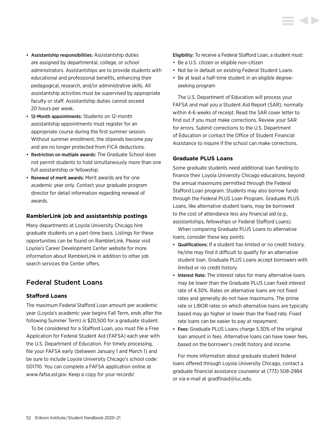- Assistantship responsibilities: Assistantship duties are assigned by departmental, college, or school administrators. Assistantships are to provide students with educational and professional benefits, enhancing their pedagogical, research, and/or administrative skills. All assistantship activities must be supervised by appropriate faculty or staff. Assistantship duties cannot exceed 20 hours per week.
- 12-Month appointments: Students on 12-month assistantship appointments must register for an appropriate course during the first summer session. Without summer enrollment, the stipends become pay and are no longer protected from FICA deductions.
- Restriction on multiple awards: The Graduate School does not permit students to hold simultaneously more than one full assistantship or fellowship.
- Renewal of merit awards: Merit awards are for one academic year only. Contact your graduate program director for detail information regarding renewal of awards.

# **RamblerLink job and assistantship postings**

Many departments at Loyola University Chicago hire graduate students on a part-time basis. Listings for these opportunities can be found on RamblerLink. Please visit Loyola's Career Development Center website for more information about RamblerLink in addition to other job search services the Center offers.

# Federal Student Loans

# **Stafford Loans**

The maximum Federal Stafford Loan amount per academic year (Loyola's academic year begins Fall Term, ends after the following Summer Term) is \$20,500 for a graduate student.

To be considered for a Stafford Loan, you must file a Free Application for Federal Student Aid (FAFSA) each year with the U.S. Department of Education. For timely processing, file your FAFSA early (between January 1 and March 1) and be sure to include Loyola University Chicago's school code: 001710. You can complete a FAFSA application online at *[www.fafsa.ed.gov](http://www.fafsa.ed.gov)*. Keep a copy for your records!

Eligibility: To receive a Federal Stafford Loan, a student must:

- Be a U.S. citizen or eligible non-citizen
- Not be in default on existing Federal Student Loans
- Be at least a half-time student in an eligible degreeseeking program

The U.S. Department of Education will process your FAFSA and mail you a Student Aid Report (SAR), normally within 4-6 weeks of receipt. Read the SAR cover letter to find out if you must make corrections. Review your SAR for errors. Submit corrections to the U.S. Department of Education or contact the Office of Student Financial Assistance to inquire if the school can make corrections.

# **Graduate PLUS Loans**

Some graduate students need additional loan funding to finance their Loyola University Chicago educations, beyond the annual maximums permitted through the Federal Stafford Loan program. Students may also borrow funds through the Federal PLUS Loan Program. Graduate PLUS Loans, like alternative student loans, may be borrowed to the cost of attendance less any financial aid (e.g., assistantships, fellowships or Federal Stafford Loans).

When comparing Graduate PLUS Loans to alternative loans, consider these key points:

- Qualifications: If a student has limited or no credit history, he/she may find it difficult to qualify for an alternative student loan. Graduate PLUS Loans accept borrowers with limited or no credit history.
- Interest Rate: The interest rates for many alternative loans may be lower than the Graduate PLUS Loan fixed interest rate of 4.30%. Rates on alternative loans are not fixed rates and generally do not have maximums. The prime rate or LIBOR rates on which alternative loans are typically based may go higher or lower than the fixed rate. Fixed rate loans can be easier to pay at repayment.
- Fees: Graduate PLUS Loans charge 5.30% of the original loan amount in fees. Alternative loans can have lower fees, based on the borrower's credit history and income.

For more information about graduate student federal loans offered through Loyola University Chicago, contact a graduate financial assistance counselor at (773) 508-2984 or via e-mail at [gradfinaid@luc.edu.](mailto:gradfinaid%40luc.edu?subject=)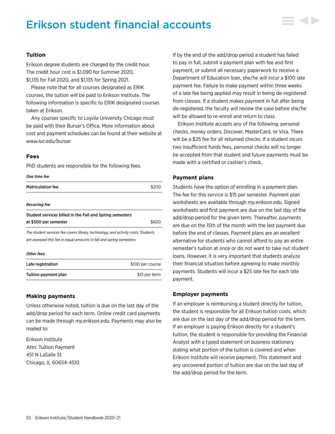# Erikson student financial accounts



# **Tuition**

Erikson degree students are charged by the credit hour. The credit hour cost is \$1,090 for Summer 2020, \$1,135 for Fall 2020, and \$1,135 for Spring 2021.

Please note that for all courses designated as ERIK courses, the tuition will be paid to Erikson Institute. The following information is specific to ERIK designated courses taken at Erikson.

Any courses specific to Loyola University Chicago must be paid with their Bursar's Office. More information about cost and payment schedules can be found at their website at *[www.luc.edu/bursar.](http://www.luc.edu/bursar)*

# **Fees**

PhD students are responsible for the following fees.

#### *One time fee*

| <b>Matriculation fee</b>                                                                                                                                  |                      |
|-----------------------------------------------------------------------------------------------------------------------------------------------------------|----------------------|
| <b>Recurring fee</b>                                                                                                                                      |                      |
| Student services billed in the Fall and Spring semesters                                                                                                  |                      |
| at \$300 per semester                                                                                                                                     | \$600                |
| The student services fee covers library, technology, and activity costs. Students<br>are assessed this fee in equal amounts in fall and spring semesters. |                      |
| <b>Other fees</b>                                                                                                                                         |                      |
|                                                                                                                                                           | $\sim$ $\sim$ $\sim$ |

| Late registration    | \$100 per course |
|----------------------|------------------|
| Tuition payment plan | \$15 per term    |

# **Making payments**

Unless otherwise noted, tuition is due on the last day of the add/drop period for each term. Online credit card payments can be made through *[my.erikson.edu](http://my.erikson.edu)*. Payments may also be mailed to:

Erikson Institute Attn: Tuition Payment 451 N LaSalle St Chicago, IL 60654-4510 If by the end of the add/drop period a student has failed to pay in full, submit a payment plan with fee and first payment, or submit all necessary paperwork to receive a Department of Education loan, she/he will incur a \$100 late payment fee. Failure to make payment within three weeks of a late fee being applied may result in being de-registered from classes. If a student makes payment in full after being de-registered, the faculty will review the case before she/he will be allowed to re-enroll and return to class.

Erikson Institute accepts any of the following: personal checks, money orders, Discover, MasterCard, or Visa. There will be a \$25 fee for all returned checks. If a student incurs two insufficient funds fees, personal checks will no longer be accepted from that student and future payments must be made with a certified or cashier's check.

# **Payment plans**

Students have the option of enrolling in a payment plan. The fee for this service is \$15 per semester. Payment plan worksheets are available through *[my.erikson.edu](http://my.erikson.edu).* Signed worksheets and first payment are due on the last day of the add/drop period for the given term. Thereafter, payments are due on the 15th of the month with the last payment due before the end of classes. Payment plans are an excellent alternative for students who cannot afford to pay an entire semester's tuition at once or do not want to take out student loans. However, it is very important that students analyze their financial situation before agreeing to make monthly payments. Students will incur a \$25 late fee for each late payment.

# **Employer payments**

If an employer is reimbursing a student directly for tuition, the student is responsible for all Erikson tuition costs, which are due on the last day of the add/drop period for the term. If an employer is paying Erikson directly for a student's tuition, the student is responsible for providing the Financial Analyst with a typed statement on business stationery stating what portion of the tuition is covered and when Erikson Institute will receive payment. This statement and any uncovered portion of tuition are due on the last day of the add/drop period for the term.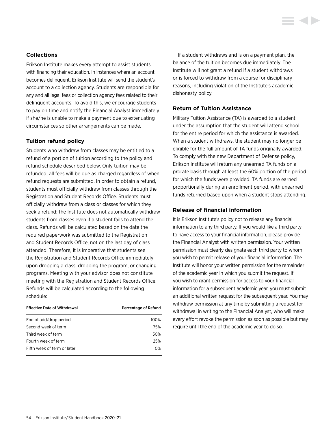# <span id="page-54-0"></span>**Collections**

Erikson Institute makes every attempt to assist students with financing their education. In instances where an account becomes delinquent, Erikson Institute will send the student's account to a collection agency. Students are responsible for any and all legal fees or collection agency fees related to their delinquent accounts. To avoid this, we encourage students to pay on time and notify the Financial Analyst immediately if she/he is unable to make a payment due to extenuating circumstances so other arrangements can be made.

# **Tuition refund policy**

Students who withdraw from classes may be entitled to a refund of a portion of tuition according to the policy and refund schedule described below. Only tuition may be refunded; all fees will be due as charged regardless of when refund requests are submitted. In order to obtain a refund, students must officially withdraw from classes through the Registration and Student Records Office. Students must officially withdraw from a class or classes for which they seek a refund; the Institute does not automatically withdraw students from classes even if a student fails to attend the class. Refunds will be calculated based on the date the required paperwork was submitted to the Registration and Student Records Office, not on the last day of class attended. Therefore, it is imperative that students see the Registration and Student Records Office immediately upon dropping a class, dropping the program, or changing programs. Meeting with your advisor does not constitute meeting with the Registration and Student Records Office. Refunds will be calculated according to the following schedule:

| <b>Effective Date of Withdrawal</b> | Percentage of Refund |
|-------------------------------------|----------------------|
| End of add/drop period              | 100%                 |
| Second week of term                 | 75%                  |
| Third week of term                  | 50%                  |
| Fourth week of term                 | 25%                  |
| Fifth week of term or later         | 0 <sup>%</sup>       |
|                                     |                      |

If a student withdraws and is on a payment plan, the balance of the tuition becomes due immediately. The Institute will not grant a refund if a student withdraws or is forced to withdraw from a course for disciplinary reasons, including violation of the Institute's academic dishonesty policy.

# **Return of Tuition Assistance**

Military Tuition Assistance (TA) is awarded to a student under the assumption that the student will attend school for the entire period for which the assistance is awarded. When a student withdraws, the student may no longer be eligible for the full amount of TA funds originally awarded. To comply with the new Department of Defense policy, Erikson Institute will return any unearned TA funds on a prorate basis through at least the 60% portion of the period for which the funds were provided. TA funds are earned proportionally during an enrollment period, with unearned funds returned based upon when a student stops attending.

# **Release of financial information**

It is Erikson Institute's policy not to release any financial information to any third party. If you would like a third party to have access to your financial information, please provide the Financial Analyst with written permission. Your written permission must clearly designate each third party to whom you wish to permit release of your financial information. The Institute will honor your written permission for the remainder of the academic year in which you submit the request. If you wish to grant permission for access to your financial information for a subsequent academic year, you must submit an additional written request for the subsequent year. You may withdraw permission at any time by submitting a request for withdrawal in writing to the Financial Analyst, who will make every effort revoke the permission as soon as possible but may require until the end of the academic year to do so.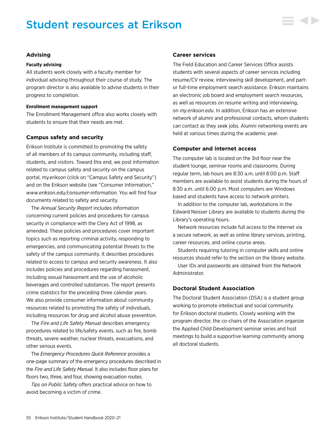# Student resources at Erikson



# **Advising**

#### **Faculty advising**

All students work closely with a faculty member for individual advising throughout their course of study. The program director is also available to advise students in their progress to completion.

#### **Enrollment management support**

The Enrollment Management office also works closely with students to ensure that their needs are met.

#### **Campus safety and security**

Erikson Institute is committed to promoting the safety of all members of its campus community, including staff, students, and visitors. Toward this end, we post information related to campus safety and security on the campus portal, my.erikson (click on "Campus Safety and Security") and on the Erikson website (see "Consumer Information," *[www.erikson.edu/consumer-information](http://www.erikson.edu/consumer-information)*. You will find four documents related to safety and security.

The *Annual Security Report* includes information concerning current policies and procedures for campus security in compliance with the Clery Act of 1998, as amended. These policies and procedures cover important topics such as reporting criminal activity, responding to emergencies, and communicating potential threats to the safety of the campus community. It describes procedures related to access to campus and security awareness. It also includes policies and procedures regarding harassment, including sexual harassment and the use of alcoholic beverages and controlled substances. The report presents crime statistics for the preceding three calendar years. We also provide consumer information about community resources related to promoting the safety of individuals, including resources for drug and alcohol abuse prevention.

The *Fire and Life Safety Manual* describes emergency procedures related to life/safety events, such as fire, bomb threats, severe weather, nuclear threats, evacuations, and other serious events.

The *Emergency Procedures Quick Reference* provides a one-page summary of the emergency procedures described in the *Fire and Life Safety Manual.* It also includes floor plans for floors two, three, and four, showing evacuation routes.

*Tips on Public Safety* offers practical advice on how to avoid becoming a victim of crime.

#### **Career services**

The Field Education and Career Services Office assists students with several aspects of career services including resume/CV review, interviewing skill development, and partor full-time employment search assistance. Erikson maintains an electronic job board and employment search resources, as well as resources on resume writing and interviewing, on *[my.erikson.edu](http://my.erikson.edu)*. In addition, Erikson has an extensive network of alumni and professional contacts, whom students can contact as they seek jobs. Alumni networking events are held at various times during the academic year.

#### **Computer and internet access**

The computer lab is located on the 3rd floor near the student lounge, seminar rooms and classrooms. During regular term, lab hours are 8:30 a.m. until 8:00 p.m. Staff members are available to assist students during the hours of 8:30 a.m. until 6:00 p.m. Most computers are Windows based and students have access to network printers.

In addition to the computer lab, workstations in the Edward Neisser Library are available to students during the Library's operating hours.

Network resources include full access to the Internet via a secure network, as well as online library services, printing, career resources, and online course areas.

Students requiring tutoring in computer skills and online resources should refer to the section on the library website.

User IDs and passwords are obtained from the Network Administrator.

# **Doctoral Student Association**

The Doctoral Student Association (DSA) is a student group working to promote intellectual and social community for Erikson doctoral students. Closely working with the program director, the co-chairs of the Association organize the Applied Child Development seminar series and host meetings to build a supportive learning community among all doctoral students.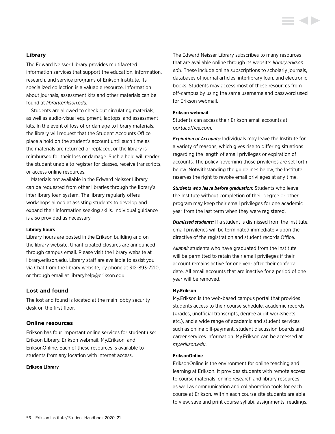# **Library**

The Edward Neisser Library provides multifaceted information services that support the education, information, research, and service programs of Erikson Institute. Its specialized collection is a valuable resource. Information about journals, assessment kits and other materials can be found at *[library.erikson.edu.](http://library.erikson.edu)*

Students are allowed to check out circulating materials, as well as audio-visual equipment, laptops, and assessment kits. In the event of loss of or damage to library materials, the library will request that the Student Accounts Office place a hold on the student's account until such time as the materials are returned or replaced, or the library is reimbursed for their loss or damage. Such a hold will render the student unable to register for classes, receive transcripts, or access online resources.

Materials not available in the Edward Neisser Library can be requested from other libraries through the library's interlibrary loan system. The library regularly offers workshops aimed at assisting students to develop and expand their information seeking skills. Individual guidance is also provided as necessary.

#### **Library hours**

Library hours are posted in the Erikson building and on the library website. Unanticipated closures are announced through campus email. Please visit the library website at [library.erikson.edu](http://library.erikson.edu). Library staff are available to assist you via Chat from the library website, by phone at 312-893-7210, or through email at [libraryhelp@erikson.edu.](mailto:libraryhelp%40erikson.edu?subject=)

### **Lost and found**

The lost and found is located at the main lobby security desk on the first floor.

# **Online resources**

Erikson has four important online services for student use: Erikson Library, Erikson webmail, My.Erikson, and EriksonOnline. Each of these resources is available to students from any location with Internet access.

#### **Erikson Library**

The Edward Neisser Library subscribes to many resources that are available online through its website: *[library.erikson.](http://library.erikson.edu) [edu](http://library.erikson.edu)*. These include online subscriptions to scholarly journals, databases of journal articles, interlibrary loan, and electronic books. Students may access most of these resources from off-campus by using the same username and password used for Erikson webmail.

#### **Erikson webmail**

Students can access their Erikson email accounts at *[portal.office.com](http://portal.office.com).*

*Expiration of Accounts:* Individuals may leave the Institute for a variety of reasons, which gives rise to differing situations regarding the length of email privileges or expiration of accounts. The policy governing those privileges are set forth below. Notwithstanding the guidelines below, the Institute reserves the right to revoke email privileges at any time.

*Students who leave before graduation:* Students who leave the Institute without completion of their degree or other program may keep their email privileges for one academic year from the last term when they were registered.

*Dismissed students:* If a student is dismissed from the Institute, email privileges will be terminated immediately upon the directive of the registration and student records Office.

*Alumni:* students who have graduated from the Institute will be permitted to retain their email privileges if their account remains active for one year after their conferral date. All email accounts that are inactive for a period of one year will be removed.

#### **My.Erikson**

My.Erikson is the web-based campus portal that provides students access to their course schedule, academic records (grades, unofficial transcripts, degree audit worksheets, etc.), and a wide range of academic and student services such as online bill-payment, student discussion boards and career services information. My.Erikson can be accessed at *my.erikson.edu*.

# **EriksonOnline**

EriksonOnline is the environment for online teaching and learning at Erikson. It provides students with remote access to course materials, online research and library resources, as well as communication and collaboration tools for each course at Erikson. Within each course site students are able to view, save and print course syllabi, assignments, readings,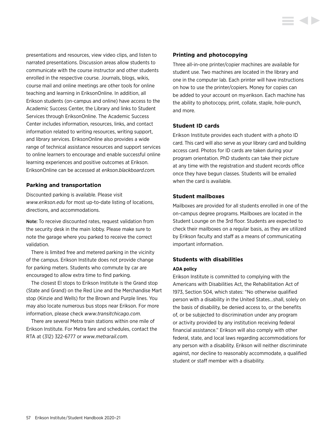<span id="page-57-0"></span>presentations and resources, view video clips, and listen to narrated presentations. Discussion areas allow students to communicate with the course instructor and other students enrolled in the respective course. Journals, blogs, wikis, course mail and online meetings are other tools for online teaching and learning in EriksonOnline. In addition, all Erikson students (on-campus and online) have access to the Academic Success Center, the Library and links to Student Services through EriksonOnline. The Academic Success Center includes information, resources, links, and contact information related to writing resources, writing support, and library services. EriksonOnline also provides a wide range of technical assistance resources and support services to online learners to encourage and enable successful online learning experiences and positive outcomes at Erikson. EriksonOnline can be accessed at *[erikson.blackboard.com.](http://erikson.blackboard.com)*

# **Parking and transportation**

Discounted parking is available. Please visit *[www.erikson.edu](http://www.erikson.edu)* for most up-to-date listing of locations, directions, and accommodations.

Note: To receive discounted rates, request validation from the security desk in the main lobby. Please make sure to note the garage where you parked to receive the correct validation.

There is limited free and metered parking in the vicinity of the campus. Erikson Institute does not provide change for parking meters. Students who commute by car are encouraged to allow extra time to find parking.

The closest El stops to Erikson Institute is the Grand stop (State and Grand) on the Red Line and the Merchandise Mart stop (Kinzie and Wells) for the Brown and Purple lines. You may also locate numerous bus stops near Erikson. For more information, please check *[www.transitchicago.com](http://www.transitchicago.com)*.

There are several Metra train stations within one mile of Erikson Institute. For Metra fare and schedules, contact the RTA at (312) 322-6777 or *[www.metrarail.com](http://www.metrarail.com)*.

# **Printing and photocopying**

Three all-in-one printer/copier machines are available for student use. Two machines are located in the library and one in the computer lab. Each printer will have instructions on how to use the printer/copiers. Money for copies can be added to your account on my.erikson. Each machine has the ability to photocopy, print, collate, staple, hole-punch, and more.

# **Student ID cards**

Erikson Institute provides each student with a photo ID card. This card will also serve as your library card and building access card. Photos for ID cards are taken during your program orientation. PhD students can take their picture at any time with the registration and student records office once they have begun classes. Students will be emailed when the card is available.

#### **Student mailboxes**

Mailboxes are provided for all students enrolled in one of the on-campus degree programs. Mailboxes are located in the Student Lounge on the 3rd floor. Students are expected to check their mailboxes on a regular basis, as they are utilized by Erikson faculty and staff as a means of communicating important information.

# **Students with disabilities**

#### **ADA policy**

Erikson Institute is committed to complying with the Americans with Disabilities Act, the Rehabilitation Act of 1973, Section 504, which states: "No otherwise qualified person with a disability in the United States…shall, solely on the basis of disability, be denied access to, or the benefits of, or be subjected to discrimination under any program or activity provided by any institution receiving federal financial assistance." Erikson will also comply with other federal, state, and local laws regarding accommodations for any person with a disability. Erikson will neither discriminate against, nor decline to reasonably accommodate, a qualified student or staff member with a disability.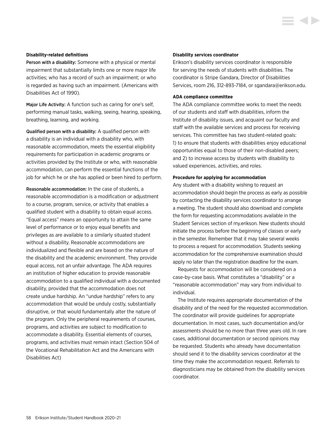#### **Disability-related definitions**

Person with a disability: Someone with a physical or mental impairment that substantially limits one or more major life activities; who has a record of such an impairment; or who is regarded as having such an impairment. (Americans with Disabilities Act of 1990).

Major Life Activity: A function such as caring for one's self, performing manual tasks, walking, seeing, hearing, speaking, breathing, learning, and working.

Qualified person with a disability: A qualified person with a disability is an individual with a disability who, with reasonable accommodation, meets the essential eligibility requirements for participation in academic programs or activities provided by the Institute or who, with reasonable accommodation, can perform the essential functions of the job for which he or she has applied or been hired to perform.

Reasonable accommodation: In the case of students, a reasonable accommodation is a modification or adjustment to a course, program, service, or activity that enables a qualified student with a disability to obtain equal access. "Equal access" means an opportunity to attain the same level of performance or to enjoy equal benefits and privileges as are available to a similarly situated student without a disability. Reasonable accommodations are individualized and flexible and are based on the nature of the disability and the academic environment. They provide equal access, not an unfair advantage. The ADA requires an institution of higher education to provide reasonable accommodation to a qualified individual with a documented disability, provided that the accommodation does not create undue hardship. An "undue hardship" refers to any accommodation that would be unduly costly, substantially disruptive, or that would fundamentally alter the nature of the program. Only the peripheral requirements of courses, programs, and activities are subject to modification to accommodate a disability. Essential elements of courses, programs, and activities must remain intact (Section 504 of the Vocational Rehabilitation Act and the Americans with Disabilities Act)

#### **Disability services coordinator**

Erikson's disability services coordinator is responsible for serving the needs of students with disabilities. The coordinator is Stripe Gandara, Director of Disabilities Services, room 216, 312-893-7184, or [sgandara@erikson.edu.](mailto:sgandara%40erikson.edu?subject=)

**STATISTICS** 

#### **ADA compliance committee**

The ADA compliance committee works to meet the needs of our students and staff with disabilities, inform the Institute of disability issues, and acquaint our faculty and staff with the available services and process for receiving services. This committee has two student-related goals: 1) to ensure that students with disabilities enjoy educational opportunities equal to those of their non-disabled peers; and 2) to increase access by students with disability to valued experiences, activities, and roles.

#### **Procedure for applying for accommodation**

Any student with a disability wishing to request an accommodation should begin the process as early as possible by contacting the disability services coordinator to arrange a meeting. The student should also download and complete the form for requesting accommodations available in the Student Services section of my.erikson. New students should initiate the process before the beginning of classes or early in the semester. Remember that it may take several weeks to process a request for accommodation. Students seeking accommodation for the comprehensive examination should apply no later than the registration deadline for the exam.

Requests for accommodation will be considered on a case-by-case basis. What constitutes a "disability" or a "reasonable accommodation" may vary from individual to individual.

The Institute requires appropriate documentation of the disability and of the need for the requested accommodation. The coordinator will provide guidelines for appropriate documentation. In most cases, such documentation and/or assessments should be no more than three years old. In rare cases, additional documentation or second opinions may be requested. Students who already have documentation should send it to the disability services coordinator at the time they make the accommodation request. Referrals to diagnosticians may be obtained from the disability services coordinator.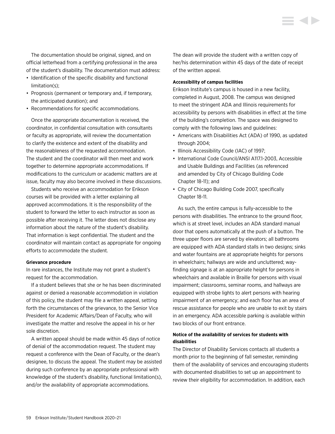The documentation should be original, signed, and on official letterhead from a certifying professional in the area of the student's disability. The documentation must address:

- Identification of the specific disability and functional limitation(s);
- Prognosis (permanent or temporary and, if temporary, the anticipated duration); and
- Recommendations for specific accommodations.

Once the appropriate documentation is received, the coordinator, in confidential consultation with consultants or faculty as appropriate, will review the documentation to clarify the existence and extent of the disability and the reasonableness of the requested accommodation. The student and the coordinator will then meet and work together to determine appropriate accommodations. If modifications to the curriculum or academic matters are at issue, faculty may also become involved in these discussions.

Students who receive an accommodation for Erikson courses will be provided with a letter explaining all approved accommodations. It is the responsibility of the student to forward the letter to each instructor as soon as possible after receiving it. The letter does not disclose any information about the nature of the student's disability. That information is kept confidential. The student and the coordinator will maintain contact as appropriate for ongoing efforts to accommodate the student.

# **Grievance procedure**

In rare instances, the Institute may not grant a student's request for the accommodation.

If a student believes that she or he has been discriminated against or denied a reasonable accommodation in violation of this policy, the student may file a written appeal, setting forth the circumstances of the grievance, to the Senior Vice President for Academic Affairs/Dean of Faculty, who will investigate the matter and resolve the appeal in his or her sole discretion.

A written appeal should be made within 45 days of notice of denial of the accommodation request. The student may request a conference with the Dean of Faculty, or the dean's designee, to discuss the appeal. The student may be assisted during such conference by an appropriate professional with knowledge of the student's disability, functional limitation(s), and/or the availability of appropriate accommodations.

The dean will provide the student with a written copy of her/his determination within 45 days of the date of receipt of the written appeal.

# **Accessibility of campus facilities**

Erikson Institute's campus is housed in a new facility, completed in August, 2008. The campus was designed to meet the stringent ADA and Illinois requirements for accessibility by persons with disabilities in effect at the time of the building's completion. The space was designed to comply with the following laws and guidelines:

- Americans with Disabilities Act (ADA) of 1990, as updated through 2004;
- Illinois Accessibility Code (IAC) of 1997;
- International Code Council/ANSI A117.1-2003, Accessible and Usable Buildings and Facilities (as referenced and amended by City of Chicago Building Code Chapter 18-11); and
- City of Chicago Building Code 2007, specifically Chapter 18-11.

As such, the entire campus is fully-accessible to the persons with disabilities. The entrance to the ground floor, which is at street level, includes an ADA standard manual door that opens automatically at the push of a button. The three upper floors are served by elevators; all bathrooms are equipped with ADA standard stalls in two designs; sinks and water fountains are at appropriate heights for persons in wheelchairs; hallways are wide and uncluttered; wayfinding signage is at an appropriate height for persons in wheelchairs and available in Braille for persons with visual impairment; classrooms, seminar rooms, and hallways are equipped with strobe lights to alert persons with hearing impairment of an emergency; and each floor has an area of rescue assistance for people who are unable to exit by stairs in an emergency. ADA accessible parking is available within two blocks of our front entrance.

# **Notice of the availability of services for students with disabilities**

The Director of Disability Services contacts all students a month prior to the beginning of fall semester, reminding them of the availability of services and encouraging students with documented disabilities to set up an appointment to review their eligibility for accommodation. In addition, each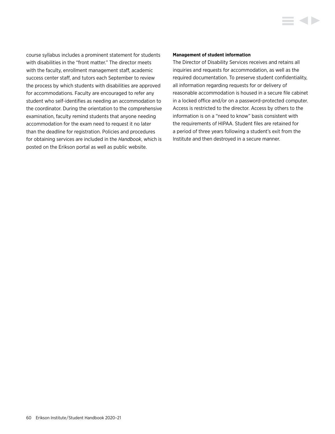course syllabus includes a prominent statement for students with disabilities in the "front matter." The director meets with the faculty, enrollment management staff, academic success center staff, and tutors each September to review the process by which students with disabilities are approved for accommodations. Faculty are encouraged to refer any student who self-identifies as needing an accommodation to the coordinator. During the orientation to the comprehensive examination, faculty remind students that anyone needing accommodation for the exam need to request it no later than the deadline for registration. Policies and procedures for obtaining services are included in the *Handbook*, which is posted on the Erikson portal as well as public website.

#### **Management of student information**

The Director of Disability Services receives and retains all inquiries and requests for accommodation, as well as the required documentation. To preserve student confidentiality, all information regarding requests for or delivery of reasonable accommodation is housed in a secure file cabinet in a locked office and/or on a password-protected computer. Access is restricted to the director. Access by others to the information is on a "need to know" basis consistent with the requirements of HIPAA. Student files are retained for a period of three years following a student's exit from the Institute and then destroyed in a secure manner.

E 4 D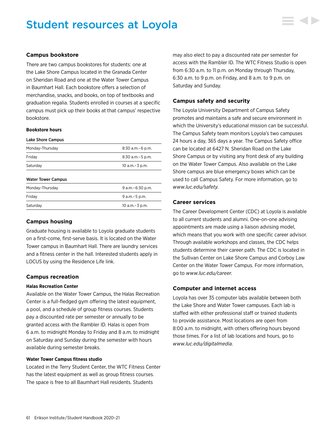# Student resources at Loyola



# **Campus bookstore**

There are two campus bookstores for students: one at the Lake Shore Campus located in the Granada Center on Sheridan Road and one at the Water Tower Campus in Baumhart Hall. Each bookstore offers a selection of merchandise, snacks, and books, on top of textbooks and graduation regalia. Students enrolled in courses at a specific campus must pick up their books at that campus' respective bookstore.

#### **Bookstore hours**

| Lake Shore Campus         |                       |
|---------------------------|-----------------------|
| Monday-Thursday           | $8:30$ a.m. $-6$ p.m. |
| Fridav                    | $8:30$ a.m. $-5$ p.m. |
| Saturday                  | 10 a.m. - 3 p.m.      |
| <b>Water Tower Campus</b> |                       |
| Monday-Thursday           | 9 a.m. - 6:30 p.m.    |
| Fridav                    | 9 a.m. - 5 p.m.       |
| Saturdav                  | 10 a.m. - 3 p.m.      |

# **Campus housing**

Graduate housing is available to Loyola graduate students on a first-come, first-serve basis. It is located on the Water Tower campus in Baumhart Hall. There are laundry services and a fitness center in the hall. Interested students apply in LOCUS by using the Residence Life link.

# **Campus recreation**

# **Halas Recreation Center**

Available on the Water Tower Campus, the Halas Recreation Center is a full-fledged gym offering the latest equipment, a pool, and a schedule of group fitness courses. Students pay a discounted rate per semester or annually to be granted access with the Rambler ID. Halas is open from 6 a.m. to midnight Monday to Friday and 8 a.m. to midnight on Saturday and Sunday during the semester with hours available during semester breaks.

# **Water Tower Campus fitness studio**

Located in the Terry Student Center, the WTC Fitness Center has the latest equipment as well as group fitness courses. The space is free to all Baumhart Hall residents. Students

may also elect to pay a discounted rate per semester for access with the Rambler ID. The WTC Fitness Studio is open from 6:30 a.m. to 11 p.m. on Monday through Thursday, 6:30 a.m. to 9 p.m. on Friday, and 8 a.m. to 9 p.m. on Saturday and Sunday.

# **Campus safety and security**

The Loyola University Department of Campus Safety promotes and maintains a safe and secure environment in which the University's educational mission can be successful. The Campus Safety team monitors Loyola's two campuses 24 hours a day, 365 days a year. The Campus Safety office can be located at 6427 N. Sheridan Road on the Lake Shore Campus or by visiting any front desk of any building on the Water Tower Campus. Also available on the Lake Shore campus are blue emergency boxes which can be used to call Campus Safety. For more information, go to *[www.luc.edu/safety.](http://www.luc.edu/safety)*

# **Career services**

The Career Development Center (CDC) at Loyola is available to all current students and alumni. One-on-one advising appointments are made using a liaison advising model, which means that you work with one specific career advisor. Through available workshops and classes, the CDC helps students determine their career path. The CDC is located in the Sullivan Center on Lake Shore Campus and Corboy Law Center on the Water Tower Campus. For more information, go to *[www.luc.edu/career](http://www.luc.edu/career)*.

# **Computer and internet access**

Loyola has over 35 computer labs available between both the Lake Shore and Water Tower campuses. Each lab is staffed with either professional staff or trained students to provide assistance. Most locations are open from 8:00 a.m. to midnight, with others offering hours beyond those times. For a list of lab locations and hours, go to *[www.luc.edu/digitalmedia](http://www.luc.edu/digitalmedia)*.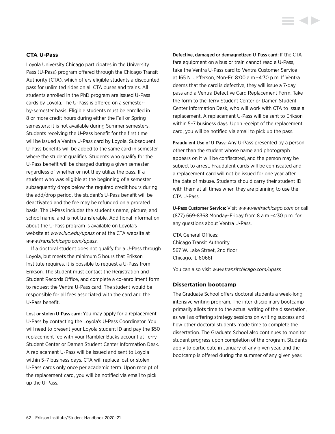# **CTA U-Pass**

Loyola University Chicago participates in the University Pass (U-Pass) program offered through the Chicago Transit Authority (CTA), which offers eligible students a discounted pass for unlimited rides on all CTA buses and trains. All students enrolled in the PhD program are issued U-Pass cards by Loyola. The U-Pass is offered on a semesterby-semester basis. Eligible students must be enrolled in 8 or more credit hours during either the Fall or Spring semesters; it is not available during Summer semesters. Students receiving the U-Pass benefit for the first time will be issued a Ventra U-Pass card by Loyola. Subsequent U-Pass benefits will be added to the same card in semester where the student qualifies. Students who qualify for the U-Pass benefit will be charged during a given semester regardless of whether or not they utilize the pass. If a student who was eligible at the beginning of a semester subsequently drops below the required credit hours during the add/drop period, the student's U-Pass benefit will be deactivated and the fee may be refunded on a prorated basis. The U-Pass includes the student's name, picture, and school name, and is not transferable. Additional information about the U-Pass program is available on Loyola's website at *[www.luc.edu/upass](http://www.luc.edu/upass)* or at the CTA website at *[www.transitchicago.com/upass](http://www.transitchicago.com/upass).*

If a doctoral student does not qualify for a U-Pass through Loyola, but meets the minimum 5 hours that Erikson Institute requires, it is possible to request a U-Pass from Erikson. The student must contact the Registration and Student Records Office, and complete a co-enrollment form to request the Ventra U-Pass card. The student would be responsible for all fees associated with the card and the U-Pass benefit.

Lost or stolen U-Pass card: You may apply for a replacement U-Pass by contacting the Loyola's U-Pass Coordinator. You will need to present your Loyola student ID and pay the \$50 replacement fee with your Rambler Bucks account at Terry Student Center or Damen Student Center Information Desk. A replacement U-Pass will be issued and sent to Loyola within 5–7 business days. CTA will replace lost or stolen U-Pass cards only once per academic term. Upon receipt of the replacement card, you will be notified via email to pick up the U-Pass.

Defective, damaged or demagnetized U-Pass card: If the CTA fare equipment on a bus or train cannot read a U-Pass, take the Ventra U-Pass card to Ventra Customer Service at 165 N. Jefferson, Mon-Fri 8:00 a.m.–4:30 p.m. If Ventra deems that the card is defective, they will issue a 7-day pass and a Ventra Defective Card Replacement Form. Take the form to the Terry Student Center or Damen Student Center Information Desk, who will work with CTA to issue a replacement. A replacement U-Pass will be sent to Erikson within 5–7 business days. Upon receipt of the replacement card, you will be notified via email to pick up the pass.

Fraudulent Use of U-Pass: Any U-Pass presented by a person other than the student whose name and photograph appears on it will be confiscated, and the person may be subject to arrest. Fraudulent cards will be confiscated and a replacement card will not be issued for one year after the date of misuse. Students should carry their student ID with them at all times when they are planning to use the CTA U-Pass.

U-Pass Customer Service: Visit *[www.ventrachicago.com](http://www.ventrachicago.com)* or call (877) 669-8368 Monday–Friday from 8 a.m.–4:30 p.m. for any questions about Ventra U-Pass.

CTA General Offices: Chicago Transit Authority 567 W. Lake Street, 2nd floor Chicago, IL 60661

You can also visit *[www.transitchicago.com/upass](http://www.transitchicago.com/upass)*

### **Dissertation bootcamp**

The Graduate School offers doctoral students a week-long intensive writing program. The inter-disciplinary bootcamp primarily allots time to the actual writing of the dissertation, as well as offering strategy sessions on writing success and how other doctoral students made time to complete the dissertation. The Graduate School also continues to monitor student progress upon completion of the program. Students apply to participate in January of any given year, and the bootcamp is offered during the summer of any given year.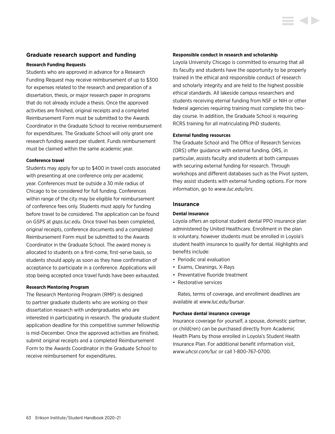# **Graduate research support and funding**

#### **Research Funding Requests**

Students who are approved in advance for a Research Funding Request may receive reimbursement of up to \$300 for expenses related to the research and preparation of a dissertation, thesis, or major research paper in programs that do not already include a thesis. Once the approved activities are finished, original receipts and a completed Reimbursement Form must be submitted to the Awards Coordinator in the Graduate School to receive reimbursement for expenditures. The Graduate School will only grant one research funding award per student. Funds reimbursement must be claimed within the same academic year.

#### **Conference travel**

Students may apply for up to \$400 in travel costs associated with presenting at one conference only per academic year. Conferences must be outside a 30 mile radius of Chicago to be considered for full funding. Conferences within range of the city may be eligible for reimbursement of conference fees only. Students must apply for funding before travel to be considered. The application can be found on GSPS at *[gsps.luc.edu.](http://gsps.luc.edu)* Once travel has been completed, original receipts, conference documents and a completed Reimbursement Form must be submitted to the Awards Coordinator in the Graduate School. The award money is allocated to students on a first-come, first-serve basis, so students should apply as soon as they have confirmation of acceptance to participate in a conference. Applications will stop being accepted once travel funds have been exhausted.

# **Research Mentoring Program**

The Research Mentoring Program (RMP) is designed to partner graduate students who are working on their dissertation research with undergraduates who are interested in participating in research. The graduate student application deadline for this competitive summer fellowship is mid-December. Once the approved activities are finished, submit original receipts and a completed Reimbursement Form to the Awards Coordinator in the Graduate School to receive reimbursement for expenditures.

### **Responsible conduct in research and scholarship**

Loyola University Chicago is committed to ensuring that all its faculty and students have the opportunity to be properly trained in the ethical and responsible conduct of research and scholarly integrity and are held to the highest possible ethical standards. All lakeside campus researchers and students receiving eternal funding from NSF or NIH or other federal agencies requiring training must complete this twoday course. In addition, the Graduate School is requiring RCRS training for all matriculating PhD students.

# **External funding resources**

The Graduate School and The Office of Research Services (ORS) offer guidance with external funding. ORS, in particular, assists faculty and students at both campuses with securing external funding for research. Through workshops and different databases such as the Pivot system, they assist students with external funding options. For more information, go to *[www.luc.edu/ors.](http://www.luc.edu/ors)*

#### **Insurance**

### **Dental insurance**

Loyola offers an optional student dental PPO insurance plan administered by United Healthcare. Enrollment in the plan is voluntary, however students must be enrolled in Loyola's student health insurance to qualify for dental. Highlights and benefits include:

- Periodic oral evaluation
- Exams, Cleanings, X-Rays
- Preventative fluoride treatment
- Restorative services

Rates, terms of coverage, and enrollment deadlines are available at *[www.luc.edu/bursar](http://www.luc.edu/bursar)*.

# **Purchase dental insurance coverage**

Insurance coverage for yourself, a spouse, domestic partner, or child(ren) can be purchased directly from Academic Health Plans by those enrolled in Loyola's Student Health Insurance Plan. For additional benefit information visit, *[www.uhcsr.com/luc](http://www.uhcsr.com/luc)* or call 1-800-767-0700.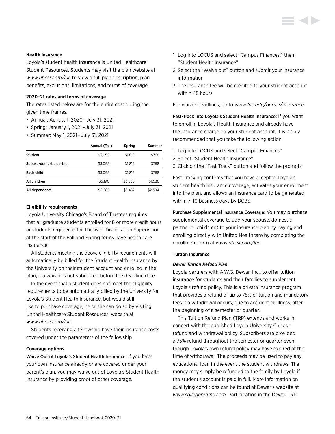

# **Health insurance**

Loyola's student health insurance is United Healthcare Student Resources. Students may visit the plan website at *[www.uhcsr.com/luc](http://www.uhcsr.com/luc)* to view a full plan description, plan benefits, exclusions, limitations, and terms of coverage.

# **2020–21 rates and terms of coverage**

The rates listed below are for the entire cost during the given time frames.

- Annual: August 1, 2020 – July 31, 2021
- Spring: January 1, 2021 – July 31, 2021
- Summer: May 1, 2021 – July 31, 2021

|                         | Annual (Fall) | Spring  | Summer  |
|-------------------------|---------------|---------|---------|
| <b>Student</b>          | \$3.095       | \$1.819 | \$768   |
| Spouse/domestic partner | \$3.095       | \$1.819 | \$768   |
| Each child              | \$3,095       | \$1.819 | \$768   |
| All children            | \$6.190       | \$3.638 | \$1,536 |
| All dependents          | \$9,285       | \$5,457 | \$2,304 |

#### **Eligibility requirements**

Loyola University Chicago's Board of Trustees requires that all graduate students enrolled for 8 or more credit hours or students registered for Thesis or Dissertation Supervision at the start of the Fall and Spring terms have health care insurance.

All students meeting the above eligibility requirements will automatically be billed for the Student Health Insurance by the University on their student account and enrolled in the plan, if a waiver is not submitted before the deadline date.

In the event that a student does not meet the eligibility requirements to be automatically billed by the University for Loyola's Student Health Insurance, but would still like to purchase coverage, he or she can do so by visiting United Healthcare Student Resources' website at *[www.uhcsr.com/luc](http://www.uhcsr.com/luc).*

Students receiving a fellowship have their insurance costs covered under the parameters of the fellowship.

# **Coverage options**

Waive Out of Loyola's Student Health Insurance: If you have your own insurance already or are covered under your parent's plan, you may waive out of Loyola's Student Health Insurance by providing proof of other coverage.

- 1. Log into LOCUS and select "Campus Finances," then "Student Health Insurance"
- 2. Select the "Waive out" button and submit your insurance information
- 3. The insurance fee will be credited to your student account within 48 hours

For waiver deadlines, go to *[www.luc.edu/bursar/insurance.](http://www.luc.edu/bursar/insurance)*

Fast-Track Into Loyola's Student Health Insurance: If you want to enroll in Loyola's Health Insurance and already have the insurance charge on your student account, it is highly recommended that you take the following action:

- 1. Log into LOCUS and select "Campus Finances"
- 2. Select "Student Health Insurance"
- 3. Click on the "Fast Track" button and follow the prompts

Fast Tracking confirms that you have accepted Loyola's student health insurance coverage, activates your enrollment into the plan, and allows an insurance card to be generated within 7–10 business days by BCBS.

Purchase Supplemental Insurance Coverage: You may purchase supplemental coverage to add your spouse, domestic partner or child(ren) to your insurance plan by paying and enrolling directly with United Healthcare by completing the enrollment form at *[www.uhcsr.com/luc](http://www.uhcsr.com/luc).*

#### **Tuition insurance**

### *Dewar Tuition Refund Plan*

Loyola partners with A.W.G. Dewar, Inc., to offer tuition insurance for students and their families to supplement Loyola's refund policy. This is a private insurance program that provides a refund of up to 75% of tuition and mandatory fees if a withdrawal occurs, due to accident or illness, after the beginning of a semester or quarter.

This Tuition Refund Plan (TRP) extends and works in concert with the published Loyola University Chicago refund and withdrawal policy. Subscribers are provided a 75% refund throughout the semester or quarter even though Loyola's own refund policy may have expired at the time of withdrawal. The proceeds may be used to pay any educational loan in the event the student withdraws. The money may simply be refunded to the family by Loyola if the student's account is paid in full. More information on qualifying conditions can be found at Dewar's website at *[www.collegerefund.com.](http://www.collegerefund.com)* Participation in the Dewar TRP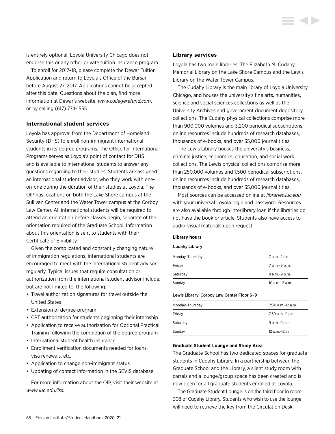is entirely optional. Loyola University Chicago does not endorse this or any other private tuition insurance program.

To enroll for 2017–18, please complete the Dewar Tuition Application and return to Loyola's Office of the Bursar before August 27, 2017. Applications cannot be accepted after this date. Questions about the plan, find more information at Dewar's website, *[www.collegerefund.com](http://www.collegerefund.com)*, or by calling (617) 774-1555.

# **International student services**

Loyola has approval from the Department of Homeland Security (DHS) to enroll non-immigrant international students in its degree programs. The Office for International Programs serves as Loyola's point of contact for DHS and is available to international students to answer any questions regarding to their studies. Students are assigned an international student advisor, who they work with oneon-one during the duration of their studies at Loyola. The OIP has locations on both the Lake Shore campus at the Sullivan Center and the Water Tower campus at the Corboy Law Center. All international students will be required to attend an orientation before classes begin, separate of the orientation required of the Graduate School. Information about this orientation is sent to students with their Certificate of Eligibility.

Given the complicated and constantly changing nature of immigration regulations, international students are encouraged to meet with the international student advisor regularly. Typical issues that require consultation or authorization from the international student advisor include, but are not limited to, the following:

- Travel authorization signatures for travel outside the United States
- Extension of degree program
- CPT authorization for students beginning their internship
- Application to receive authorization for Optional Practical Training following the completion of the degree program
- International student health insurance
- Enrollment verification documents needed for loans, visa renewals, etc.
- Application to change non-immigrant status
- Updating of contact information in the SEVIS database

For more information about the OIP, visit their website at *[www.luc.edu/iss.](http://www.luc.edu/iss)*

# **Library services**

Loyola has two main libraries: The Elizabeth M. Cudahy Memorial Library on the Lake Shore Campus and the Lewis Library on the Water Tower Campus.

The Cudahy Library is the main library of Loyola University Chicago, and houses the university's fine arts, humanities, science and social sciences collections as well as the University Archives and government document depository collections. The Cudahy physical collections comprise more than 900,000 volumes and 3,200 periodical subscriptions; online resources include hundreds of research databases, thousands of e-books, and over 35,000 journal titles.

The Lewis Library houses the university's business, criminal justice, economics, education, and social work collections. The Lewis physical collections comprise more than 250,000 volumes and 1,500 periodical subscriptions; online resources include hundreds of research databases, thousands of e-books, and over 35,000 journal titles.

Most sources can be accessed online at *[libraries.luc.edu](http://libraries.luc.edu)* with your universal Loyola login and password. Resources are also available through interlibrary loan if the libraries do not have the book or article. Students also have access to audio-visual materials upon request.

#### **Library hours**

#### Cudahy Library

| Monday-Thursday | 7 a.m.-2 a.m.       |
|-----------------|---------------------|
| Friday          | 7 a.m.-9 p.m.       |
| Saturday        | 8 a.m. - 9 p.m.     |
| Sunday          | $10$ a.m. $-2$ a.m. |

#### Lewis Library, Corboy Law Center Floor 6–9

| Monday-Thursday | 7:30 a m –12 a m |
|-----------------|------------------|
| Friday          | 7:30 a.m.-9 p.m. |
| Saturday        | 9 a.m.-9 p.m.    |
| Sunday          | 12 p.m.-12 a.m.  |

#### **Graduate Student Lounge and Study Area**

The Graduate School has two dedicated spaces for graduate students in Cudahy Library. In a partnership between the Graduate School and the Library, a silent study room with carrels and a lounge/group space has been created and is now open for all graduate students enrolled at Loyola.

The Graduate Student Lounge is on the third floor in room 308 of Cudahy Library. Students who wish to use the lounge will need to retrieve the key from the Circulation Desk.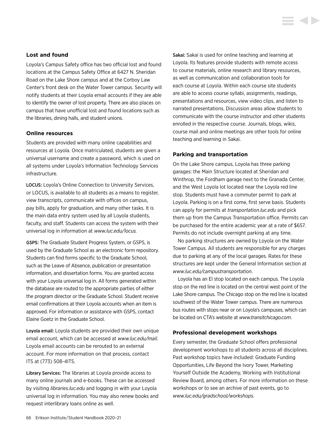# **Lost and found**

Loyola's Campus Safety office has two official lost and found locations at the Campus Safety Office at 6427 N. Sheridan Road on the Lake Shore campus and at the Corboy Law Center's front desk on the Water Tower campus. Security will notify students at their Loyola email accounts if they are able to identify the owner of lost property. There are also places on campus that have unofficial lost and found locations such as the libraries, dining halls, and student unions.

# **Online resources**

Students are provided with many online capabilities and resources at Loyola. Once matriculated, students are given a universal username and create a password, which is used on all systems under Loyola's Information Technology Services infrastructure.

LOCUS: Loyola's Online Connection to University Services, or LOCUS, is available to all students as a means to register, view transcripts, communicate with offices on campus, pay bills, apply for graduation, and many other tasks. It is the main data entry system used by all Loyola students, faculty, and staff. Students can access the system with their universal log in information at *[www.luc.edu/locus](http://www.luc.edu/locus).*

GSPS: The Graduate Student Progress System, or GSPS, is used by the Graduate School as an electronic form repository. Students can find forms specific to the Graduate School, such as the Leave of Absence, publication or presentation information, and dissertation forms. You are granted access with your Loyola universal log in. All forms generated within the database are routed to the appropriate parties of either the program director or the Graduate School. Student receive email confirmations at their Loyola accounts when an item is approved. For information or assistance with GSPS, contact Elaine Goetz in the Graduate School.

Loyola email: Loyola students are provided their own unique email account, which can be accessed at *[www.luc.edu/mail](http://www.luc.edu/mail)*. Loyola email accounts can be rerouted to an external account. For more information on that process, contact ITS at (773) 508-4ITS.

Library Services: The libraries at Loyola provide access to many online journals and e-books. These can be accessed by visiting *[libraries.luc.edu](http://libraries.luc.edu)* and logging in with your Loyola universal log in information. You may also renew books and request interlibrary loans online as well.

Sakai: Sakai is used for online teaching and learning at Loyola. Its features provide students with remote access to course materials, online research and library resources, as well as communication and collaboration tools for each course at Loyola. Within each course site students are able to access course syllabi, assignments, readings, presentations and resources, view video clips, and listen to narrated presentations. Discussion areas allow students to communicate with the course instructor and other students enrolled in the respective course. Journals, blogs, wikis, course mail and online meetings are other tools for online teaching and learning in Sakai.

#### **Parking and transportation**

On the Lake Shore campus, Loyola has three parking garages: the Main Structure located at Sheridan and Winthrop, the Fordham garage next to the Granada Center, and the West Loyola lot located near the Loyola red line stop. Students must have a commuter permit to park at Loyola. Parking is on a first come, first serve basis. Students can apply for permits at *[transportation.luc.edu](http://transportation.luc.edu)* and pick them up from the Campus Transportation office. Permits can be purchased for the entire academic year at a rate of \$657. Permits do not include overnight parking at any time.

No parking structures are owned by Loyola on the Water Tower Campus. All students are responsible for any charges due to parking at any of the local garages. Rates for these structures are kept under the General Information section at *[www.luc.edu/campustransportation](http://www.luc.edu/campustransportation)*.

Loyola has an El stop located on each campus. The Loyola stop on the red line is located on the central west point of the Lake Shore campus. The Chicago stop on the red line is located southwest of the Water Tower campus. There are numerous bus routes with stops near or on Loyola's campuses, which can be located on CTA's website at *[www.transitchicago.com](http://www.transitchicago.com)*.

## **Professional development workshops**

Every semester, the Graduate School offers professional development workshops to all students across all disciplines. Past workshop topics have included: Graduate Funding Opportunities, Life Beyond the Ivory Tower, Marketing Yourself Outside the Academy, Working with Institutional Review Board, among others. For more information on these workshops or to see an archive of past events, go to *[www.luc.edu/gradschool/workshops](http://www.luc.edu/gradschool/workshops)*.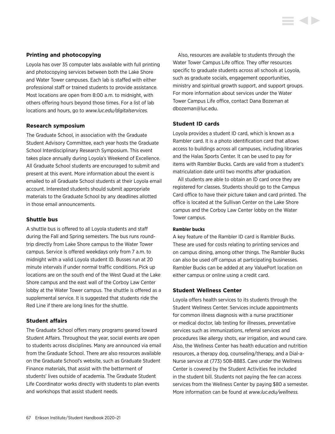# **Printing and photocopying**

Loyola has over 35 computer labs available with full printing and photocopying services between both the Lake Shore and Water Tower campuses. Each lab is staffed with either professional staff or trained students to provide assistance. Most locations are open from 8:00 a.m. to midnight, with others offering hours beyond those times. For a list of lab locations and hours, go to *[www.luc.edu/digitalservices.](http://www.luc.edu/digitalservices)*

# **Research symposium**

The Graduate School, in association with the Graduate Student Advisory Committee, each year hosts the Graduate School Interdisciplinary Research Symposium. This event takes place annually during Loyola's Weekend of Excellence. All Graduate School students are encouraged to submit and present at this event. More information about the event is emailed to all Graduate School students at their Loyola email account. Interested students should submit appropriate materials to the Graduate School by any deadlines allotted in those email announcements.

# **Shuttle bus**

A shuttle bus is offered to all Loyola students and staff during the Fall and Spring semesters. The bus runs roundtrip directly from Lake Shore campus to the Water Tower campus. Service is offered weekdays only from 7 a.m. to midnight with a valid Loyola student ID. Busses run at 20 minute intervals if under normal traffic conditions. Pick up locations are on the south end of the West Quad at the Lake Shore campus and the east wall of the Corboy Law Center lobby at the Water Tower campus. The shuttle is offered as a supplemental service. It is suggested that students ride the Red Line if there are long lines for the shuttle.

# **Student affairs**

The Graduate School offers many programs geared toward Student Affairs. Throughout the year, social events are open to students across disciplines. Many are announced via email from the Graduate School. There are also resources available on the Graduate School's website, such as Graduate Student Finance materials, that assist with the betterment of students' lives outside of academia. The Graduate Student Life Coordinator works directly with students to plan events and workshops that assist student needs.

Also, resources are available to students through the Water Tower Campus Life office. They offer resources specific to graduate students across all schools at Loyola, such as graduate socials, engagement opportunities, ministry and spiritual growth support, and support groups. For more information about services under the Water Tower Campus Life office, contact Dana Bozeman at [dbozeman@luc.edu](mailto:dbozeman%40luc.edu?subject=).

# **Student ID cards**

Loyola provides a student ID card, which is known as a Rambler card. It is a photo identification card that allows access to buildings across all campuses, including libraries and the Halas Sports Center. It can be used to pay for items with Rambler Bucks. Cards are valid from a student's matriculation date until two months after graduation.

All students are able to obtain an ID card once they are registered for classes. Students should go to the Campus Card office to have their picture taken and card printed. The office is located at the Sullivan Center on the Lake Shore campus and the Corboy Law Center lobby on the Water Tower campus.

# **Rambler bucks**

A key feature of the Rambler ID card is Rambler Bucks. These are used for costs relating to printing services and on campus dining, among other things. The Rambler Bucks can also be used off campus at participating businesses. Rambler Bucks can be added at any ValuePort location on either campus or online using a credit card.

# **Student Wellness Center**

Loyola offers health services to its students through the Student Wellness Center. Services include appointments for common illness diagnosis with a nurse practitioner or medical doctor, lab testing for illnesses, preventative services such as immunizations, referral services and procedures like allergy shots, ear irrigation, and wound care. Also, the Wellness Center has health education and nutrition resources, a therapy dog, counseling/therapy, and a Dial-a-Nurse service at (773) 508-8883. Care under the Wellness Center is covered by the Student Activities fee included in the student bill. Students not paying the fee can access services from the Wellness Center by paying \$80 a semester. More information can be found at *[www.luc.edu/wellness.](http://www.luc.edu/wellness)*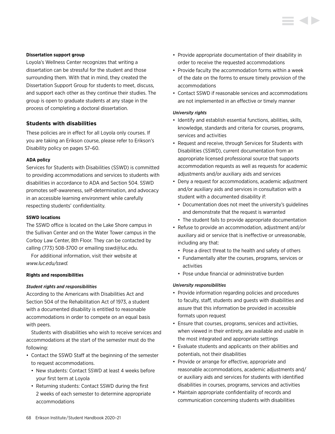# **Dissertation support group**

Loyola's Wellness Center recognizes that writing a dissertation can be stressful for the student and those surrounding them. With that in mind, they created the Dissertation Support Group for students to meet, discuss, and support each other as they continue their studies. The group is open to graduate students at any stage in the process of completing a doctoral dissertation.

# **Students with disabilities**

These policies are in effect for all Loyola only courses. If you are taking an Erikson course, please refer to Erikson's [Disability policy on pages 57–60.](#page-57-0)

# **ADA policy**

Services for Students with Disabilities (SSWD) is committed to providing accommodations and services to students with disabilities in accordance to ADA and Section 504. SSWD promotes self-awareness, self-determination, and advocacy in an accessible learning environment while carefully respecting students' confidentiality.

# **SSWD locations**

The SSWD office is located on the Lake Shore campus in the Sullivan Center and on the Water Tower campus in the Corboy Law Center, 8th Floor. They can be contacted by calling (773) 508-3700 or emailing [sswd@luc.edu](mailto:sswd%40luc.edu?subject=).

For additional information, visit their website at *[www.luc.edu/sswd.](http://www.luc.edu/sswd)*

# **Rights and responsibilities**

# *Student rights and responsibilities*

According to the Americans with Disabilities Act and Section 504 of the Rehabilitation Act of 1973, a student with a documented disability is entitled to reasonable accommodations in order to compete on an equal basis with peers.

Students with disabilities who wish to receive services and accommodations at the start of the semester must do the following:

- Contact the SSWD Staff at the beginning of the semester to request accommodations.
	- New students: Contact SSWD at least 4 weeks before your first term at Loyola
	- Returning students: Contact SSWD during the first 2 weeks of each semester to determine appropriate accommodations
- Provide appropriate documentation of their disability in order to receive the requested accommodations
- Provide faculty the accommodation forms within a week of the date on the forms to ensure timely provision of the accommodations
- Contact SSWD if reasonable services and accommodations are not implemented in an effective or timely manner

# *University rights*

- Identify and establish essential functions, abilities, skills, knowledge, standards and criteria for courses, programs, services and activities
- Request and receive, through Services for Students with Disabilities (SSWD), current documentation from an appropriate licensed professional source that supports accommodation requests as well as requests for academic adjustments and/or auxiliary aids and services
- Deny a request for accommodations, academic adjustment and/or auxiliary aids and services in consultation with a student with a documented disability if:
	- Documentation does not meet the university's guidelines and demonstrate that the request is warranted
	- The student fails to provide appropriate documentation
- Refuse to provide an accommodation, adjustment and/or auxiliary aid or service that is ineffective or unreasonable, including any that:
	- Pose a direct threat to the health and safety of others
	- Fundamentally alter the courses, programs, services or activities
	- Pose undue financial or administrative burden

# *University responsibilities*

- Provide information regarding policies and procedures to faculty, staff, students and guests with disabilities and assure that this information be provided in accessible formats upon request
- Ensure that courses, programs, services and activities, when viewed in their entirety, are available and usable in the most integrated and appropriate settings
- Evaluate students and applicants on their abilities and potentials, not their disabilities
- Provide or arrange for effective, appropriate and reasonable accommodations, academic adjustments and/ or auxiliary aids and services for students with identified disabilities in courses, programs, services and activities
- Maintain appropriate confidentiality of records and communication concerning students with disabilities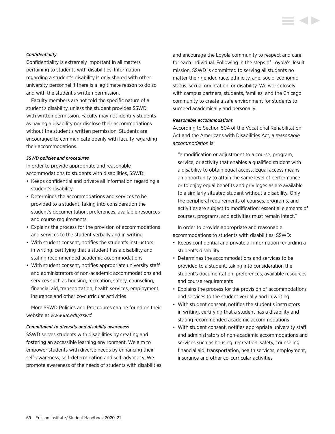### *Confidentiality*

Confidentiality is extremely important in all matters pertaining to students with disabilities. Information regarding a student's disability is only shared with other university personnel if there is a legitimate reason to do so and with the student's written permission.

Faculty members are not told the specific nature of a student's disability, unless the student provides SSWD with written permission. Faculty may not identify students as having a disability nor disclose their accommodations without the student's written permission. Students are encouraged to communicate openly with faculty regarding their accommodations.

# *SSWD policies and procedures*

In order to provide appropriate and reasonable accommodations to students with disabilities, SSWD:

- Keeps confidential and private all information regarding a student's disability
- Determines the accommodations and services to be provided to a student, taking into consideration the student's documentation, preferences, available resources and course requirements
- Explains the process for the provision of accommodations and services to the student verbally and in writing
- With student consent, notifies the student's instructors in writing, certifying that a student has a disability and stating recommended academic accommodations
- With student consent, notifies appropriate university staff and administrators of non-academic accommodations and services such as housing, recreation, safety, counseling, financial aid, transportation, health services, employment, insurance and other co-curricular activities

More SSWD Policies and Procedures can be found on their website at *[www.luc.edu/sswd](http://www.luc.edu/sswd).*

#### *Commitment to diversity and disability awareness*

SSWD serves students with disabilities by creating and fostering an accessible learning environment. We aim to empower students with diverse needs by enhancing their self-awareness, self-determination and self-advocacy. We promote awareness of the needs of students with disabilities and encourage the Loyola community to respect and care for each individual. Following in the steps of Loyola's Jesuit mission, SSWD is committed to serving all students no matter their gender, race, ethnicity, age, socio-economic status, sexual orientation, or disability. We work closely with campus partners, students, families, and the Chicago community to create a safe environment for students to succeed academically and personally.

#### *Reasonable accommodations*

According to Section 504 of the Vocational Rehabilitation Act and the Americans with Disabilities Act, a *reasonable accommodation* is:

"a modification or adjustment to a course, program, service, or activity that enables a qualified student with a disability to obtain equal access. Equal access means an opportunity to attain the same level of performance or to enjoy equal benefits and privileges as are available to a similarly situated student without a disability. Only the peripheral requirements of courses, programs, and activities are subject to modification; essential elements of courses, programs, and activities must remain intact."

In order to provide appropriate and reasonable accommodations to students with disabilities, SSWD:

- Keeps confidential and private all information regarding a student's disability
- Determines the accommodations and services to be provided to a student, taking into consideration the student's documentation, preferences, available resources and course requirements
- Explains the process for the provision of accommodations and services to the student verbally and in writing
- With student consent, notifies the student's instructors in writing, certifying that a student has a disability and stating recommended academic accommodations
- With student consent, notifies appropriate university staff and administrators of non-academic accommodations and services such as housing, recreation, safety, counseling, financial aid, transportation, health services, employment, insurance and other co-curricular activities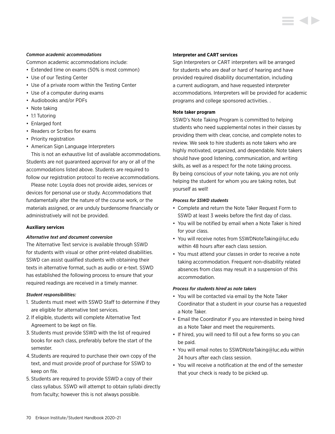# *Common academic accommodations*

Common academic accommodations include:

- Extended time on exams (50% is most common)
- Use of our Testing Center
- Use of a private room within the Testing Center
- Use of a computer during exams
- Audiobooks and/or PDFs
- Note taking
- 1:1 Tutoring
- Enlarged font
- Readers or Scribes for exams
- Priority registration
- American Sign Language Interpreters

This is not an exhaustive list of available accommodations. Students are not guaranteed approval for any or all of the accommodations listed above. Students are required to follow our registration protocol to receive accommodations.

Please note: Loyola does not provide aides, services or devices for personal use or study. Accommodations that fundamentally alter the nature of the course work, or the materials assigned, or are unduly burdensome financially or administratively will not be provided.

# **Auxiliary services**

# *Alternative text and document conversion*

The Alternative Text service is available through SSWD for students with visual or other print-related disabilities. SSWD can assist qualified students with obtaining their texts in alternative format, such as audio or e-text. SSWD has established the following process to ensure that your required readings are received in a timely manner.

# *Student responsibilities:*

- 1. Students must meet with SSWD Staff to determine if they are eligible for alternative text services.
- 2. If eligible, students will complete Alternative Text Agreement to be kept on file.
- 3. Students must provide SSWD with the list of required books for each class, preferably before the start of the semester.
- 4. Students are required to purchase their own copy of the text, and must provide proof of purchase for SSWD to keep on file.
- 5. Students are required to provide SSWD a copy of their class syllabus. SSWD will attempt to obtain syllabi directly from faculty; however this is not always possible.

# **Interpreter and CART services**

Sign Interpreters or CART interpreters will be arranged for students who are deaf or hard of hearing and have provided required disability documentation, including a current audiogram, and have requested interpreter accommodations. Interpreters will be provided for academic programs and college sponsored activities. .

# **Note taker program**

SSWD's Note Taking Program is committed to helping students who need supplemental notes in their classes by providing them with clear, concise, and complete notes to review. We seek to hire students as note takers who are highly motivated, organized, and dependable. Note takers should have good listening, communication, and writing skills, as well as a respect for the note taking process. By being conscious of your note taking, you are not only helping the student for whom you are taking notes, but yourself as well!

# *Process for SSWD students*

- Complete and return the Note Taker Request Form to SSWD at least 3 weeks before the first day of class.
- You will be notified by email when a Note Taker is hired for your class.
- You will receive notes from [SSWDNoteTaking@luc.edu](mailto:SSWDNoteTaking%40luc.edu?subject=) within 48 hours after each class session.
- You must attend your classes in order to receive a note taking accommodation. Frequent non-disability related absences from class may result in a suspension of this accommodation.

# *Process for students hired as note takers*

- You will be contacted via email by the Note Taker Coordinator that a student in your course has a requested a Note Taker.
- Email the Coordinator if you are interested in being hired as a Note Taker and meet the requirements.
- If hired, you will need to fill out a few forms so you can be paid.
- You will email notes to [SSWDNoteTaking@luc.edu](mailto:SSWDNoteTaking%40luc.edu?subject=) within 24 hours after each class session.
- You will receive a notification at the end of the semester that your check is ready to be picked up.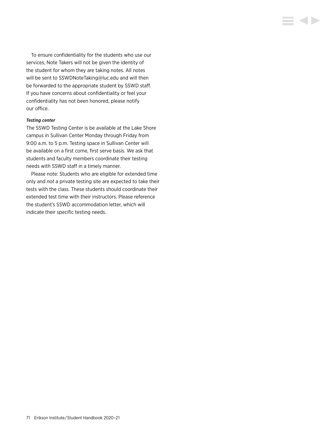To ensure confidentiality for the students who use our services, Note Takers will not be given the identity of the student for whom they are taking notes. All notes will be sent to [SSWDNoteTaking@luc.edu](mailto:SSWDNoteTaking%40luc.edu?subject=) and will then be forwarded to the appropriate student by SSWD staff. If you have concerns about confidentiality or feel your confidentiality has not been honored, please notify our office.

E 4 D

# *Testing center*

The SSWD Testing Center is be available at the Lake Shore campus in Sullivan Center Monday through Friday from 9:00 a.m. to 5 p.m. Testing space in Sullivan Center will be available on a first come, first serve basis. We ask that students and faculty members coordinate their testing needs with SSWD staff in a timely manner.

Please note: Students who are eligible for extended time only and *not* a private testing site are expected to take their tests with the class. These students should coordinate their extended test time with their instructors. Please reference the student's SSWD accommodation letter, which will indicate their specific testing needs.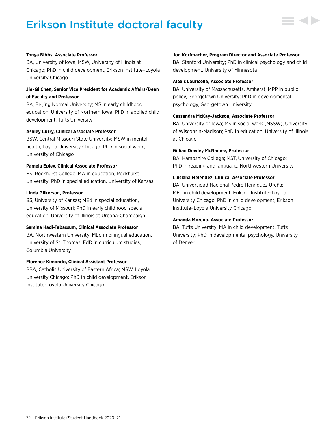# Erikson Institute doctoral faculty



### **Tonya Bibbs, Associate Professor**

BA, University of Iowa; MSW, University of Illinois at Chicago; PhD in child development, Erikson Institute–Loyola University Chicago

## **Jie-Qi Chen, Senior Vice President for Academic Affairs/Dean of Faculty and Professor**

BA, Beijing Normal University; MS in early childhood education, University of Northern Iowa; PhD in applied child development, Tufts University

## **Ashley Curry, Clinical Associate Professor**

BSW, Central Missouri State University; MSW in mental health, Loyola University Chicago; PhD in social work, University of Chicago

### **Pamela Epley, Clinical Associate Professor**

BS, Rockhurst College; MA in education, Rockhurst University; PhD in special education, University of Kansas

## **Linda Gilkerson, Professor**

BS, University of Kansas; MEd in special education, University of Missouri; PhD in early childhood special education, University of Illinois at Urbana-Champaign

### **Samina Hadi-Tabassum, Clinical Associate Professor**

BA, Northwestern University; MEd in bilingual education, University of St. Thomas; EdD in curriculum studies, Columbia University

### **Florence Kimondo, Clinical Assistant Professor**

BBA, Catholic University of Eastern Africa; MSW, Loyola University Chicago; PhD in child development, Erikson Institute-Loyola University Chicago

#### **Jon Korfmacher, Program Director and Associate Professor**

BA, Stanford University; PhD in clinical psychology and child development, University of Minnesota

#### **Alexis Lauricella, Associate Professor**

BA, University of Massachusetts, Amherst; MPP in public policy, Georgetown University; PhD in developmental psychology, Georgetown University

#### **Cassandra McKay-Jackson, Associate Professor**

BA, University of Iowa; MS in social work (MSSW), University of Wisconsin-Madison; PhD in education, University of Illinois at Chicago

#### **Gillian Dowley McNamee, Professor**

BA, Hampshire College; MST, University of Chicago; PhD in reading and language, Northwestern University

#### **Luisiana Melendez, Clinical Associate Professor**

BA, Universidad Nacional Pedro Henríquez Ureña; MEd in child development, Erikson Institute–Loyola University Chicago; PhD in child development, Erikson Institute–Loyola University Chicago

#### **Amanda Moreno, Associate Professor**

BA, Tufts University; MA in child development, Tufts University; PhD in developmental psychology, University of Denver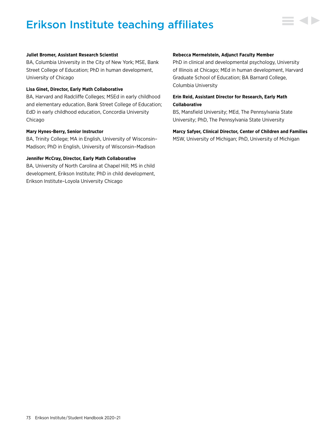# Erikson Institute teaching affiliates



#### **Juliet Bromer, Assistant Research Scientist**

BA, Columbia University in the City of New York; MSE, Bank Street College of Education; PhD in human development, University of Chicago

#### **Lisa Ginet, Director, Early Math Collaborative**

BA, Harvard and Radcliffe Colleges; MSEd in early childhood and elementary education, Bank Street College of Education; EdD in early childhood education, Concordia University Chicago

#### **Mary Hynes-Berry, Senior Instructor**

BA, Trinity College; MA in English, University of Wisconsin– Madison; PhD in English, University of Wisconsin–Madison

## **Jennifer McCray, Director, Early Math Collaborative**

BA, University of North Carolina at Chapel Hill; MS in child development, Erikson Institute; PhD in child development, Erikson Institute–Loyola University Chicago

#### **Rebecca Mermelstein, Adjunct Faculty Member**

PhD in clinical and developmental psychology, University of Illinois at Chicago; MEd in human development, Harvard Graduate School of Education; BA Barnard College, Columbia University

## **Erin Reid, Assistant Director for Research, Early Math Collaborative**

BS, Mansfield University; MEd, The Pennsylvania State University; PhD, The Pennsylvania State University

## **Marcy Safyer, Clinical Director, Center of Children and Families** MSW, University of Michigan; PhD, University of Michigan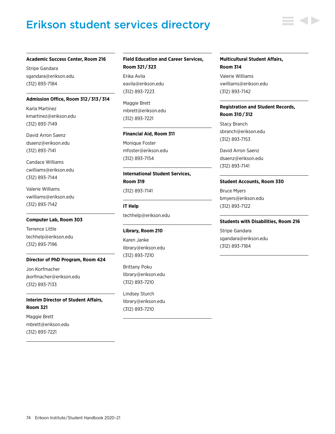# Erikson student services directory



Stripe Gandara [sgandara@erikson.edu](mailto:sgandara%40erikson.edu?subject=) (312) 893-7184

#### **Admission Office, Room 312 / 313 / 314**

Karla Martinez kmartinez@erikson.edu (312) 893-7149

David Arron Saenz [dsaenz@erikson.edu](mailto:dsaenz%40erikson.edu?subject=) (312) 893-7141

Candace Williams [cwilliams@erikson.edu](mailto:cwilliams%40erikson.edu?subject=) (312) 893-7144

Valerie Williams [vwilliams@erikson.edu](mailto:vwilliams%40erikson.edu?subject=) (312) 893-7142

#### **Computer Lab, Room 303**

Terrence Little [techhelp@erikson.edu](mailto:techhelp%40erikson.edu?subject=) (312) 893-7196

### **Director of PhD Program, Room 424**

Jon Korfmacher [jkorfmacher@erikson.edu](mailto:jkorfmacher%40erikson.edu?subject=) (312) 893-7133

**Interim Director of Student Affairs, Room 321**

Maggie Brett [mbrett@erikson.edu](mailto:mbrett%40erikson.edu?subject=)  (312) 893-7221

## **Field Education and Career Services, Room 321 / 323**

Erika Avila eavila@erikson.edu (312) 893-7223

Maggie Brett [mbrett@erikson.edu](mailto:mbrett%40erikson.edu?subject=) (312) 893-7221

#### **Financial Aid, Room 311**

Monique Foster mfoster@erikson.edu (312) 893-7154

**International Student Services, Room 319** (312) 893-7141

# **IT Help** [techhelp@erikson.edu](mailto:techhelp%40erikson.edu?subject=)

#### **Library, Room 210**

Karen Janke [library@erikson.edu](mailto:library%40erikson.edu?subject=) (312) 893-7210

Brittany Poku [library@erikson.edu](mailto:library%40erikson.edu?subject=) (312) 893-7210

Lindsey Sturch [library@erikson.edu](mailto:library%40erikson.edu?subject=) (312) 893-7210

## **Multicultural Student Affairs, Room 314**

Valerie Williams [vwilliams@erikson.edu](mailto:vwilliams%40erikson.edu?subject=) (312) 893-7142

## **Registration and Student Records, Room 310 / 312**

Stacy Branch [sbranch@erikson.edu](mailto:sbranch%40erikson.edu?subject=) (312) 893-7153

David Arron Saenz [dsaenz@erikson.edu](mailto:dsaenz%40erikson.edu?subject=) (312) 893-7141

### **Student Accounts, Room 330**

Bruce Myers [bmyers@erikson.edu](mailto:bmyers%40erikson.edu?subject=)  (312) 893-7122

#### **Students with Disabilities, Room 216**

Stripe Gandara [sgandara@erikson.edu](mailto:sgandara%40erikson.edu?subject=) (312) 893-7184

74 Erikson Institute/Student Handbook 2020-21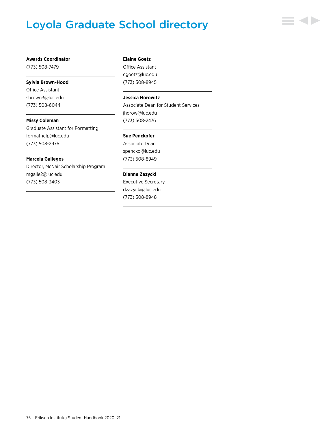# Loyola Graduate School directory



#### **Awards Coordinator**

(773) 508-7479

#### **Sylvia Brown-Hood**

Office Assistant [sbrown3@luc.edu](mailto:sbrown3%40luc.edu?subject=) (773) 508-6044

**Missy Coleman** Graduate Assistant for Formatting [formathelp@luc.edu](mailto:formathelp%40luc.edu?subject=)

(773) 508-2976

### **Marcela Gallegos**

Director, McNair Scholarship Program [mgalle2@luc.edu](mailto:mgalle2%40luc.edu?subject=) (773) 508-3403

#### **Elaine Goetz**

Office Assistant [egoetz@luc.edu](mailto:egoetz%40luc.edu?subject=) (773) 508-8945

### **Jessica Horowitz**

Associate Dean for Student Services [jhorow@luc.edu](mailto:jhorow%40luc.edu?subject=) (773) 508-2476

#### **Sue Penckofer**

Associate Dean [spencko@luc.edu](mailto:spencko%40luc.edu?subject=) (773) 508-8949

## **Dianne Zazycki**

Executive Secretary [dzazycki@luc.edu](mailto:dzazycki%40luc.edu?subject=) (773) 508-8948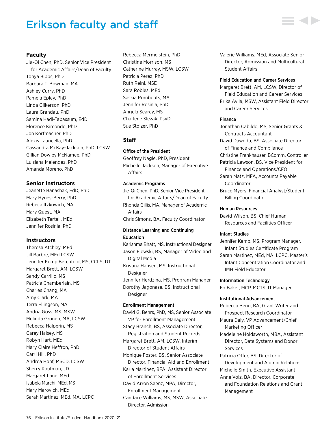# Erikson faculty and staff

## **Faculty**

Jie-Qi Chen, PhD, Senior Vice President for Academic Affairs/Dean of Faculty Tonya Bibbs, PhD Barbara T. Bowman, MA Ashley Curry, PhD Pamela Epley, PhD Linda Gilkerson, PhD Laura Grandau, PhD Samina Hadi-Tabassum, EdD Florence Kimondo, PhD Jon Korfmacher, PhD Alexis Lauricella, PhD Cassandra McKay-Jackson, PhD, LCSW Gillian Dowley McNamee, PhD Luisiana Melendez, PhD Amanda Moreno, PhD

### **Senior Instructors**

Jeanette Banashak, EdD, PhD Mary Hynes-Berry, PhD Rebeca Itzkowich, MA Mary Quest, MA Elizabeth Tertell, MEd Jennifer Rosinia, PhD

### **Instructors**

Theresa Atchley, MEd Jill Barbre, MEd LCSW Jennifer Kemp Berchtold, MS, CCLS, DT Margaret Brett, AM, LCSW Sandy Carrillo, MS Patricia Chamberlain, MS Charles Chang, MA Amy Clark, MA Terra Ellingson, MA Andria Goss, MS, MSW Melinda Gronen, MA, LCSW Rebecca Halperin, MS Carey Halsey, MS Robyn Hart, MEd Mary Claire Heffron, PhD Carri Hill, PhD Andrea Hohf, MSCD, LCSW Sherry Kaufman, JD Margaret Lane, MEd Isabela Marchi, MEd, MS Mary Marovich, MEd Sarah Martinez, MEd, MA, LCPC

Rebecca Mermelstein, PhD Christine Morrison, MS Catherine Murray, MSW, LCSW Patricia Perez, PhD Ruth Reinl, MSE Sara Robles, MEd Saskia Rombouts, MA Jennifer Rosinia, PhD Angela Searcy, MS Charlene Slezak, PsyD Sue Stolzer, PhD

## **Staff**

Office of the President

Geoffrey Nagle, PhD, President Michelle Jackson, Manager of Executive Affairs

#### Academic Programs

Jie-Qi Chen, PhD, Senior Vice President for Academic Affairs/Dean of Faculty Rhonda Gillis, MA, Manager of Academic Affairs Chris Simons, BA, Faculty Coordinator

### Distance Learning and Continuing Education

Karishma Bhatt, MS, Instructional Designer Jason Elewski, BS, Manager of Video and Digital Media Kristina Hansen, MS, Instructional Designer Jennifer Herdzina, MS, Program Manager Dorothy Jagonase, BS, Instructional Designer

## Enrollment Management

David G. Behrs, PhD, MS, Senior Associate VP for Enrollment Management Stacy Branch, BS, Associate Director, Registration and Student Records Margaret Brett, AM, LCSW, Interim Director of Student Affairs Monique Foster, BS, Senior Associate Director, Financial Aid and Enrollment Karla Martinez, BFA, Assistant Director of Enrollment Services David Arron Saenz, MPA, Director, Enrollment Management Candace Williams, MS, MSW, Associate Director, Admission

Valerie Williams, MEd, Associate Senior Director, Admission and Multicultural Student Affairs

#### Field Education and Career Services

Margaret Brett, AM, LCSW, Director of Field Education and Career Services Erika Avila, MSW, Assistant Field Director and Career Services

#### Finance

Jonathan Cabildo, MS, Senior Grants & Contracts Accountant David Dawodu, BS, Associate Director

of Finance and Compliance

- Christine Frankhauser, BComm, Controller
- Patricia Lawson, BS, Vice President for Finance and Operations/CFO

Sarah Matz, MFA, Accounts Payable Coordinator

Bruce Myers, Financial Analyst/Student Billing Coordinator

## Human Resources

David Wilson, BS, Chief Human Resources and Facilities Officer

#### Infant Studies

Jennifer Kemp, MS, Program Manager, Infant Studies Certificate Program

Sarah Martinez, MEd, MA, LCPC, Master's Infant Concentration Coordinator and IMH Field Educator

Information Technology

Ed Baker, MCP, MCTS, IT Manager

#### Institutional Advancement

Rebecca Beno, BA, Grant Writer and Prospect Research Coordinator

Maura Daly, VP Advancement/Chief Marketing Officer

Madeleine Holdsworth, MBA, Assistant Director, Data Systems and Donor Services

Patricia Offer, BS, Director of Development and Alumni Relations

Michelle Smith, Executive Assistant Anne Volz, BA, Director, Corporate and Foundation Relations and Grant Management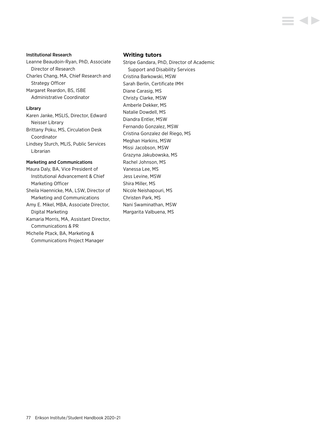#### Institutional Research

Leanne Beaudoin-Ryan, PhD, Associate Director of Research Charles Chang, MA, Chief Research and Strategy Officer Margaret Reardon, BS, ISBE Administrative Coordinator

## Library

Karen Janke, MSLIS, Director, Edward Neisser Library Brittany Poku, MS, Circulation Desk Coordinator Lindsey Sturch, MLIS, Public Services Librarian

## Marketing and Communications

Maura Daly, BA, Vice President of Institutional Advancement & Chief Marketing Officer Sheila Haennicke, MA, LSW, Director of Marketing and Communications Amy E. Mikel, MBA, Associate Director, Digital Marketing Kamaria Morris, MA, Assistant Director, Communications & PR Michelle Ptack, BA, Marketing & Communications Project Manager

#### **Writing tutors**

Stripe Gandara, PhD, Director of Academic Support and Disability Services Cristina Barkowski, MSW Sarah Berlin, Certificate IMH Diane Carasig, MS Christy Clarke, MSW Amberle Dekker, MS Natalie Dowdell, MS Diandra Entler, MSW Fernando Gonzalez, MSW Cristina Gonzalez del Riego, MS Meghan Harkins, MSW Missi Jacobson, MSW Grazyna Jakubowska, MS Rachel Johnson, MS Vanessa Lee, MS Jess Levine, MSW Shira Miller, MS Nicole Neishapouri, MS Christen Park, MS Nani Swaminathan, MSW Margarita Valbuena, MS